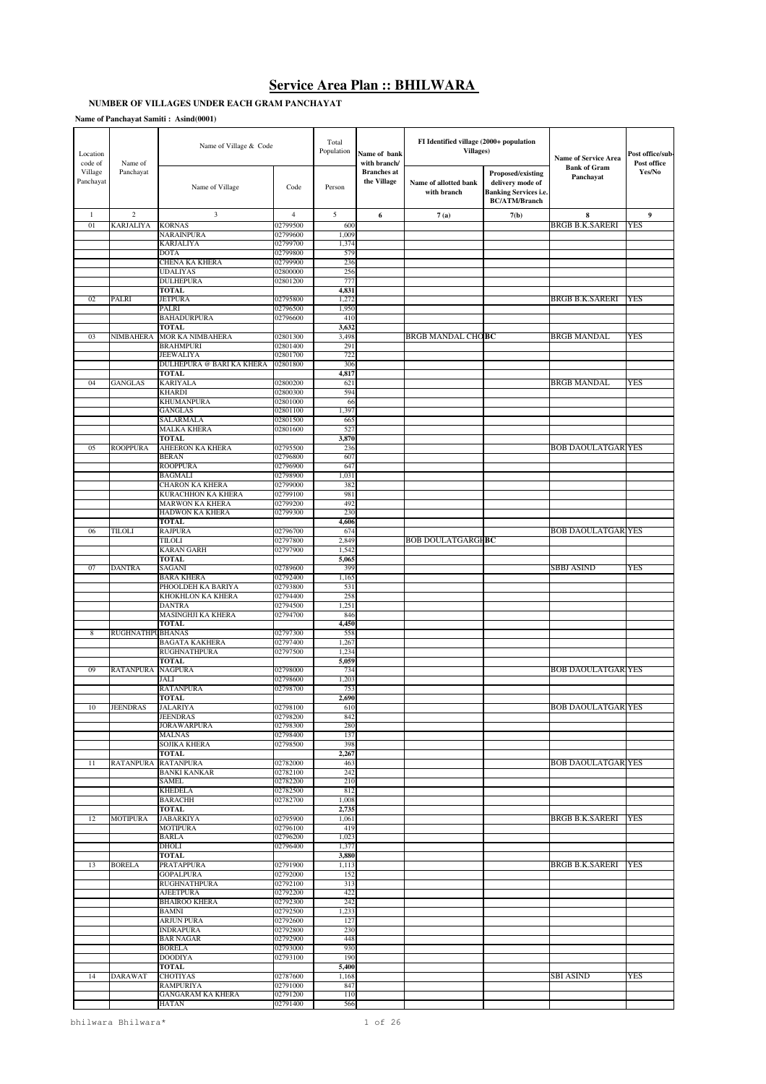# **Service Area Plan :: BHILWARA**

# **NUMBER OF VILLAGES UNDER EACH GRAM PANCHAYAT**

| Location<br>code of  | Name of           | Name of Village & Code                       |                      | Total<br>Population | Name of bank<br>with branch/      | FI Identified village (2000+ population<br><b>Villages</b> ) |                                                                                               | <b>Name of Service Area</b>      | Post office/sub-<br>Post office |
|----------------------|-------------------|----------------------------------------------|----------------------|---------------------|-----------------------------------|--------------------------------------------------------------|-----------------------------------------------------------------------------------------------|----------------------------------|---------------------------------|
| Village<br>Panchayat | Panchayat         | Name of Village                              | Code                 | Person              | <b>Branches</b> at<br>the Village | Name of allotted bank<br>with branch                         | Proposed/existing<br>delivery mode of<br><b>Banking Services i.e.</b><br><b>BC/ATM/Branch</b> | <b>Bank of Gram</b><br>Panchayat | Yes/No                          |
| $\mathbf{1}$         | $\mathfrak{2}$    | 3                                            | $\overline{4}$       | 5                   | 6                                 | 7(a)                                                         | 7(b)                                                                                          | $\bf{8}$                         | 9                               |
| 01                   | <b>KARJALIYA</b>  | <b>KORNAS</b>                                | 02799500             | 600                 |                                   |                                                              |                                                                                               | BRGB B.K.SARERI                  | <b>YES</b>                      |
|                      |                   | NARAINPURA<br>KARJALIYA                      | 02799600<br>02799700 | 1,009<br>1,374      |                                   |                                                              |                                                                                               |                                  |                                 |
|                      |                   | <b>DOTA</b>                                  | 02799800             | 579                 |                                   |                                                              |                                                                                               |                                  |                                 |
|                      |                   | <b>CHENA KA KHERA</b>                        | 02799900             | 236                 |                                   |                                                              |                                                                                               |                                  |                                 |
|                      |                   | <b>UDALIYAS</b><br><b>DULHEPURA</b>          | 02800000<br>02801200 | 256<br>777          |                                   |                                                              |                                                                                               |                                  |                                 |
|                      |                   | <b>TOTAL</b>                                 |                      | 4,831               |                                   |                                                              |                                                                                               |                                  |                                 |
| 02                   | PALRI             | <b>JETPURA</b>                               | 02795800             | 1,272               |                                   |                                                              |                                                                                               | <b>BRGB B.K.SARERI</b>           | YES                             |
|                      |                   | PALRI<br><b>BAHADURPURA</b>                  | 02796500<br>02796600 | 1,950<br>410        |                                   |                                                              |                                                                                               |                                  |                                 |
|                      |                   | <b>TOTAL</b>                                 |                      | 3,632               |                                   |                                                              |                                                                                               |                                  |                                 |
| 03                   | NIMBAHERA         | <b>MOR KA NIMBAHERA</b>                      | 02801300             | 3,498               |                                   | <b>BRGB MANDAL CHOBC</b>                                     |                                                                                               | <b>BRGB MANDAL</b>               | <b>YES</b>                      |
|                      |                   | <b>BRAHMPURI</b><br><b>JEEWALIYA</b>         | 02801400<br>02801700 | 291<br>722          |                                   |                                                              |                                                                                               |                                  |                                 |
|                      |                   | DULHEPURA @ BARI KA KHERA                    | 02801800             | 306                 |                                   |                                                              |                                                                                               |                                  |                                 |
| 04                   | <b>GANGLAS</b>    | TOTAL<br><b>KARIYALA</b>                     | 02800200             | 4,817<br>621        |                                   |                                                              |                                                                                               | <b>BRGB MANDAL</b>               | <b>YES</b>                      |
|                      |                   | <b>KHARDI</b>                                | 02800300             | 594                 |                                   |                                                              |                                                                                               |                                  |                                 |
|                      |                   | <b>KHUMANPURA</b>                            | 02801000             | 66                  |                                   |                                                              |                                                                                               |                                  |                                 |
|                      |                   | GANGLAS<br>SALARMALA                         | 02801100<br>02801500 | 1,397<br>665        |                                   |                                                              |                                                                                               |                                  |                                 |
|                      |                   | <b>MALKA KHERA</b>                           | 02801600             | 527                 |                                   |                                                              |                                                                                               |                                  |                                 |
|                      |                   | <b>TOTAL</b>                                 |                      | 3,870               |                                   |                                                              |                                                                                               |                                  |                                 |
| 05                   | <b>ROOPPURA</b>   | AHEERON KA KHERA<br><b>BERAN</b>             | 02795500<br>02796800 | 236<br>607          |                                   |                                                              |                                                                                               | <b>BOB DAOULATGAR YES</b>        |                                 |
|                      |                   | <b>ROOPPURA</b>                              | 02796900             | 647                 |                                   |                                                              |                                                                                               |                                  |                                 |
|                      |                   | <b>BAGMALI</b>                               | 02798900             | 1,031               |                                   |                                                              |                                                                                               |                                  |                                 |
|                      |                   | <b>CHARON KA KHERA</b><br>KURACHHON KA KHERA | 02799000<br>02799100 | 382<br>981          |                                   |                                                              |                                                                                               |                                  |                                 |
|                      |                   | <b>MARWON KA KHERA</b>                       | 02799200             | 492                 |                                   |                                                              |                                                                                               |                                  |                                 |
|                      |                   | HADWON KA KHERA                              | 02799300             | 230                 |                                   |                                                              |                                                                                               |                                  |                                 |
| 06                   | <b>TILOLI</b>     | TOTAL<br><b>RAJPURA</b>                      | 02796700             | 4,606<br>674        |                                   |                                                              |                                                                                               | <b>BOB DAOULATGAR YES</b>        |                                 |
|                      |                   | <b>TILOLI</b>                                | 02797800             | 2,849               |                                   | <b>BOB DOULATGARGHBC</b>                                     |                                                                                               |                                  |                                 |
|                      |                   | <b>KARAN GARH</b>                            | 02797900             | 1,542               |                                   |                                                              |                                                                                               |                                  |                                 |
| 07                   | <b>DANTRA</b>     | <b>TOTAL</b><br>SAGANI                       | 02789600             | 5,065<br>399        |                                   |                                                              |                                                                                               | <b>SBBJ ASIND</b>                | YES                             |
|                      |                   | <b>BARA KHERA</b>                            | 02792400             | 1,165               |                                   |                                                              |                                                                                               |                                  |                                 |
|                      |                   | PHOOLDEH KA BARIYA                           | 02793800             | 531                 |                                   |                                                              |                                                                                               |                                  |                                 |
|                      |                   | KHOKHLON KA KHERA<br><b>DANTRA</b>           | 02794400<br>02794500 | 258<br>1,251        |                                   |                                                              |                                                                                               |                                  |                                 |
|                      |                   | MASINGHJI KA KHERA                           | 02794700             | 846                 |                                   |                                                              |                                                                                               |                                  |                                 |
| 8                    | RUGHNATHPU BHANAS | <b>TOTAL</b>                                 | 02797300             | 4,450<br>558        |                                   |                                                              |                                                                                               |                                  |                                 |
|                      |                   | <b>BAGATA KAKHERA</b>                        | 02797400             | 1,267               |                                   |                                                              |                                                                                               |                                  |                                 |
|                      |                   | RUGHNATHPURA                                 | 02797500             | 1,234               |                                   |                                                              |                                                                                               |                                  |                                 |
| 09                   | <b>RATANPURA</b>  | <b>TOTAL</b><br><b>NAGPURA</b>               | 02798000             | 5,059<br>734        |                                   |                                                              |                                                                                               | <b>BOB DAOULATGAR YES</b>        |                                 |
|                      |                   | JALI                                         | 02798600             | 1,20                |                                   |                                                              |                                                                                               |                                  |                                 |
|                      |                   | <b>RATANPURA</b>                             | 02798700             | 753                 |                                   |                                                              |                                                                                               |                                  |                                 |
| 10                   | JEENDRAS          | <b>TOTAL</b><br>JALARIYA                     | 02798100             | 2,690<br>010        |                                   |                                                              |                                                                                               | <b>BOB DAOULATGAR YES</b>        |                                 |
|                      |                   | <b>JEENDRAS</b>                              | 02798200             | 842                 |                                   |                                                              |                                                                                               |                                  |                                 |
|                      |                   | <b>JORAWARPURA</b>                           | 02798300             | 280                 |                                   |                                                              |                                                                                               |                                  |                                 |
|                      |                   | <b>MALNAS</b><br>SOJIKA KHERA                | 02798400<br>02798500 | 137<br>398          |                                   |                                                              |                                                                                               |                                  |                                 |
|                      |                   | TOTAL                                        |                      | 2,267               |                                   |                                                              |                                                                                               |                                  |                                 |
| 11                   | <b>RATANPURA</b>  | <b>RATANPURA</b><br><b>BANKI KANKAR</b>      | 02782000<br>02782100 | 463<br>242          |                                   |                                                              |                                                                                               | <b>BOB DAOULATGAR YES</b>        |                                 |
|                      |                   | SAMEL                                        | 02782200             | 210                 |                                   |                                                              |                                                                                               |                                  |                                 |
|                      |                   | <b>KHEDELA</b>                               | 02782500             | 812                 |                                   |                                                              |                                                                                               |                                  |                                 |
|                      |                   | <b>BARACHH</b><br><b>TOTAL</b>               | 02782700             | 1,008<br>2,735      |                                   |                                                              |                                                                                               |                                  |                                 |
| 12                   | <b>MOTIPURA</b>   | <b>JABARKIYA</b>                             | 02795900             | 1,061               |                                   |                                                              |                                                                                               | BRGB B.K.SARERI                  | <b>YES</b>                      |
|                      |                   | <b>MOTIPURA</b>                              | 02796100             | 419                 |                                   |                                                              |                                                                                               |                                  |                                 |
|                      |                   | <b>BARLA</b><br>DHOLI                        | 02796200<br>02796400 | 1,023<br>1,377      |                                   |                                                              |                                                                                               |                                  |                                 |
|                      |                   | TOTAL                                        |                      | 3,880               |                                   |                                                              |                                                                                               |                                  |                                 |
| 13                   | <b>BORELA</b>     | PRATAPPURA                                   | 02791900             | 1,113               |                                   |                                                              |                                                                                               | BRGB B.K.SARERI                  | <b>YES</b>                      |
|                      |                   | <b>GOPALPURA</b><br>RUGHNATHPURA             | 02792000<br>02792100 | 152<br>313          |                                   |                                                              |                                                                                               |                                  |                                 |
|                      |                   | <b>AJEETPURA</b>                             | 02792200             | 422                 |                                   |                                                              |                                                                                               |                                  |                                 |
|                      |                   | <b>BHAIROO KHERA</b><br><b>BAMNI</b>         | 02792300<br>02792500 | 242<br>1,233        |                                   |                                                              |                                                                                               |                                  |                                 |
|                      |                   | <b>ARJUN PURA</b>                            | 02792600             | 127                 |                                   |                                                              |                                                                                               |                                  |                                 |
|                      |                   | <b>INDRAPURA</b>                             | 02792800             | 230                 |                                   |                                                              |                                                                                               |                                  |                                 |
|                      |                   | <b>BAR NAGAR</b><br><b>BORELA</b>            | 02792900<br>02793000 | 448<br>930          |                                   |                                                              |                                                                                               |                                  |                                 |
|                      |                   | <b>DOODIYA</b>                               | 02793100             | 190                 |                                   |                                                              |                                                                                               |                                  |                                 |
|                      |                   | TOTAL                                        |                      | 5,400               |                                   |                                                              |                                                                                               |                                  |                                 |
| 14                   | <b>DARAWAT</b>    | <b>CHOTIYAS</b><br><b>RAMPURIYA</b>          | 02787600<br>02791000 | 1,168<br>847        |                                   |                                                              |                                                                                               | <b>SBI ASIND</b>                 | YES                             |
|                      |                   | <b>GANGARAM KA KHERA</b>                     | 02791200             | 110                 |                                   |                                                              |                                                                                               |                                  |                                 |
|                      |                   | <b>HATAN</b>                                 | 02791400             | 566                 |                                   |                                                              |                                                                                               |                                  |                                 |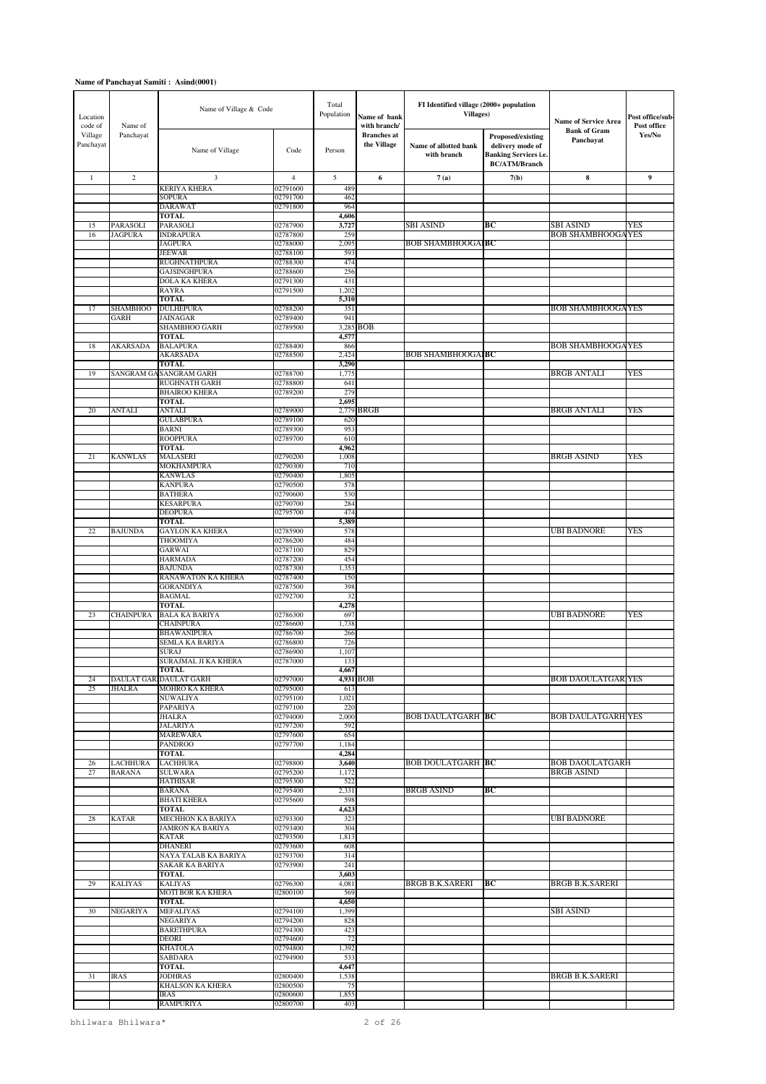| Location<br>code of  | Name of                    | Name of Village & Code                     |                      | Total<br>Population | Name of bank<br>with branch/      | FI Identified village (2000+ population<br><b>Villages</b> ) |                                                                                               | <b>Name of Service Area</b>           | Post office/sub-<br>Post office |
|----------------------|----------------------------|--------------------------------------------|----------------------|---------------------|-----------------------------------|--------------------------------------------------------------|-----------------------------------------------------------------------------------------------|---------------------------------------|---------------------------------|
| Village<br>Panchayat | Panchayat                  | Name of Village                            | Code                 | Person              | <b>Branches</b> at<br>the Village | Name of allotted bank<br>with branch                         | Proposed/existing<br>delivery mode of<br><b>Banking Services i.e.</b><br><b>BC/ATM/Branch</b> | <b>Bank of Gram</b><br>Panchayat      | Yes/No                          |
| $\mathbf{1}$         | $\sqrt{2}$                 | 3                                          | $\overline{4}$       | 5                   | 6                                 | 7(a)                                                         | 7(b)                                                                                          | $\bf{8}$                              | 9                               |
|                      |                            | <b>KERIYA KHERA</b>                        | 02791600             | 489                 |                                   |                                                              |                                                                                               |                                       |                                 |
|                      |                            | <b>SOPURA</b><br><b>DARAWAT</b>            | 02791700<br>02791800 | 462<br>964          |                                   |                                                              |                                                                                               |                                       |                                 |
|                      |                            | <b>TOTAL</b>                               |                      | 4,606               |                                   |                                                              |                                                                                               |                                       |                                 |
| 15<br>16             | PARASOLI<br><b>JAGPURA</b> | PARASOLI<br><b>INDRAPURA</b>               | 02787900<br>02787800 | 3,727<br>259        |                                   | SBI ASIND                                                    | ВC                                                                                            | SBI ASIND<br><b>BOB SHAMBHOOGAYES</b> | YES                             |
|                      |                            | <b>JAGPURA</b>                             | 02788000             | 2,095               |                                   | <b>BOB SHAMBHOOGAIBC</b>                                     |                                                                                               |                                       |                                 |
|                      |                            | <b>JEEWAR</b>                              | 02788100             | 593                 |                                   |                                                              |                                                                                               |                                       |                                 |
|                      |                            | <b>RUGHNATHPURA</b><br><b>GAJSINGHPURA</b> | 02788300<br>02788600 | 474<br>256          |                                   |                                                              |                                                                                               |                                       |                                 |
|                      |                            | <b>DOLA KA KHERA</b>                       | 02791300             | 431                 |                                   |                                                              |                                                                                               |                                       |                                 |
|                      |                            | <b>RAYRA</b><br><b>TOTAL</b>               | 02791500             | 1,202<br>5,310      |                                   |                                                              |                                                                                               |                                       |                                 |
| 17                   | <b>SHAMBHOO</b>            | <b>DULHEPURA</b>                           | 02788200             | 351                 |                                   |                                                              |                                                                                               | <b>BOB SHAMBHOOGAYES</b>              |                                 |
|                      | GARH                       | <b>JAINAGAR</b>                            | 02789400             | 941                 |                                   |                                                              |                                                                                               |                                       |                                 |
|                      |                            | SHAMBHOO GARH<br><b>TOTAL</b>              | 02789500             | 3,285<br>4,577      | <b>BOB</b>                        |                                                              |                                                                                               |                                       |                                 |
| 18                   | AKARSADA                   | <b>BALAPURA</b>                            | 02788400             | 866                 |                                   |                                                              |                                                                                               | <b>BOB SHAMBHOOGAYES</b>              |                                 |
|                      |                            | <b>AKARSADA</b><br><b>TOTAL</b>            | 02788500             | 2,424               |                                   | <b>BOB SHAMBHOOGAIBC</b>                                     |                                                                                               |                                       |                                 |
| 19                   |                            | SANGRAM GA SANGRAM GARH                    | 02788700             | 3,290<br>1,775      |                                   |                                                              |                                                                                               | <b>BRGB ANTALI</b>                    | YES                             |
|                      |                            | <b>RUGHNATH GARH</b>                       | 02788800             | 641                 |                                   |                                                              |                                                                                               |                                       |                                 |
|                      |                            | <b>BHAIROO KHERA</b><br><b>TOTAL</b>       | 02789200             | 279<br>2,695        |                                   |                                                              |                                                                                               |                                       |                                 |
| 20                   | <b>ANTALI</b>              | <b>ANTALI</b>                              | 02789000             |                     | 2,779 BRGB                        |                                                              |                                                                                               | BRGB ANTALI                           | YES                             |
|                      |                            | <b>GULABPURA</b>                           | 02789100             | 620                 |                                   |                                                              |                                                                                               |                                       |                                 |
|                      |                            | <b>BARNI</b><br><b>ROOPPURA</b>            | 02789300<br>02789700 | 953<br>610          |                                   |                                                              |                                                                                               |                                       |                                 |
|                      |                            | <b>TOTAL</b>                               |                      | 4,962               |                                   |                                                              |                                                                                               |                                       |                                 |
| 21                   | <b>KANWLAS</b>             | <b>MALASERI</b>                            | 02790200             | 1,008               |                                   |                                                              |                                                                                               | BRGB ASIND                            | YES                             |
|                      |                            | <b>MOKHAMPURA</b><br><b>KANWLAS</b>        | 02790300<br>02790400 | 710<br>1,805        |                                   |                                                              |                                                                                               |                                       |                                 |
|                      |                            | <b>KANPURA</b>                             | 02790500             | 578                 |                                   |                                                              |                                                                                               |                                       |                                 |
|                      |                            | <b>BATHERA</b>                             | 02790600             | 530                 |                                   |                                                              |                                                                                               |                                       |                                 |
|                      |                            | <b>KESARPURA</b><br><b>DEOPURA</b>         | 02790700<br>02795700 | 284<br>474          |                                   |                                                              |                                                                                               |                                       |                                 |
|                      |                            | <b>TOTAL</b>                               |                      | 5,389               |                                   |                                                              |                                                                                               |                                       |                                 |
| 22                   | <b>BAJUNDA</b>             | <b>GAYLON KA KHERA</b><br>THOOMIYA         | 02785900<br>02786200 | 578<br>484          |                                   |                                                              |                                                                                               | UBI BADNORE                           | <b>YES</b>                      |
|                      |                            | <b>GARWAI</b>                              | 02787100             | 829                 |                                   |                                                              |                                                                                               |                                       |                                 |
|                      |                            | <b>HARMADA</b>                             | 02787200             | 454                 |                                   |                                                              |                                                                                               |                                       |                                 |
|                      |                            | <b>BAJUNDA</b><br>RANAWATON KA KHERA       | 02787300<br>02787400 | 1,353<br>150        |                                   |                                                              |                                                                                               |                                       |                                 |
|                      |                            | <b>GORANDIYA</b>                           | 02787500             | 398                 |                                   |                                                              |                                                                                               |                                       |                                 |
|                      |                            | <b>BAGMAL</b>                              | 02792700             | 32                  |                                   |                                                              |                                                                                               |                                       |                                 |
| 23                   | <b>CHAINPURA</b>           | <b>TOTAL</b><br><b>BALA KA BARIYA</b>      | 02786300             | 4,278<br>697        |                                   |                                                              |                                                                                               | <b>UBI BADNORE</b>                    | YES                             |
|                      |                            | <b>CHAINPURA</b>                           | 02786600             | 1,738               |                                   |                                                              |                                                                                               |                                       |                                 |
|                      |                            | <b>BHAWANIPURA</b>                         | 02786700             | 266                 |                                   |                                                              |                                                                                               |                                       |                                 |
|                      |                            | SEMLA KA BARIYA<br>SURAJ                   | 02786800<br>02786900 | 726<br>1,107        |                                   |                                                              |                                                                                               |                                       |                                 |
|                      |                            | SURAJMAL JI KA KHERA                       | 02787000             | 133                 |                                   |                                                              |                                                                                               |                                       |                                 |
| 24                   |                            | TOTAL<br>DAULAT GARIDAULAT GARH            | 02797000             | 4,667               | 4,931 BOB                         |                                                              |                                                                                               | <b>BOB DAOULATGAR YES</b>             |                                 |
| 25                   | <b>JHALRA</b>              | <b>MOHRO KA KHERA</b>                      | 02795000             | 613                 |                                   |                                                              |                                                                                               |                                       |                                 |
|                      |                            | NUWALIYA                                   | 02795100             | 1,021               |                                   |                                                              |                                                                                               |                                       |                                 |
|                      |                            | PAPARIYA<br><b>JHALRA</b>                  | 02797100<br>02794000 | 220<br>2,000        |                                   | <b>BOB DAULATGARH BC</b>                                     |                                                                                               | <b>BOB DAULATGARH YES</b>             |                                 |
|                      |                            | <b>JALARIYA</b>                            | 02797200             | 592                 |                                   |                                                              |                                                                                               |                                       |                                 |
|                      |                            | <b>MAREWARA</b>                            | 02797600             | 654                 |                                   |                                                              |                                                                                               |                                       |                                 |
|                      |                            | <b>PANDROO</b><br>TOTAL                    | 02797700             | 1,184<br>4,284      |                                   |                                                              |                                                                                               |                                       |                                 |
| 26                   | <b>LACHHURA</b>            | <b>LACHHURA</b>                            | 02798800             | 3,640               |                                   | <b>BOB DOULATGARH BC</b>                                     |                                                                                               | <b>BOB DAOULATGARH</b>                |                                 |
| 27                   | <b>BARANA</b>              | <b>SULWARA</b><br><b>HATHISAR</b>          | 02795200<br>02795300 | 1,172<br>522        |                                   |                                                              |                                                                                               | <b>BRGB ASIND</b>                     |                                 |
|                      |                            | <b>BARANA</b>                              | 02795400             | 2,331               |                                   | <b>BRGB ASIND</b>                                            | ВC                                                                                            |                                       |                                 |
|                      |                            | <b>BHATI KHERA</b>                         | 02795600             | 598                 |                                   |                                                              |                                                                                               |                                       |                                 |
| 28                   | <b>KATAR</b>               | <b>TOTAL</b><br><b>MECHHON KA BARIYA</b>   | 02793300             | 4,623<br>323        |                                   |                                                              |                                                                                               | UBI BADNORE                           |                                 |
|                      |                            | <b>JAMRON KA BARIYA</b>                    | 02793400             | 304                 |                                   |                                                              |                                                                                               |                                       |                                 |
|                      |                            | <b>KATAR</b><br><b>DHANERI</b>             | 02793500<br>02793600 | 1,813<br>608        |                                   |                                                              |                                                                                               |                                       |                                 |
|                      |                            | NAYA TALAB KA BARIYA                       | 02793700             | 314                 |                                   |                                                              |                                                                                               |                                       |                                 |
|                      |                            | <b>SAKAR KA BARIYA</b>                     | 02793900             | 241                 |                                   |                                                              |                                                                                               |                                       |                                 |
| 29                   | <b>KALIYAS</b>             | <b>TOTAL</b><br><b>KALIYAS</b>             | 02796300             | 3,603<br>4,081      |                                   | <b>BRGB B.K.SARERI</b>                                       | BС                                                                                            | <b>BRGB B.K.SARERI</b>                |                                 |
|                      |                            | MOTI BOR KA KHERA                          | 02800100             | 569                 |                                   |                                                              |                                                                                               |                                       |                                 |
|                      |                            | <b>TOTAL</b>                               |                      | 4,650               |                                   |                                                              |                                                                                               |                                       |                                 |
| 30                   | <b>NEGARIYA</b>            | <b>MEFALIYAS</b><br><b>NEGARIYA</b>        | 02794100<br>02794200 | 1,399<br>828        |                                   |                                                              |                                                                                               | SBI ASIND                             |                                 |
|                      |                            | <b>BARETHPURA</b>                          | 02794300             | 423                 |                                   |                                                              |                                                                                               |                                       |                                 |
|                      |                            | DEORI                                      | 02794600             | 72                  |                                   |                                                              |                                                                                               |                                       |                                 |
|                      |                            | <b>KHATOLA</b><br>SABDARA                  | 02794800<br>02794900 | 1,392<br>533        |                                   |                                                              |                                                                                               |                                       |                                 |
|                      |                            | <b>TOTAL</b>                               |                      | 4,647               |                                   |                                                              |                                                                                               |                                       |                                 |
| 31                   | <b>IRAS</b>                | <b>JODHRAS</b><br>KHALSON KA KHERA         | 02800400<br>02800500 | 1,538<br>75         |                                   |                                                              |                                                                                               | <b>BRGB B.K.SARERI</b>                |                                 |
|                      |                            | IRAS                                       | 02800600             | 1,855               |                                   |                                                              |                                                                                               |                                       |                                 |
|                      |                            | RAMPURIYA                                  | 02800700             | 403                 |                                   |                                                              |                                                                                               |                                       |                                 |

bhilwara Bhilwara\* 2 of 26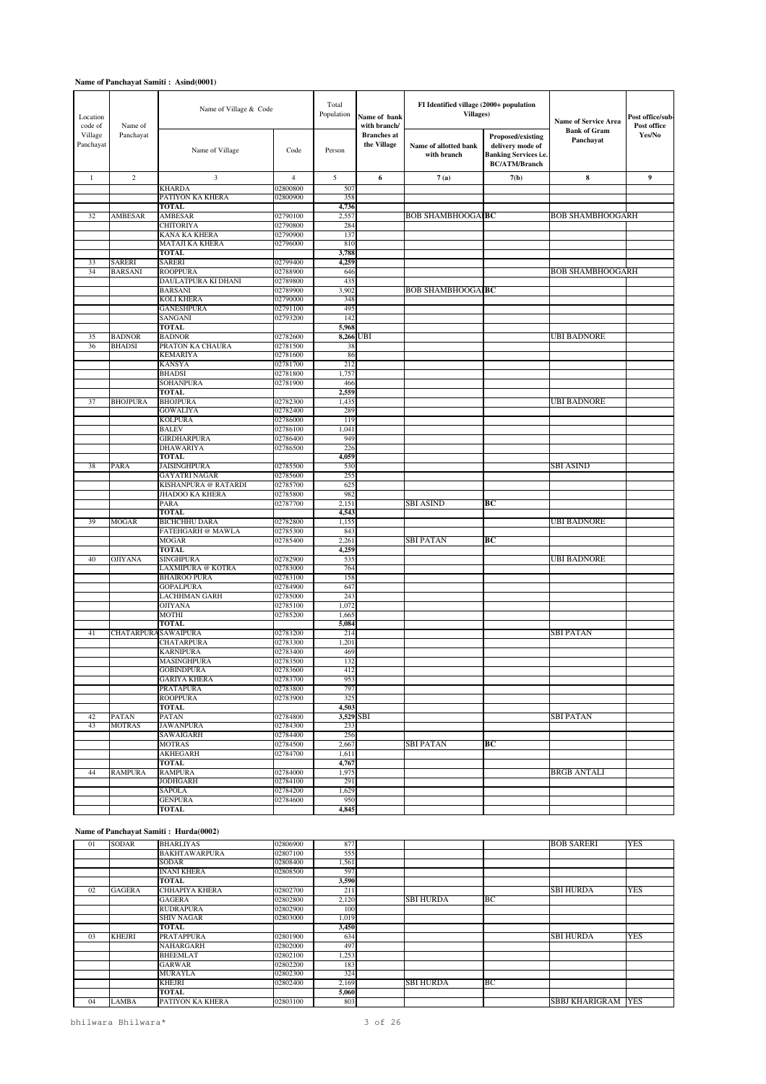| Location<br>code of  | Name of<br>Panchayat     | Name of Village & Code                 |                      | Total<br>Population | Name of bank<br>with branch/      | FI Identified village (2000+ population<br><b>Villages</b> ) |                                                                                               | <b>Name of Service Area</b>      | Post office/sub-<br>Post office |
|----------------------|--------------------------|----------------------------------------|----------------------|---------------------|-----------------------------------|--------------------------------------------------------------|-----------------------------------------------------------------------------------------------|----------------------------------|---------------------------------|
| Village<br>Panchayat |                          | Name of Village                        | Code                 | Person              | <b>Branches</b> at<br>the Village | Name of allotted bank<br>with branch                         | Proposed/existing<br>delivery mode of<br><b>Banking Services i.e.</b><br><b>BC/ATM/Branch</b> | <b>Bank of Gram</b><br>Panchayat | Yes/No                          |
| $\mathbf{1}$         | $\mathbf{2}$             | 3                                      | $\overline{4}$       | 5                   | 6                                 | 7(a)                                                         | 7(b)                                                                                          | 8                                | 9                               |
|                      |                          | <b>KHARDA</b>                          | 02800800             | 507                 |                                   |                                                              |                                                                                               |                                  |                                 |
|                      |                          | PATIYON KA KHERA                       | 02800900             | 358                 |                                   |                                                              |                                                                                               |                                  |                                 |
| 32                   | <b>AMBESAR</b>           | <b>TOTAL</b><br><b>AMBESAR</b>         | 02790100             | 4,736<br>2,557      |                                   | BOB SHAMBHOOGAI <b>BC</b>                                    |                                                                                               | <b>BOB SHAMBHOOGARH</b>          |                                 |
|                      |                          | <b>CHITORIYA</b>                       | 02790800             | 284                 |                                   |                                                              |                                                                                               |                                  |                                 |
|                      |                          | KANA KA KHERA                          | 02790900             | 137                 |                                   |                                                              |                                                                                               |                                  |                                 |
|                      |                          | MATAJI KA KHERA                        | 02796000             | 810                 |                                   |                                                              |                                                                                               |                                  |                                 |
|                      |                          | <b>TOTAL</b>                           |                      | 3,788               |                                   |                                                              |                                                                                               |                                  |                                 |
| 33<br>34             | SARERI<br><b>BARSANI</b> | <b>SARERI</b><br><b>ROOPPURA</b>       | 02799400<br>02788900 | 4,259<br>646        |                                   |                                                              |                                                                                               | <b>BOB SHAMBHOOGARH</b>          |                                 |
|                      |                          | DAULATPURA KI DHANI                    | 02789800             | 435                 |                                   |                                                              |                                                                                               |                                  |                                 |
|                      |                          | <b>BARSANI</b>                         | 02789900             | 3,902               |                                   | <b>BOB SHAMBHOOGAIBC</b>                                     |                                                                                               |                                  |                                 |
|                      |                          | <b>KOLI KHERA</b>                      | 02790000             | 348                 |                                   |                                                              |                                                                                               |                                  |                                 |
|                      |                          | <b>GANESHPURA</b>                      | 02791100             | 495                 |                                   |                                                              |                                                                                               |                                  |                                 |
|                      |                          | SANGANI<br>TOTAL                       | 02793200             | 142<br>5,968        |                                   |                                                              |                                                                                               |                                  |                                 |
| 35                   | <b>BADNOR</b>            | <b>BADNOR</b>                          | 02782600             |                     | 8,266 UBI                         |                                                              |                                                                                               | <b>UBI BADNORE</b>               |                                 |
| 36                   | <b>BHADSI</b>            | PRATON KA CHAURA                       | 02781500             | 38                  |                                   |                                                              |                                                                                               |                                  |                                 |
|                      |                          | <b>KEMARIYA</b>                        | 02781600             | 86                  |                                   |                                                              |                                                                                               |                                  |                                 |
|                      |                          | <b>KANSYA</b>                          | 02781700             | 212                 |                                   |                                                              |                                                                                               |                                  |                                 |
|                      |                          | <b>BHADSI</b>                          | 02781800             | 1,757               |                                   |                                                              |                                                                                               |                                  |                                 |
|                      |                          | SOHANPURA<br><b>TOTAL</b>              | 02781900             | 466<br>2,559        |                                   |                                                              |                                                                                               |                                  |                                 |
| 37                   | <b>BHOJPURA</b>          | <b>BHOJPURA</b>                        | 02782300             | 1,435               |                                   |                                                              |                                                                                               | <b>UBI BADNORE</b>               |                                 |
|                      |                          | <b>GOWALIYA</b>                        | 02782400             | 289                 |                                   |                                                              |                                                                                               |                                  |                                 |
|                      |                          | <b>KOLPURA</b>                         | 02786000             | 119                 |                                   |                                                              |                                                                                               |                                  |                                 |
|                      |                          | <b>BALEV</b>                           | 02786100             | 1,041               |                                   |                                                              |                                                                                               |                                  |                                 |
|                      |                          | <b>GIRDHARPURA</b><br><b>DHAWARIYA</b> | 02786400<br>02786500 | 949<br>226          |                                   |                                                              |                                                                                               |                                  |                                 |
|                      |                          | <b>TOTAL</b>                           |                      | 4,059               |                                   |                                                              |                                                                                               |                                  |                                 |
| 38                   | PARA                     | <b>JAISINGHPURA</b>                    | 02785500             | 530                 |                                   |                                                              |                                                                                               | SBI ASIND                        |                                 |
|                      |                          | <b>GAYATRI NAGAR</b>                   | 02785600             | 255                 |                                   |                                                              |                                                                                               |                                  |                                 |
|                      |                          | KISHANPURA @ RATARDI                   | 02785700             | 62:                 |                                   |                                                              |                                                                                               |                                  |                                 |
|                      |                          | <b>JHADOO KA KHERA</b><br>PARA         | 02785800<br>02787700 | 982<br>2,151        |                                   | SBI ASIND                                                    | ВC                                                                                            |                                  |                                 |
|                      |                          | <b>TOTAL</b>                           |                      | 4,543               |                                   |                                                              |                                                                                               |                                  |                                 |
| 39                   | <b>MOGAR</b>             | <b>BICHCHHU DARA</b>                   | 02782800             | 1,155               |                                   |                                                              |                                                                                               | UBI BADNORE                      |                                 |
|                      |                          | FATEHGARH @ MAWLA                      | 02785300             | 843                 |                                   |                                                              |                                                                                               |                                  |                                 |
|                      |                          | <b>MOGAR</b><br><b>TOTAL</b>           | 02785400             | 2,261<br>4,259      |                                   | SBI PATAN                                                    | ВC                                                                                            |                                  |                                 |
| 40                   | <b>OJIYANA</b>           | <b>SINGHPURA</b>                       | 02782900             | 535                 |                                   |                                                              |                                                                                               | <b>UBI BADNORE</b>               |                                 |
|                      |                          | LAXMIPURA @ KOTRA                      | 02783000             | 764                 |                                   |                                                              |                                                                                               |                                  |                                 |
|                      |                          | <b>BHAIROO PURA</b>                    | 02783100             | 158                 |                                   |                                                              |                                                                                               |                                  |                                 |
|                      |                          | <b>GOPALPURA</b>                       | 02784900             | 647                 |                                   |                                                              |                                                                                               |                                  |                                 |
|                      |                          | <b>LACHHMAN GARH</b><br><b>OJIYANA</b> | 02785000<br>02785100 | 243<br>1,072        |                                   |                                                              |                                                                                               |                                  |                                 |
|                      |                          | <b>MOTHI</b>                           | 02785200             | 1,665               |                                   |                                                              |                                                                                               |                                  |                                 |
|                      |                          | <b>TOTAL</b>                           |                      | 5,084               |                                   |                                                              |                                                                                               |                                  |                                 |
| 41                   |                          | CHATARPURA SAWAIPURA                   | 02783200             | 214                 |                                   |                                                              |                                                                                               | SBI PATAN                        |                                 |
|                      |                          | <b>CHATARPURA</b>                      | 02783300             | 1,201               |                                   |                                                              |                                                                                               |                                  |                                 |
|                      |                          | <b>KARNIPURA</b><br>MASINGHPURA        | 02783400<br>02783500 | 469<br>132          |                                   |                                                              |                                                                                               |                                  |                                 |
|                      |                          | <b>GOBINDPURA</b>                      | 02783600             | 412                 |                                   |                                                              |                                                                                               |                                  |                                 |
|                      |                          | <b>GARIYA KHERA</b>                    | 02783700             | 953                 |                                   |                                                              |                                                                                               |                                  |                                 |
|                      |                          | <b>PRATAPURA</b>                       | 02783800             | 797                 |                                   |                                                              |                                                                                               |                                  |                                 |
|                      |                          | <b>ROOPPURA</b><br><b>TOTAL</b>        | 02783900             | 325<br>4,503        |                                   |                                                              |                                                                                               |                                  |                                 |
| 42                   | PATAN                    | PATAN                                  | 02784800             |                     | 3,529 SBI                         |                                                              |                                                                                               | <b>SBI PATAN</b>                 |                                 |
| 43                   | MOTRAS                   | <b>JAWANPURA</b>                       | 02784300             | 233                 |                                   |                                                              |                                                                                               |                                  |                                 |
|                      |                          | SAWAIGARH                              | 02784400             | 256                 |                                   |                                                              |                                                                                               |                                  |                                 |
|                      |                          | <b>MOTRAS</b>                          | 02784500             | 2,667               |                                   | SBI PATAN                                                    | ВC                                                                                            |                                  |                                 |
|                      |                          | <b>AKHEGARH</b><br><b>TOTAL</b>        | 02784700             | 1,611<br>4,767      |                                   |                                                              |                                                                                               |                                  |                                 |
| 44                   | RAMPURA                  | <b>RAMPURA</b>                         | 02784000             | 1,975               |                                   |                                                              |                                                                                               | BRGB ANTALI                      |                                 |
|                      |                          | <b>JODHGARH</b>                        | 02784100             | 291                 |                                   |                                                              |                                                                                               |                                  |                                 |
|                      |                          | SAPOLA                                 | 02784200             | 1,629               |                                   |                                                              |                                                                                               |                                  |                                 |
|                      |                          | <b>GENPURA</b>                         | 02784600             | 950                 |                                   |                                                              |                                                                                               |                                  |                                 |
|                      |                          | TOTAL                                  |                      | 4,845               |                                   |                                                              |                                                                                               |                                  |                                 |

#### **Name of Panchayat Samiti : Hurda(0002)**

| 01 | SODAR         | <b>BHARLIYAS</b>      | 02806900 | 877   |                  |    | <b>BOB SARERI</b>         | <b>YES</b> |
|----|---------------|-----------------------|----------|-------|------------------|----|---------------------------|------------|
|    |               | <b>BAKHTAWARPURA</b>  | 02807100 | 555   |                  |    |                           |            |
|    |               | <b>SODAR</b>          | 02808400 | 1,561 |                  |    |                           |            |
|    |               | <b>INANI KHERA</b>    | 02808500 | 597   |                  |    |                           |            |
|    |               | <b>TOTAL</b>          |          | 3,590 |                  |    |                           |            |
| 02 | <b>GAGERA</b> | <b>CHHAPIYA KHERA</b> | 02802700 | 211   |                  |    | <b>SBI HURDA</b>          | <b>YES</b> |
|    |               | <b>GAGERA</b>         | 02802800 | 2,120 | <b>SBI HURDA</b> | ВC |                           |            |
|    |               | <b>RUDRAPURA</b>      | 02802900 | 100   |                  |    |                           |            |
|    |               | <b>SHIV NAGAR</b>     | 02803000 | 1.019 |                  |    |                           |            |
|    |               | <b>TOTAL</b>          |          | 3.450 |                  |    |                           |            |
| 03 | <b>KHEJRI</b> | <b>PRATAPPURA</b>     | 02801900 | 634   |                  |    | <b>SBI HURDA</b>          | <b>YES</b> |
|    |               | NAHARGARH             | 02802000 | 497   |                  |    |                           |            |
|    |               | <b>BHEEMLAT</b>       | 02802100 | 1,253 |                  |    |                           |            |
|    |               | <b>GARWAR</b>         | 02802200 | 183   |                  |    |                           |            |
|    |               | <b>MURAYLA</b>        | 02802300 | 324   |                  |    |                           |            |
|    |               | <b>KHEJRI</b>         | 02802400 | 2,169 | <b>SBI HURDA</b> | ВC |                           |            |
|    |               | <b>TOTAL</b>          |          | 5,060 |                  |    |                           |            |
| 04 | <b>LAMBA</b>  | PATIYON KA KHERA      | 02803100 | 803   |                  |    | <b>SBBJ KHARIGRAM YES</b> |            |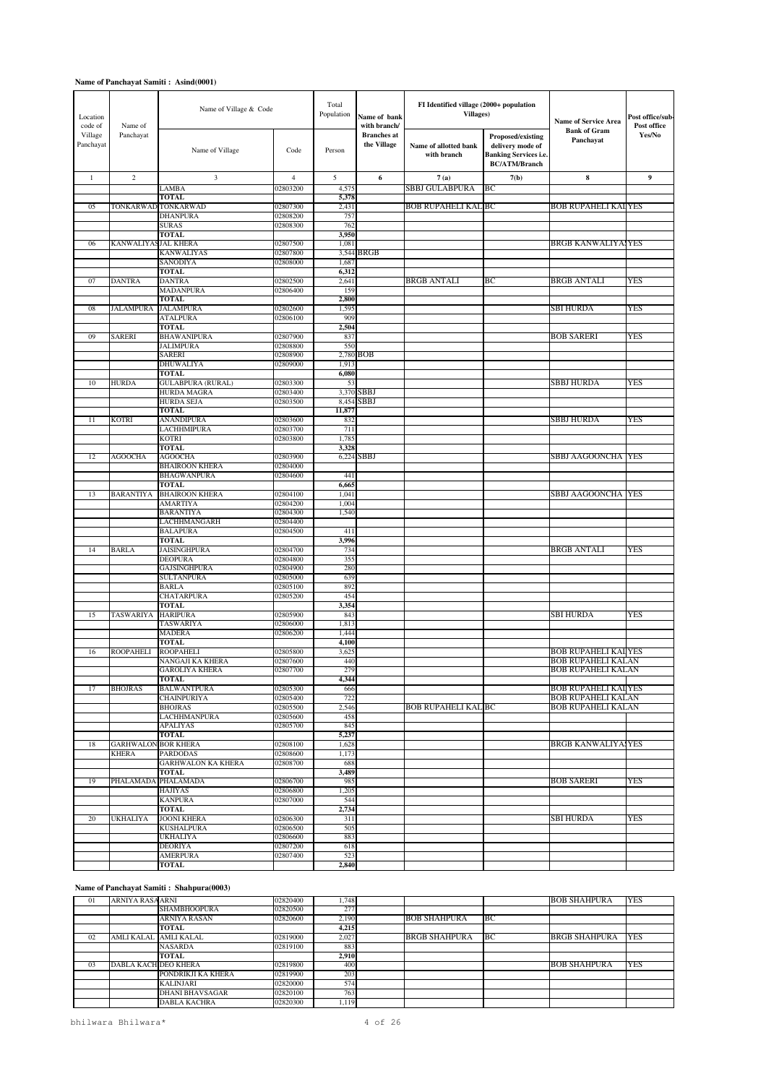| Location<br>code of  | Name of Village & Code<br>Name of |                                        |                      | Total<br>Population | Name of bank<br>with branch/      | FI Identified village (2000+ population<br><b>Villages)</b> |                                                                                               | <b>Name of Service Area</b>                            | Post office/sub-<br>Post office |
|----------------------|-----------------------------------|----------------------------------------|----------------------|---------------------|-----------------------------------|-------------------------------------------------------------|-----------------------------------------------------------------------------------------------|--------------------------------------------------------|---------------------------------|
| Village<br>Panchayat | Panchayat                         | Name of Village                        | Code                 | Person              | <b>Branches</b> at<br>the Village | Name of allotted bank<br>with branch                        | Proposed/existing<br>delivery mode of<br><b>Banking Services i.e.</b><br><b>BC/ATM/Branch</b> | <b>Bank of Gram</b><br>Panchayat                       | Yes/No                          |
| $\mathbf{1}$         | $\sqrt{2}$                        | 3                                      | $\overline{4}$       | 5                   | 6                                 | 7(a)                                                        | 7(b)                                                                                          | $\bf8$                                                 | 9                               |
|                      |                                   | LAMBA                                  | 02803200             | 4,575               |                                   | SBBJ GULABPURA                                              | BС                                                                                            |                                                        |                                 |
|                      |                                   | <b>TOTAL</b>                           |                      | 5,378               |                                   |                                                             |                                                                                               |                                                        |                                 |
| 05                   |                                   | TONKARWAD TONKARWAD<br><b>DHANPURA</b> | 02807300<br>02808200 | 2,431<br>757        |                                   | <b>BOB RUPAHELI KAL BC</b>                                  |                                                                                               | <b>BOB RUPAHELI KAI YES</b>                            |                                 |
|                      |                                   | <b>SURAS</b>                           | 02808300             | 762                 |                                   |                                                             |                                                                                               |                                                        |                                 |
|                      |                                   | <b>TOTAL</b>                           |                      | 3,950               |                                   |                                                             |                                                                                               |                                                        |                                 |
| 06                   | <b>KANWALIYASJAL KHERA</b>        |                                        | 02807500             | 1,081               |                                   |                                                             |                                                                                               | <b>BRGB KANWALIYA, YES</b>                             |                                 |
|                      |                                   | <b>KANWALIYAS</b>                      | 02807800             |                     | 3,544 BRGB                        |                                                             |                                                                                               |                                                        |                                 |
|                      |                                   | SANODIYA<br><b>TOTAL</b>               | 02808000             | 1,687               |                                   |                                                             |                                                                                               |                                                        |                                 |
| 07                   | <b>DANTRA</b>                     | DANTRA                                 | 02802500             | 6,312<br>2,641      |                                   | <b>BRGB ANTALI</b>                                          | BС                                                                                            | <b>BRGB ANTALI</b>                                     | YES                             |
|                      |                                   | <b>MADANPURA</b>                       | 02806400             | 159                 |                                   |                                                             |                                                                                               |                                                        |                                 |
|                      |                                   | <b>TOTAL</b>                           |                      | 2,800               |                                   |                                                             |                                                                                               |                                                        |                                 |
| 08                   | <b>JALAMPURA</b>                  | <b>JALAMPURA</b>                       | 02802600             | 1,595               |                                   |                                                             |                                                                                               | SBI HURDA                                              | YES                             |
|                      |                                   | <b>ATALPURA</b>                        | 02806100             | 909                 |                                   |                                                             |                                                                                               |                                                        |                                 |
|                      |                                   | TOTAL                                  |                      | 2,504               |                                   |                                                             |                                                                                               |                                                        |                                 |
| 09                   | <b>SARERI</b>                     | <b>BHAWANIPURA</b><br><b>JALIMPURA</b> | 02807900<br>02808800 | 837<br>550          |                                   |                                                             |                                                                                               | <b>BOB SARERI</b>                                      | YES                             |
|                      |                                   | <b>SARERI</b>                          | 02808900             |                     | 2,780 BOB                         |                                                             |                                                                                               |                                                        |                                 |
|                      |                                   | DHUWALIYA                              | 02809000             | 1,913               |                                   |                                                             |                                                                                               |                                                        |                                 |
|                      |                                   | TOTAL                                  |                      | 6,080               |                                   |                                                             |                                                                                               |                                                        |                                 |
| 10                   | <b>HURDA</b>                      | <b>GULABPURA (RURAL)</b>               | 02803300             | 53                  |                                   |                                                             |                                                                                               | <b>SBBJ HURDA</b>                                      | YES                             |
|                      |                                   | <b>HURDA MAGRA</b>                     | 02803400             | 3,370               | SBBJ                              |                                                             |                                                                                               |                                                        |                                 |
|                      |                                   | <b>HURDA SEJA</b><br><b>TOTAL</b>      | 02803500             | 8,454<br>11,877     | <b>SBBJ</b>                       |                                                             |                                                                                               |                                                        |                                 |
| 11                   | <b>KOTRI</b>                      | <b>ANANDIPURA</b>                      | 02803600             | 832                 |                                   |                                                             |                                                                                               | <b>SBBJ HURDA</b>                                      | YES                             |
|                      |                                   | LACHHMIPURA                            | 02803700             | 711                 |                                   |                                                             |                                                                                               |                                                        |                                 |
|                      |                                   | <b>KOTRI</b>                           | 02803800             | 1,785               |                                   |                                                             |                                                                                               |                                                        |                                 |
|                      |                                   | <b>TOTAL</b>                           |                      | 3,328               |                                   |                                                             |                                                                                               |                                                        |                                 |
| 12                   | <b>AGOOCHA</b>                    | <b>AGOOCHA</b>                         | 02803900             | 6,224               | SBBJ                              |                                                             |                                                                                               | SBBJ AAGOONCHA YES                                     |                                 |
|                      |                                   | <b>BHAIROON KHERA</b>                  | 02804000             |                     |                                   |                                                             |                                                                                               |                                                        |                                 |
|                      |                                   | <b>BHAGWANPURA</b><br><b>TOTAL</b>     | 02804600             | 441<br>6,665        |                                   |                                                             |                                                                                               |                                                        |                                 |
| 13                   | <b>BARANTIYA</b>                  | <b>BHAIROON KHERA</b>                  | 02804100             | 1,041               |                                   |                                                             |                                                                                               | SBBJ AAGOONCHA   YES                                   |                                 |
|                      |                                   | <b>AMARTIYA</b>                        | 02804200             | 1,004               |                                   |                                                             |                                                                                               |                                                        |                                 |
|                      |                                   | <b>BARANTIYA</b>                       | 02804300             | 1,540               |                                   |                                                             |                                                                                               |                                                        |                                 |
|                      |                                   | LACHHMANGARH                           | 02804400             |                     |                                   |                                                             |                                                                                               |                                                        |                                 |
|                      |                                   | <b>BALAPURA</b>                        | 02804500             | 411                 |                                   |                                                             |                                                                                               |                                                        |                                 |
| 14                   | <b>BARLA</b>                      | <b>TOTAL</b><br><b>JAISINGHPURA</b>    | 02804700             | 3,996<br>734        |                                   |                                                             |                                                                                               | <b>BRGB ANTALI</b>                                     | YES                             |
|                      |                                   | <b>DEOPURA</b>                         | 02804800             | 355                 |                                   |                                                             |                                                                                               |                                                        |                                 |
|                      |                                   | <b>GAJSINGHPURA</b>                    | 02804900             | 280                 |                                   |                                                             |                                                                                               |                                                        |                                 |
|                      |                                   | <b>SULTANPURA</b>                      | 02805000             | 639                 |                                   |                                                             |                                                                                               |                                                        |                                 |
|                      |                                   | <b>BARLA</b>                           | 02805100             | 892                 |                                   |                                                             |                                                                                               |                                                        |                                 |
|                      |                                   | <b>CHATARPURA</b>                      | 02805200             | 454                 |                                   |                                                             |                                                                                               |                                                        |                                 |
| 15                   | <b>TASWARIYA</b>                  | <b>TOTAL</b><br><b>HARIPURA</b>        | 02805900             | 3,354<br>843        |                                   |                                                             |                                                                                               | SBI HURDA                                              | YES                             |
|                      |                                   | <b>TASWARIYA</b>                       | 02806000             | 1,813               |                                   |                                                             |                                                                                               |                                                        |                                 |
|                      |                                   | <b>MADERA</b>                          | 02806200             | 1,444               |                                   |                                                             |                                                                                               |                                                        |                                 |
|                      |                                   | <b>TOTAL</b>                           |                      | 4,100               |                                   |                                                             |                                                                                               |                                                        |                                 |
| 16                   | <b>ROOPAHELI</b>                  | <b>ROOPAHELI</b>                       | 02805800             | 3,625               |                                   |                                                             |                                                                                               | <b>BOB RUPAHELI KAI YES</b>                            |                                 |
|                      |                                   | NANGAJI KA KHERA                       | 02807600<br>02807700 | 440<br>279          |                                   |                                                             |                                                                                               | <b>BOB RUPAHELI KALAN</b><br><b>BOB RUPAHELI KALAN</b> |                                 |
|                      |                                   | <b>GAROLIYA KHERA</b><br><b>TOTAL</b>  |                      | 4,344               |                                   |                                                             |                                                                                               |                                                        |                                 |
| 17                   | <b>BHOJRAS</b>                    | <b>BALWANTPURA</b>                     | 02805300             | 666                 |                                   |                                                             |                                                                                               | <b>BOB RUPAHELI KAI YES</b>                            |                                 |
|                      |                                   | <b>CHAINPURIYA</b>                     | 02805400             | 722                 |                                   |                                                             |                                                                                               | <b>BOB RUPAHELI KALAN</b>                              |                                 |
|                      |                                   | <b>BHOJRAS</b>                         | 02805500             | 2,546               |                                   | <b>BOB RUPAHELI KAL BC</b>                                  |                                                                                               | <b>BOB RUPAHELI KALAN</b>                              |                                 |
|                      |                                   | LACHHMANPURA                           | 02805600             | 458                 |                                   |                                                             |                                                                                               |                                                        |                                 |
|                      |                                   | <b>APALIYAS</b><br><b>TOTAL</b>        | 02805700             | 845<br>5,237        |                                   |                                                             |                                                                                               |                                                        |                                 |
| 18                   | <b>GARHWALON</b>                  | <b>BOR KHERA</b>                       | 02808100             | 1,628               |                                   |                                                             |                                                                                               | <b>BRGB KANWALIYA, YES</b>                             |                                 |
|                      | <b>KHERA</b>                      | <b>PARDODAS</b>                        | 02808600             | 1,173               |                                   |                                                             |                                                                                               |                                                        |                                 |
|                      |                                   | <b>GARHWALON KA KHERA</b>              | 02808700             | 688                 |                                   |                                                             |                                                                                               |                                                        |                                 |
|                      |                                   | <b>TOTAL</b>                           |                      | 3,489               |                                   |                                                             |                                                                                               |                                                        |                                 |
| 19                   | PHALAMADA                         | PHALAMADA                              | 02806700             | 985                 |                                   |                                                             |                                                                                               | <b>BOB SARERI</b>                                      | <b>YES</b>                      |
|                      |                                   | HAJIYAS                                | 02806800             | 1,205               |                                   |                                                             |                                                                                               |                                                        |                                 |
|                      |                                   | <b>KANPURA</b><br><b>TOTAL</b>         | 02807000             | 544<br>2,734        |                                   |                                                             |                                                                                               |                                                        |                                 |
| 20                   | UKHALIYA                          | <b>JOONI KHERA</b>                     | 02806300             | 311                 |                                   |                                                             |                                                                                               | SBI HURDA                                              | YES                             |
|                      |                                   | <b>KUSHALPURA</b>                      | 02806500             | 505                 |                                   |                                                             |                                                                                               |                                                        |                                 |
|                      |                                   | <b>UKHALIYA</b>                        | 02806600             | 883                 |                                   |                                                             |                                                                                               |                                                        |                                 |
|                      |                                   | <b>DEORIYA</b>                         | 02807200             | 618                 |                                   |                                                             |                                                                                               |                                                        |                                 |
|                      |                                   | <b>AMERPURA</b>                        | 02807400             | 523                 |                                   |                                                             |                                                                                               |                                                        |                                 |
|                      |                                   | <b>TOTAL</b>                           |                      | 2,840               |                                   |                                                             |                                                                                               |                                                        |                                 |

#### **Name of Panchayat Samiti : Shahpura(0003)**

| 01      | ARNIYA RASA ARNI     |                        | 02820400 | 1.748 |                      |     | <b>BOB SHAHPURA</b>  | YES         |
|---------|----------------------|------------------------|----------|-------|----------------------|-----|----------------------|-------------|
|         |                      | <b>SHAMBHOOPURA</b>    | 02820500 | 277   |                      |     |                      |             |
|         |                      | <b>ARNIYA RASAN</b>    | 02820600 | 2.190 | <b>BOB SHAHPURA</b>  | IВC |                      |             |
|         |                      | TOTAL                  |          | 4.215 |                      |     |                      |             |
| 02      |                      | AMLI KALAL AMLI KALAL  | 02819000 | 2.027 | <b>BRGB SHAHPURA</b> | IВC | <b>BRGB SHAHPURA</b> | <b>TYES</b> |
|         |                      | <b>NASARDA</b>         | 02819100 | 883   |                      |     |                      |             |
|         |                      | TOTAL                  |          | 2.910 |                      |     |                      |             |
| $^{03}$ | DABLA KACH DEO KHERA |                        | 02819800 | 400   |                      |     | <b>BOB SHAHPURA</b>  | <b>YES</b>  |
|         |                      | PONDRIKJI KA KHERA     | 02819900 | 203   |                      |     |                      |             |
|         |                      | <b>KALINJARI</b>       | 02820000 | 574   |                      |     |                      |             |
|         |                      | <b>DHANI BHAVSAGAR</b> | 02820100 | 763   |                      |     |                      |             |
|         |                      | <b>DABLA KACHRA</b>    | 02820300 | 1.119 |                      |     |                      |             |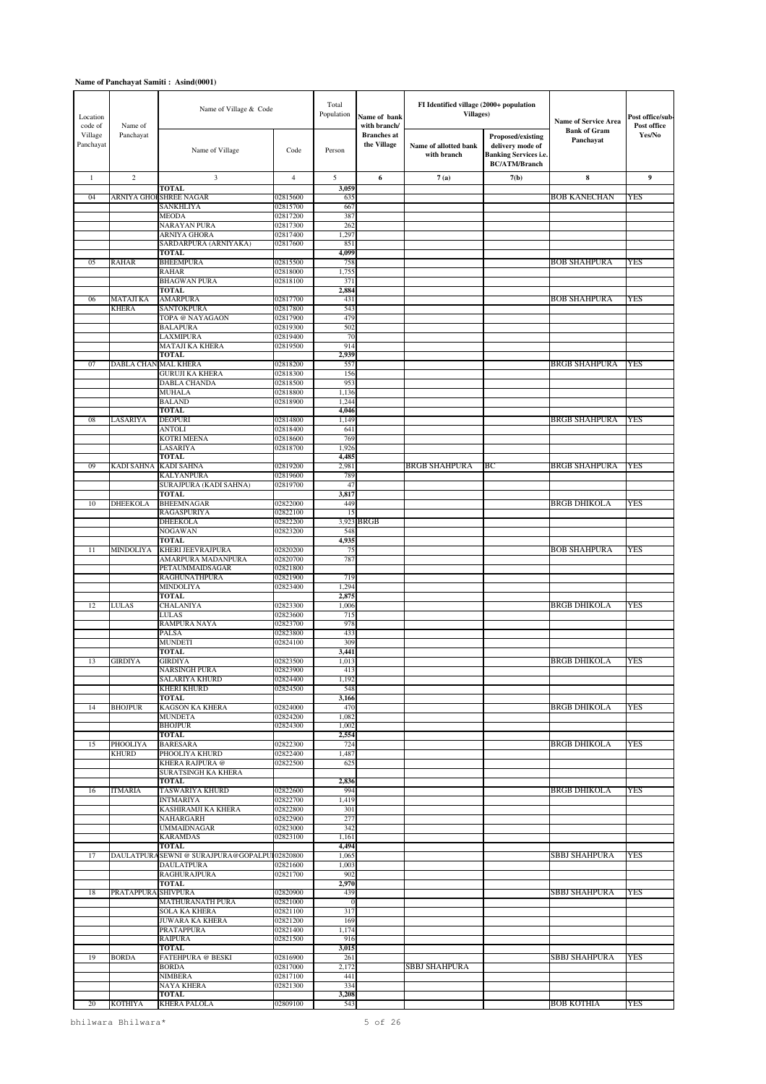| Location<br>code of  | Name of             | Name of Village & Code                                             |                      | Total<br>Population | Name of bank<br>with branch/      | FI Identified village (2000+ population<br><b>Villages</b> ) |                                                                                               | <b>Name of Service Area</b>      | Post office/sub-<br>Post office |
|----------------------|---------------------|--------------------------------------------------------------------|----------------------|---------------------|-----------------------------------|--------------------------------------------------------------|-----------------------------------------------------------------------------------------------|----------------------------------|---------------------------------|
| Village<br>Panchayat | Panchayat           | Name of Village                                                    | Code                 | Person              | <b>Branches</b> at<br>the Village | Name of allotted bank<br>with branch                         | Proposed/existing<br>delivery mode of<br><b>Banking Services i.e.</b><br><b>BC/ATM/Branch</b> | <b>Bank of Gram</b><br>Panchayat | Yes/No                          |
| $\mathbf{1}$         | $\overline{c}$      | 3                                                                  | $\overline{4}$       | 5                   | 6                                 | 7(a)                                                         | 7(b)                                                                                          | 8                                | 9                               |
| 04                   |                     | <b>TOTAL</b><br>ARNIYA GHOF SHREE NAGAR                            | 02815600             | 3,059<br>635        |                                   |                                                              |                                                                                               | <b>BOB KANECHAN</b>              | <b>YES</b>                      |
|                      |                     | <b>SANKHLIYA</b>                                                   | 02815700             | 667                 |                                   |                                                              |                                                                                               |                                  |                                 |
|                      |                     | <b>MEODA</b>                                                       | 02817200             | 387                 |                                   |                                                              |                                                                                               |                                  |                                 |
|                      |                     | NARAYAN PURA<br>ARNIYA GHORA                                       | 02817300<br>02817400 | 262<br>1,297        |                                   |                                                              |                                                                                               |                                  |                                 |
|                      |                     | SARDARPURA (ARNIYAKA)                                              | 02817600             | 851                 |                                   |                                                              |                                                                                               |                                  |                                 |
| 05                   | <b>RAHAR</b>        | <b>TOTAL</b><br><b>BHEEMPURA</b>                                   | 02815500             | 4,099<br>758        |                                   |                                                              |                                                                                               | <b>BOB SHAHPURA</b>              | YES                             |
|                      |                     | <b>RAHAR</b>                                                       | 02818000             | 1,755               |                                   |                                                              |                                                                                               |                                  |                                 |
|                      |                     | <b>BHAGWAN PURA</b>                                                | 02818100             | 371                 |                                   |                                                              |                                                                                               |                                  |                                 |
| 06                   | <b>MATAJI KA</b>    | <b>TOTAL</b><br><b>AMARPURA</b>                                    | 02817700             | 2,884<br>431        |                                   |                                                              |                                                                                               | <b>BOB SHAHPURA</b>              | <b>YES</b>                      |
|                      | <b>KHERA</b>        | <b>SANTOKPURA</b>                                                  | 02817800             | 543                 |                                   |                                                              |                                                                                               |                                  |                                 |
|                      |                     | TOPA @ NAYAGAON<br><b>BALAPURA</b>                                 | 02817900<br>02819300 | 479<br>502          |                                   |                                                              |                                                                                               |                                  |                                 |
|                      |                     | LAXMIPURA                                                          | 02819400             | 70                  |                                   |                                                              |                                                                                               |                                  |                                 |
|                      |                     | <b>MATAJI KA KHERA</b><br><b>TOTAL</b>                             | 02819500             | 914<br>2,939        |                                   |                                                              |                                                                                               |                                  |                                 |
| 07                   | <b>DABLA CHAN</b>   | <b>MAL KHERA</b>                                                   | 02818200             | 557                 |                                   |                                                              |                                                                                               | BRGB SHAHPURA                    | YES                             |
|                      |                     | <b>GURUJI KA KHERA</b>                                             | 02818300             | 156                 |                                   |                                                              |                                                                                               |                                  |                                 |
|                      |                     | <b>DABLA CHANDA</b><br><b>MUHALA</b>                               | 02818500<br>02818800 | 953<br>1,136        |                                   |                                                              |                                                                                               |                                  |                                 |
|                      |                     | <b>BALAND</b>                                                      | 02818900             | 1,244               |                                   |                                                              |                                                                                               |                                  |                                 |
| 08                   | <b>LASARIYA</b>     | <b>TOTAL</b><br><b>DEOPURI</b>                                     | 02814800             | 4,046<br>1,149      |                                   |                                                              |                                                                                               | <b>BRGB SHAHPURA</b>             | YES                             |
|                      |                     | ANTOLI                                                             | 02818400             | 641                 |                                   |                                                              |                                                                                               |                                  |                                 |
|                      |                     | <b>KOTRI MEENA</b>                                                 | 02818600             | 769                 |                                   |                                                              |                                                                                               |                                  |                                 |
|                      |                     | LASARIYA<br><b>TOTAL</b>                                           | 02818700             | 1,926<br>4,485      |                                   |                                                              |                                                                                               |                                  |                                 |
| 09                   | <b>KADI SAHNA</b>   | <b>KADI SAHNA</b>                                                  | 02819200             | 2,981               |                                   | <b>BRGB SHAHPURA</b>                                         | BС                                                                                            | <b>BRGB SHAHPURA</b>             | YES                             |
|                      |                     | <b>KALYANPURA</b>                                                  | 02819600             | 789                 |                                   |                                                              |                                                                                               |                                  |                                 |
|                      |                     | SURAJPURA (KADI SAHNA)<br><b>TOTAL</b>                             | 02819700             | 47<br>3,817         |                                   |                                                              |                                                                                               |                                  |                                 |
| 10                   | <b>DHEEKOLA</b>     | <b>BHEEMNAGAR</b>                                                  | 02822000             | 449                 |                                   |                                                              |                                                                                               | BRGB DHIKOLA                     | <b>YES</b>                      |
|                      |                     | <b>RAGASPURIYA</b><br><b>DHEEKOLA</b>                              | 02822100<br>02822200 | 15<br>3,923         | <b>BRGB</b>                       |                                                              |                                                                                               |                                  |                                 |
|                      |                     | <b>NOGAWAN</b>                                                     | 02823200             | 548                 |                                   |                                                              |                                                                                               |                                  |                                 |
| 11                   | <b>MINDOLIYA</b>    | <b>TOTAL</b><br>KHERI JEEVRAJPURA                                  | 02820200             | 4,935<br>75         |                                   |                                                              |                                                                                               | <b>BOB SHAHPURA</b>              | YES                             |
|                      |                     | AMARPURA MADANPURA                                                 | 02820700             | 787                 |                                   |                                                              |                                                                                               |                                  |                                 |
|                      |                     | PETAUMMAIDSAGAR                                                    | 02821800             |                     |                                   |                                                              |                                                                                               |                                  |                                 |
|                      |                     | <b>RAGHUNATHPURA</b><br>MINDOLIYA                                  | 02821900<br>02823400 | 719<br>1,294        |                                   |                                                              |                                                                                               |                                  |                                 |
|                      |                     | <b>TOTAL</b>                                                       |                      | 2,875               |                                   |                                                              |                                                                                               |                                  |                                 |
| 12                   | <b>LULAS</b>        | <b>CHALANIYA</b><br>LULAS                                          | 02823300<br>02823600 | 1,006<br>715        |                                   |                                                              |                                                                                               | <b>BRGB DHIKOLA</b>              | <b>YES</b>                      |
|                      |                     | <b>RAMPURA NAYA</b>                                                | 02823700             | 978                 |                                   |                                                              |                                                                                               |                                  |                                 |
|                      |                     | <b>PALSA</b>                                                       | 02823800             | 433                 |                                   |                                                              |                                                                                               |                                  |                                 |
|                      |                     | <b>MUNDETI</b><br><b>TOTAL</b>                                     | 02824100             | 309<br>3,441        |                                   |                                                              |                                                                                               |                                  |                                 |
| 13                   | <b>GIRDIYA</b>      | <b>GIRDIYA</b>                                                     | 02823500             | 1,013               |                                   |                                                              |                                                                                               | <b>BRGB DHIKOLA</b>              | YES                             |
|                      |                     | NARSINGH PURA<br>SALARIYA KHURD                                    | 02823900<br>02824400 | 413<br>1,192        |                                   |                                                              |                                                                                               |                                  |                                 |
|                      |                     | <b>KHERI KHURD</b>                                                 | 02824500             | 548                 |                                   |                                                              |                                                                                               |                                  |                                 |
| 14                   | <b>BHOJPUR</b>      | <b>TOTAL</b><br>KAGSON KA KHERA                                    | 02824000             | 3,166<br>470        |                                   |                                                              |                                                                                               | <b>BRGB DHIKOLA</b>              | YES                             |
|                      |                     | <b>MUNDETA</b>                                                     | 02824200             | 1,082               |                                   |                                                              |                                                                                               |                                  |                                 |
|                      |                     | <b>BHOJPUR</b>                                                     | 02824300             | 1,002               |                                   |                                                              |                                                                                               |                                  |                                 |
| 15                   | PHOOLIYA            | <b>TOTAL</b><br><b>BARESARA</b>                                    | 02822300             | 2,554<br>724        |                                   |                                                              |                                                                                               | <b>BRGB DHIKOLA</b>              | <b>YES</b>                      |
|                      | <b>KHURD</b>        | PHOOLIYA KHURD                                                     | 02822400             | 1,487               |                                   |                                                              |                                                                                               |                                  |                                 |
|                      |                     | KHERA RAJPURA @<br><b>SURATSINGH KA KHERA</b>                      | 02822500             | 625                 |                                   |                                                              |                                                                                               |                                  |                                 |
|                      |                     | <b>TOTAL</b>                                                       |                      | 2,836               |                                   |                                                              |                                                                                               |                                  |                                 |
| 16                   | <b>ITMARIA</b>      | TASWARIYA KHURD<br><b>INTMARIYA</b>                                | 02822600<br>02822700 | 994<br>1,419        |                                   |                                                              |                                                                                               | <b>BRGB DHIKOLA</b>              | YES                             |
|                      |                     | KASHIRAMJI KA KHERA                                                | 02822800             | 301                 |                                   |                                                              |                                                                                               |                                  |                                 |
|                      |                     | NAHARGARH<br><b>UMMAIDNAGAR</b>                                    | 02822900<br>02823000 | 277<br>342          |                                   |                                                              |                                                                                               |                                  |                                 |
|                      |                     | <b>KARAMDAS</b>                                                    | 02823100             | 1,161               |                                   |                                                              |                                                                                               |                                  |                                 |
|                      |                     | <b>TOTAL</b>                                                       |                      | 4,494               |                                   |                                                              |                                                                                               |                                  |                                 |
| 17                   |                     | DAULATPURA SEWNI @ SURAJPURA@GOPALPUI02820800<br><b>DAULATPURA</b> | 02821600             | 1,065<br>1,003      |                                   |                                                              |                                                                                               | SBBJ SHAHPURA                    | <b>YES</b>                      |
|                      |                     | <b>RAGHURAJPURA</b>                                                | 02821700             | 902                 |                                   |                                                              |                                                                                               |                                  |                                 |
| 18                   | PRATAPPURA SHIVPURA | <b>TOTAL</b>                                                       | 02820900             | 2,970<br>439        |                                   |                                                              |                                                                                               | <b>SBBJ SHAHPURA</b>             | YES                             |
|                      |                     | <b>MATHURANATH PURA</b>                                            | 02821000             | $\overline{0}$      |                                   |                                                              |                                                                                               |                                  |                                 |
|                      |                     | <b>SOLA KA KHERA</b>                                               | 02821100             | 317                 |                                   |                                                              |                                                                                               |                                  |                                 |
|                      |                     | <b>JUWARA KA KHERA</b><br><b>PRATAPPURA</b>                        | 02821200<br>02821400 | 169<br>1,174        |                                   |                                                              |                                                                                               |                                  |                                 |
|                      |                     | <b>RAIPURA</b>                                                     | 02821500             | 916                 |                                   |                                                              |                                                                                               |                                  |                                 |
| 19                   | <b>BORDA</b>        | <b>TOTAL</b><br>FATEHPURA @ BESKI                                  | 02816900             | 3,015<br>261        |                                   |                                                              |                                                                                               | SBBJ SHAHPURA                    | YES                             |
|                      |                     | <b>BORDA</b>                                                       | 02817000             | 2,172               |                                   | SBBJ SHAHPURA                                                |                                                                                               |                                  |                                 |
|                      |                     | <b>NIMBERA</b><br><b>NAYA KHERA</b>                                | 02817100<br>02821300 | 441<br>334          |                                   |                                                              |                                                                                               |                                  |                                 |
|                      |                     | <b>TOTAL</b>                                                       |                      | 3,208               |                                   |                                                              |                                                                                               |                                  |                                 |
| 20                   | <b>KOTHIYA</b>      | <b>KHERA PALOLA</b>                                                | 02809100             | 543                 |                                   |                                                              |                                                                                               | <b>BOB KOTHIA</b>                | YES                             |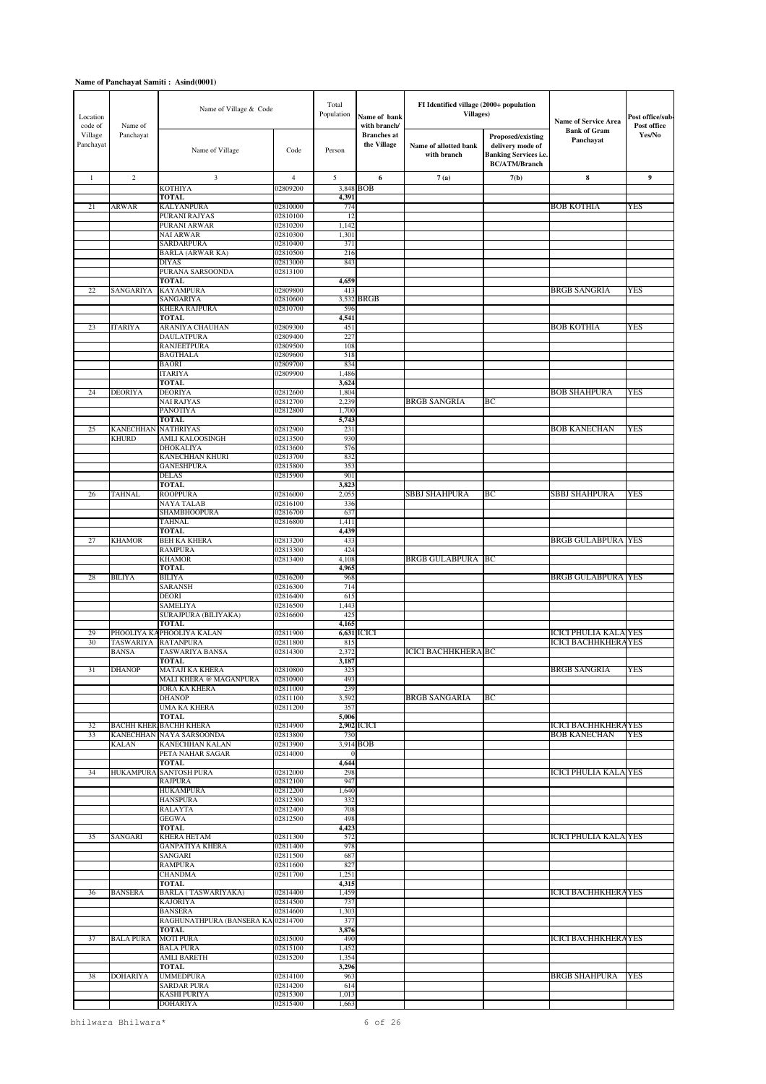| Location<br>code of  | Name of          | Name of Village & Code                                    |                      | Total<br>Population    | Name of bank<br>with branch/      | FI Identified village (2000+ population<br><b>Villages)</b> |                                                                                               | <b>Name of Service Area</b>                                | Post office/sub-<br>Post office |
|----------------------|------------------|-----------------------------------------------------------|----------------------|------------------------|-----------------------------------|-------------------------------------------------------------|-----------------------------------------------------------------------------------------------|------------------------------------------------------------|---------------------------------|
| Village<br>Panchayat | Panchayat        | Name of Village                                           | Code                 | Person                 | <b>Branches</b> at<br>the Village | Name of allotted bank<br>with branch                        | Proposed/existing<br>delivery mode of<br><b>Banking Services i.e.</b><br><b>BC/ATM/Branch</b> | <b>Bank of Gram</b><br>Panchayat                           | Yes/No                          |
| $\mathbf{1}$         | $\overline{c}$   | 3                                                         | $\overline{4}$       | 5                      | 6                                 | 7(a)                                                        | 7(b)                                                                                          | $\bf{8}$                                                   | 9                               |
|                      |                  | <b>KOTHIYA</b>                                            | 02809200             | 3,848                  | <b>BOB</b>                        |                                                             |                                                                                               |                                                            |                                 |
| 21                   | <b>ARWAR</b>     | <b>TOTAL</b><br><b>KALYANPURA</b>                         | 02810000             | 4,391<br>774           |                                   |                                                             |                                                                                               | <b>BOB KOTHIA</b>                                          | <b>YES</b>                      |
|                      |                  | PURANI RAJYAS                                             | 02810100             | 12                     |                                   |                                                             |                                                                                               |                                                            |                                 |
|                      |                  | PURANI ARWAR                                              | 02810200             | 1,142                  |                                   |                                                             |                                                                                               |                                                            |                                 |
|                      |                  | <b>NAI ARWAR</b><br><b>SARDARPURA</b>                     | 02810300<br>02810400 | 1,301<br>371           |                                   |                                                             |                                                                                               |                                                            |                                 |
|                      |                  | <b>BARLA (ARWAR KA)</b>                                   | 02810500             | 216                    |                                   |                                                             |                                                                                               |                                                            |                                 |
|                      |                  | <b>DIYAS</b>                                              | 02813000             | 843                    |                                   |                                                             |                                                                                               |                                                            |                                 |
|                      |                  | PURANA SARSOONDA                                          | 02813100             |                        |                                   |                                                             |                                                                                               |                                                            |                                 |
| 22                   | SANGARIYA        | <b>TOTAL</b><br><b>KAYAMPURA</b>                          | 02809800             | 4,659<br>413           |                                   |                                                             |                                                                                               | <b>BRGB SANGRIA</b>                                        | YES                             |
|                      |                  | SANGARIYA                                                 | 02810600             |                        | 3,532 BRGB                        |                                                             |                                                                                               |                                                            |                                 |
|                      |                  | <b>KHERA RAJPURA</b>                                      | 02810700             | 596                    |                                   |                                                             |                                                                                               |                                                            |                                 |
|                      | <b>ITARIYA</b>   | <b>TOTAL</b>                                              |                      | 4,541                  |                                   |                                                             |                                                                                               | <b>BOB KOTHIA</b>                                          | YES                             |
| 23                   |                  | ARANIYA CHAUHAN<br><b>DAULATPURA</b>                      | 02809300<br>02809400 | 451<br>227             |                                   |                                                             |                                                                                               |                                                            |                                 |
|                      |                  | <b>RANJEETPURA</b>                                        | 02809500             | 108                    |                                   |                                                             |                                                                                               |                                                            |                                 |
|                      |                  | <b>BAGTHALA</b>                                           | 02809600             | 518                    |                                   |                                                             |                                                                                               |                                                            |                                 |
|                      |                  | <b>BAORI</b>                                              | 02809700<br>02809900 | 834                    |                                   |                                                             |                                                                                               |                                                            |                                 |
|                      |                  | <b>ITARIYA</b><br><b>TOTAL</b>                            |                      | 1,486<br>3,624         |                                   |                                                             |                                                                                               |                                                            |                                 |
| 24                   | <b>DEORIYA</b>   | <b>DEORIYA</b>                                            | 02812600             | 1,804                  |                                   |                                                             |                                                                                               | <b>BOB SHAHPURA</b>                                        | YES                             |
|                      |                  | <b>NAI RAJYAS</b>                                         | 02812700             | 2,239                  |                                   | BRGB SANGRIA                                                | ВC                                                                                            |                                                            |                                 |
|                      |                  | <b>PANOTIYA</b><br><b>TOTAL</b>                           | 02812800             | 1,700                  |                                   |                                                             |                                                                                               |                                                            |                                 |
| 25                   | <b>KANECHHAN</b> | <b>NATHRIYAS</b>                                          | 02812900             | 5,743<br>231           |                                   |                                                             |                                                                                               | <b>BOB KANECHAN</b>                                        | YES                             |
|                      | <b>KHURD</b>     | AMLI KALOOSINGH                                           | 02813500             | 930                    |                                   |                                                             |                                                                                               |                                                            |                                 |
|                      |                  | <b>DHOKALIYA</b>                                          | 02813600             | 576                    |                                   |                                                             |                                                                                               |                                                            |                                 |
|                      |                  | KANECHHAN KHURI<br><b>GANESHPURA</b>                      | 02813700<br>02815800 | 832<br>35 <sup>2</sup> |                                   |                                                             |                                                                                               |                                                            |                                 |
|                      |                  | <b>DELAS</b>                                              | 02815900             | 901                    |                                   |                                                             |                                                                                               |                                                            |                                 |
|                      |                  | <b>TOTAL</b>                                              |                      | 3,823                  |                                   |                                                             |                                                                                               |                                                            |                                 |
| 26                   | <b>TAHNAL</b>    | <b>ROOPPURA</b>                                           | 02816000             | 2,055                  |                                   | SBBJ SHAHPURA                                               | ВC                                                                                            | SBBJ SHAHPURA                                              | YES                             |
|                      |                  | NAYA TALAB<br>SHAMBHOOPURA                                | 02816100<br>02816700 | 336<br>637             |                                   |                                                             |                                                                                               |                                                            |                                 |
|                      |                  | <b>TAHNAL</b>                                             | 02816800             | 1,411                  |                                   |                                                             |                                                                                               |                                                            |                                 |
|                      |                  | <b>TOTAL</b>                                              |                      | 4,439                  |                                   |                                                             |                                                                                               |                                                            |                                 |
| 27                   | <b>KHAMOR</b>    | <b>BEH KA KHERA</b>                                       | 02813200             | 433                    |                                   |                                                             |                                                                                               | <b>BRGB GULABPURA YES</b>                                  |                                 |
|                      |                  | <b>RAMPURA</b><br><b>KHAMOR</b>                           | 02813300<br>02813400 | 424<br>4,108           |                                   | <b>BRGB GULABPURA</b>                                       | BC                                                                                            |                                                            |                                 |
|                      |                  | <b>TOTAL</b>                                              |                      | 4,965                  |                                   |                                                             |                                                                                               |                                                            |                                 |
| 28                   | <b>BILIYA</b>    | <b>BILIYA</b>                                             | 02816200             | 968                    |                                   |                                                             |                                                                                               | <b>BRGB GULABPURA YES</b>                                  |                                 |
|                      |                  | <b>SARANSH</b><br><b>DEORI</b>                            | 02816300<br>02816400 | 714                    |                                   |                                                             |                                                                                               |                                                            |                                 |
|                      |                  | SAMELIYA                                                  | 02816500             | 615<br>1,44            |                                   |                                                             |                                                                                               |                                                            |                                 |
|                      |                  | SURAJPURA (BILIYAKA)                                      | 02816600             | 425                    |                                   |                                                             |                                                                                               |                                                            |                                 |
|                      |                  | <b>TOTAL</b>                                              |                      | 4,165                  |                                   |                                                             |                                                                                               |                                                            |                                 |
| 29<br>30             | <b>TASWARIYA</b> | PHOOLIYA KAPHOOLIYA KALAN<br><b>RATANPURA</b>             | 02811900<br>02811800 | 815                    | 6,631 ICICI                       |                                                             |                                                                                               | <b>ICICI PHULIA KALA YES</b><br><b>ICICI BACHHKHERAYES</b> |                                 |
|                      | <b>BANSA</b>     | TASWARIYA BANSA                                           | 02814300             | 2,372                  |                                   | <b>ICICI BACHHKHERA BC</b>                                  |                                                                                               |                                                            |                                 |
|                      |                  | TOTAL                                                     |                      | 3,187                  |                                   |                                                             |                                                                                               |                                                            |                                 |
| 31                   | DHANOP           | MATAJI KA KHERA                                           | 02810800             | 325                    |                                   |                                                             |                                                                                               | <b>BRGB SANGRIA</b>                                        | YES                             |
|                      |                  | MALI KHERA @ MAGANPURA<br>JORA KA KHERA                   | 02810900<br>02811000 | 493<br>239             |                                   |                                                             |                                                                                               |                                                            |                                 |
|                      |                  | <b>DHANOP</b>                                             | 02811100             | 3,592                  |                                   | <b>BRGB SANGARIA</b>                                        | BC                                                                                            |                                                            |                                 |
|                      |                  | <b>UMA KA KHERA</b>                                       | 02811200             | 357                    |                                   |                                                             |                                                                                               |                                                            |                                 |
|                      |                  | <b>TOTAL</b>                                              |                      | 5,006                  |                                   |                                                             |                                                                                               |                                                            |                                 |
| 32<br>33             |                  | <b>BACHH KHER BACHH KHERA</b><br>KANECHHAN NAYA SARSOONDA | 02814900<br>02813800 | 730                    | 2,902 ICICI                       |                                                             |                                                                                               | <b>ICICI BACHHKHERAYES</b><br><b>BOB KANECHAN</b>          | <b>YES</b>                      |
|                      | <b>KALAN</b>     | KANECHHAN KALAN                                           | 02813900             |                        | 3,914 BOB                         |                                                             |                                                                                               |                                                            |                                 |
|                      |                  | PETA NAHAR SAGAR                                          | 02814000             | $\Omega$               |                                   |                                                             |                                                                                               |                                                            |                                 |
| 34                   |                  | <b>TOTAL</b><br>HUKAMPURA SANTOSH PURA                    | 02812000             | 4,644<br>298           |                                   |                                                             |                                                                                               | <b>ICICI PHULIA KALA YES</b>                               |                                 |
|                      |                  | <b>RAJPURA</b>                                            | 02812100             | 947                    |                                   |                                                             |                                                                                               |                                                            |                                 |
|                      |                  | <b>HUKAMPURA</b>                                          | 02812200             | 1,640                  |                                   |                                                             |                                                                                               |                                                            |                                 |
|                      |                  | <b>HANSPURA</b>                                           | 02812300             | 332                    |                                   |                                                             |                                                                                               |                                                            |                                 |
|                      |                  | <b>RALAYTA</b><br><b>GEGWA</b>                            | 02812400<br>02812500 | 708<br>498             |                                   |                                                             |                                                                                               |                                                            |                                 |
|                      |                  | <b>TOTAL</b>                                              |                      | 4,423                  |                                   |                                                             |                                                                                               |                                                            |                                 |
| 35                   | SANGARI          | KHERA HETAM                                               | 02811300             | 572                    |                                   |                                                             |                                                                                               | <b>ICICI PHULIA KALA YES</b>                               |                                 |
|                      |                  | <b>GANPATIYA KHERA</b>                                    | 02811400             | 978                    |                                   |                                                             |                                                                                               |                                                            |                                 |
|                      |                  | SANGARI<br><b>RAMPURA</b>                                 | 02811500<br>02811600 | 687<br>827             |                                   |                                                             |                                                                                               |                                                            |                                 |
|                      |                  | <b>CHANDMA</b>                                            | 02811700             | 1,251                  |                                   |                                                             |                                                                                               |                                                            |                                 |
|                      |                  | <b>TOTAL</b>                                              |                      | 4,315                  |                                   |                                                             |                                                                                               |                                                            |                                 |
| 36                   | <b>BANSERA</b>   | BARLA (TASWARIYAKA)                                       | 02814400             | 1,459                  |                                   |                                                             |                                                                                               | <b>ICICI BACHHKHERAYES</b>                                 |                                 |
|                      |                  | <b>KAJORIYA</b><br><b>BANSERA</b>                         | 02814500<br>02814600 | 737<br>1,303           |                                   |                                                             |                                                                                               |                                                            |                                 |
|                      |                  | RAGHUNATHPURA (BANSERA KA 02814700                        |                      | 377                    |                                   |                                                             |                                                                                               |                                                            |                                 |
|                      |                  | <b>TOTAL</b>                                              |                      | 3,876                  |                                   |                                                             |                                                                                               |                                                            |                                 |
| 37                   | <b>BALA PURA</b> | <b>MOTI PURA</b>                                          | 02815000             | 490                    |                                   |                                                             |                                                                                               | <b>ICICI BACHHKHERAYES</b>                                 |                                 |
|                      |                  | <b>BALA PURA</b><br><b>AMLI BARETH</b>                    | 02815100<br>02815200 | 1,452<br>1,354         |                                   |                                                             |                                                                                               |                                                            |                                 |
|                      |                  | <b>TOTAL</b>                                              |                      | 3,296                  |                                   |                                                             |                                                                                               |                                                            |                                 |
| 38                   | <b>DOHARIYA</b>  | <b>UMMEDPURA</b>                                          | 02814100             | 963                    |                                   |                                                             |                                                                                               | <b>BRGB SHAHPURA</b>                                       | <b>YES</b>                      |
|                      |                  | <b>SARDAR PURA</b>                                        | 02814200             | 614                    |                                   |                                                             |                                                                                               |                                                            |                                 |
|                      |                  | <b>KASHI PURIYA</b><br>DOHARIYA                           | 02815300<br>02815400 | 1,013<br>1,663         |                                   |                                                             |                                                                                               |                                                            |                                 |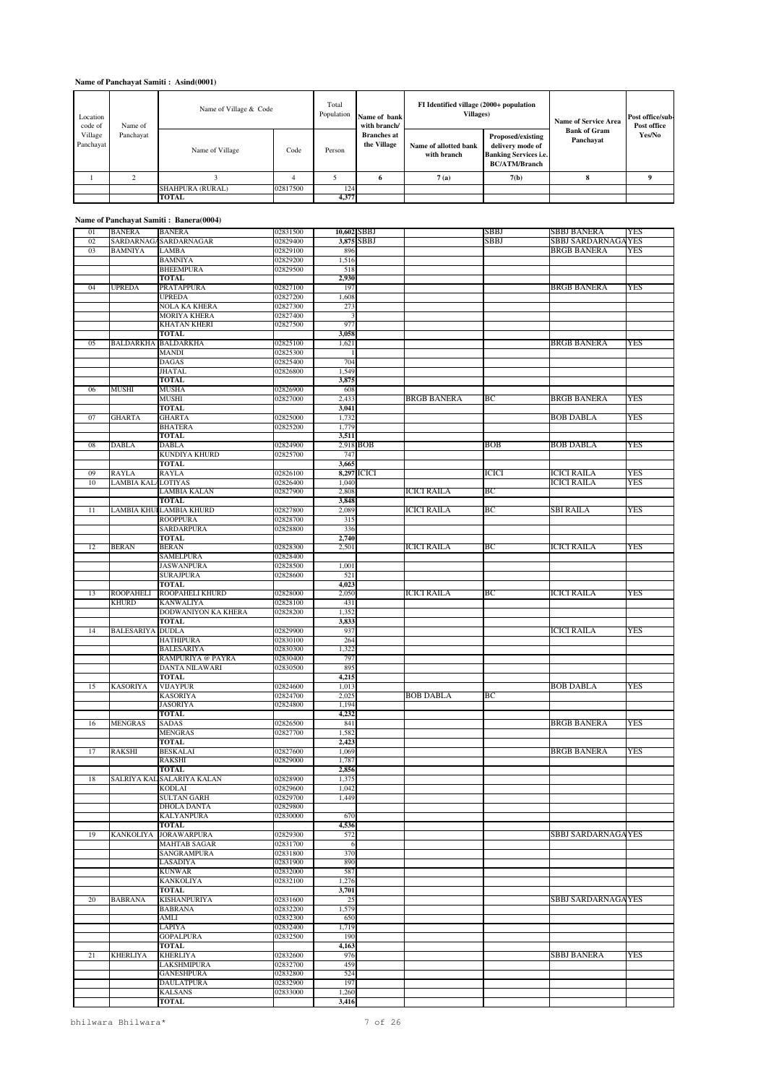| Location<br>code of  | Name of Village & Code<br>Name of |                         |          | Total<br>Population | Name of bank<br>with branch/      | FI Identified village (2000+ population<br><b>Villages</b> ) |                                                                                               | <b>Name of Service Area</b>      | Post office/sub-<br>Post office |
|----------------------|-----------------------------------|-------------------------|----------|---------------------|-----------------------------------|--------------------------------------------------------------|-----------------------------------------------------------------------------------------------|----------------------------------|---------------------------------|
| Village<br>Panchayat | Panchayat                         | Name of Village         | Code     | Person              | <b>Branches</b> at<br>the Village | Name of allotted bank<br>with branch                         | Proposed/existing<br>delivery mode of<br><b>Banking Services i.e.</b><br><b>BC/ATM/Branch</b> | <b>Bank of Gram</b><br>Panchayat | Yes/No                          |
|                      |                                   |                         |          |                     | 6                                 | 7(a)                                                         | 7(b)                                                                                          |                                  |                                 |
|                      |                                   | <b>SHAHPURA (RURAL)</b> | 02817500 | 124                 |                                   |                                                              |                                                                                               |                                  |                                 |
|                      |                                   | TOTAL                   |          | 4,377               |                                   |                                                              |                                                                                               |                                  |                                 |

# **Name of Panchayat Samiti : Banera(0004)**

| 01 | <b>BANERA</b>      | <b>BANERA</b>                  | 02831500 |                | 10,602 SBBJ |                  | SBBJ        | <b>SBBJ BANERA</b>         | <b>YES</b> |
|----|--------------------|--------------------------------|----------|----------------|-------------|------------------|-------------|----------------------------|------------|
| 02 |                    | SARDARNAGA SARDARNAGAR         | 02829400 |                | 3,875 SBBJ  |                  | <b>SBBJ</b> | <b>SBBJ SARDARNAGA YES</b> |            |
| 03 | <b>BAMNIYA</b>     | <b>LAMBA</b>                   | 02829100 | 896            |             |                  |             | <b>BRGB BANERA</b>         | YES        |
|    |                    | <b>BAMNIYA</b>                 | 02829200 | 1,516          |             |                  |             |                            |            |
|    |                    | <b>BHEEMPURA</b>               | 02829500 | 518            |             |                  |             |                            |            |
|    |                    | TOTAL                          |          | 2,930          |             |                  |             |                            |            |
| 04 | <b>UPREDA</b>      | <b>PRATAPPURA</b>              | 02827100 | 197            |             |                  |             | <b>BRGB BANERA</b>         | <b>YES</b> |
|    |                    | <b>UPREDA</b>                  |          |                |             |                  |             |                            |            |
|    |                    |                                | 02827200 | 1,608          |             |                  |             |                            |            |
|    |                    | NOLA KA KHERA                  | 02827300 | 273            |             |                  |             |                            |            |
|    |                    | <b>MORIYA KHERA</b>            | 02827400 | 3              |             |                  |             |                            |            |
|    |                    | <b>KHATAN KHERI</b>            | 02827500 | 977            |             |                  |             |                            |            |
|    |                    | <b>TOTAL</b>                   |          | 3,058          |             |                  |             |                            |            |
| 05 |                    | <b>BALDARKHA BALDARKHA</b>     | 02825100 | 1,621          |             |                  |             | <b>BRGB BANERA</b>         | YES        |
|    |                    | <b>MANDI</b>                   | 02825300 | -1             |             |                  |             |                            |            |
|    |                    | <b>DAGAS</b>                   | 02825400 | 704            |             |                  |             |                            |            |
|    |                    |                                |          | 1,549          |             |                  |             |                            |            |
|    |                    | <b>JHATAL</b>                  | 02826800 |                |             |                  |             |                            |            |
|    |                    | <b>TOTAL</b>                   |          | 3,875          |             |                  |             |                            |            |
| 06 | MUSHI              | <b>MUSHA</b>                   | 02826900 | 608            |             |                  |             |                            |            |
|    |                    | MUSHI                          | 02827000 | 2,433          |             | BRGB BANERA      | ВC          | <b>BRGB BANERA</b>         | <b>YES</b> |
|    |                    | <b>TOTAL</b>                   |          | 3,041          |             |                  |             |                            |            |
| 07 | <b>GHARTA</b>      | <b>GHARTA</b>                  | 02825000 | 1,732          |             |                  |             | <b>BOB DABLA</b>           | <b>YES</b> |
|    |                    | <b>BHATERA</b>                 | 02825200 | 1,779          |             |                  |             |                            |            |
|    |                    | <b>TOTAL</b>                   |          | 3,511          |             |                  |             |                            |            |
| 08 | <b>DABLA</b>       | <b>DABLA</b>                   | 02824900 |                | 2,918 BOB   |                  | BOB         | <b>BOB DABLA</b>           | <b>YES</b> |
|    |                    | KUNDIYA KHURD                  | 02825700 | 747            |             |                  |             |                            |            |
|    |                    |                                |          |                |             |                  |             |                            |            |
|    |                    | TOTAL                          |          | 3,665          |             |                  |             |                            |            |
| 09 | <b>RAYLA</b>       | <b>RAYLA</b>                   | 02826100 |                | 8,297 ICICI |                  | ICICI       | <b>ICICI RAILA</b>         | <b>YES</b> |
| 10 | LAMBIA KAL/LOTIYAS |                                | 02826400 | 1,040          |             |                  |             | <b>ICICI RAILA</b>         | YES        |
|    |                    | LAMBIA KALAN                   | 02827900 | 2,808          |             | ICICI RAILA      | BС          |                            |            |
|    |                    | <b>TOTAL</b>                   |          | 3,848          |             |                  |             |                            |            |
| 11 | <b>LAMBIA KHU</b>  | <b>ILAMBIA KHURD</b>           | 02827800 | 2,089          |             | ICICI RAILA      | BС          | <b>SBI RAILA</b>           | <b>YES</b> |
|    |                    | <b>ROOPPURA</b>                | 02828700 | 315            |             |                  |             |                            |            |
|    |                    | <b>SARDARPURA</b>              | 02828800 | 336            |             |                  |             |                            |            |
|    |                    |                                |          |                |             |                  |             |                            |            |
|    |                    | <b>TOTAL</b>                   |          | 2,740          |             |                  |             |                            |            |
| 12 | <b>BERAN</b>       | <b>BERAN</b>                   | 02828300 | 2,501          |             | ICICI RAILA      | BС          | <b>ICICI RAILA</b>         | YES        |
|    |                    | <b>SAMELPURA</b>               | 02828400 |                |             |                  |             |                            |            |
|    |                    | <b>JASWANPURA</b>              | 02828500 | 1,001          |             |                  |             |                            |            |
|    |                    | <b>SURAJPURA</b>               | 02828600 | 521            |             |                  |             |                            |            |
|    |                    | <b>TOTAL</b>                   |          | 4,023          |             |                  |             |                            |            |
| 13 | <b>ROOPAHELI</b>   | ROOPAHELI KHURD                | 02828000 | 2,050          |             | ICICI RAILA      | BС          | <b>ICICI RAILA</b>         | YES        |
|    | <b>KHURD</b>       | <b>KANWALIYA</b>               | 02828100 | 431            |             |                  |             |                            |            |
|    |                    | DODWANIYON KA KHERA            | 02828200 | 1,352          |             |                  |             |                            |            |
|    |                    |                                |          |                |             |                  |             |                            |            |
|    |                    | TOTAL                          |          | 3,833          |             |                  |             |                            |            |
|    | <b>BALESARIYA</b>  | <b>DUDLA</b>                   | 02829900 | 937            |             |                  |             | <b>ICICI RAILA</b>         | <b>YES</b> |
| 14 |                    |                                |          |                |             |                  |             |                            |            |
|    |                    | <b>HATHIPURA</b>               | 02830100 | 264            |             |                  |             |                            |            |
|    |                    | <b>BALESARIYA</b>              | 02830300 | 1,322          |             |                  |             |                            |            |
|    |                    | RAMPURIYA @ PAYRA              | 02830400 | 797            |             |                  |             |                            |            |
|    |                    | DANTA NILAWARI                 | 02830500 | 895            |             |                  |             |                            |            |
|    |                    |                                |          |                |             |                  |             |                            |            |
|    |                    | <b>TOTAL</b>                   |          | 4,215          |             |                  |             |                            |            |
| 15 | <b>KASORIYA</b>    | <b>VIJAYPUR</b>                | 02824600 | 1,013          |             |                  |             | BOB DABLA                  | YES        |
|    |                    | <b>KASORIYA</b>                | 02824700 | 2,025          |             | <b>BOB DABLA</b> | BС          |                            |            |
|    |                    | JASORIYA                       | 02824800 | 1,194          |             |                  |             |                            |            |
|    |                    | <b>TOTAL</b>                   |          | 4,232          |             |                  |             |                            |            |
| 16 | <b>MENGRAS</b>     | <b>SADAS</b>                   | 02826500 | 841            |             |                  |             | <b>BRGB BANERA</b>         | YES        |
|    |                    | <b>MENGRAS</b>                 | 02827700 | 1,582          |             |                  |             |                            |            |
|    |                    | <b>TOTAL</b>                   |          | 2,423          |             |                  |             |                            |            |
| 17 | <b>RAKSHI</b>      | BESKALAI                       | 02827600 | 1,069          |             |                  |             | <b>BRGB BANERA</b>         | <b>YES</b> |
|    |                    | <b>RAKSHI</b>                  | 02829000 | 1,787          |             |                  |             |                            |            |
|    |                    |                                |          |                |             |                  |             |                            |            |
|    |                    | <b>TOTAL</b>                   |          | 2,856          |             |                  |             |                            |            |
| 18 |                    | SALRIYA KAL SALARIYA KALAN     | 02828900 | 1,375          |             |                  |             |                            |            |
|    |                    | <b>KODLAI</b>                  | 02829600 | 1,042          |             |                  |             |                            |            |
|    |                    | <b>SULTAN GARH</b>             | 02829700 | 1,449          |             |                  |             |                            |            |
|    |                    | DHOLA DANTA                    | 02829800 |                |             |                  |             |                            |            |
|    |                    | <b>KALYANPURA</b>              | 02830000 | 670            |             |                  |             |                            |            |
|    |                    | <b>TOTAL</b>                   |          | 4,536          |             |                  |             |                            |            |
| 19 | <b>KANKOLIYA</b>   | <b>JORAWARPURA</b>             | 02829300 | 572            |             |                  |             | SBBJ SARDARNAGA YES        |            |
|    |                    | <b>MAHTAB SAGAR</b>            | 02831700 | -6             |             |                  |             |                            |            |
|    |                    | SANGRAMPURA                    | 02831800 | 370            |             |                  |             |                            |            |
|    |                    | LASADIYA                       | 02831900 | 890            |             |                  |             |                            |            |
|    |                    |                                |          |                |             |                  |             |                            |            |
|    |                    | <b>KUNWAR</b>                  | 02832000 | 587            |             |                  |             |                            |            |
|    |                    | KANKOLIYA                      | 02832100 | 1,276          |             |                  |             |                            |            |
|    |                    | TOTAL                          |          | 3,701          |             |                  |             |                            |            |
| 20 | <b>BABRANA</b>     | <b>KISHANPURIYA</b>            | 02831600 | 25             |             |                  |             | SBBJ SARDARNAGA YES        |            |
|    |                    | <b>BABRANA</b>                 | 02832200 | 1,579          |             |                  |             |                            |            |
|    |                    | <b>AMLI</b>                    | 02832300 | 650            |             |                  |             |                            |            |
|    |                    | <b>LAPIYA</b>                  | 02832400 | 1,719          |             |                  |             |                            |            |
|    |                    | GOPALPURA                      | 02832500 | 190            |             |                  |             |                            |            |
|    |                    | <b>TOTAL</b>                   |          |                |             |                  |             |                            |            |
|    |                    |                                |          | 4,163          |             |                  |             |                            |            |
| 21 | <b>KHERLIYA</b>    | <b>KHERLIYA</b>                | 02832600 | 976            |             |                  |             | SBBJ BANERA                | YES        |
|    |                    | <b>LAKSHMIPURA</b>             | 02832700 | 459            |             |                  |             |                            |            |
|    |                    | <b>GANESHPURA</b>              | 02832800 | 524            |             |                  |             |                            |            |
|    |                    | <b>DAULATPURA</b>              | 02832900 | 197            |             |                  |             |                            |            |
|    |                    | <b>KALSANS</b><br><b>TOTAL</b> | 02833000 | 1,260<br>3,416 |             |                  |             |                            |            |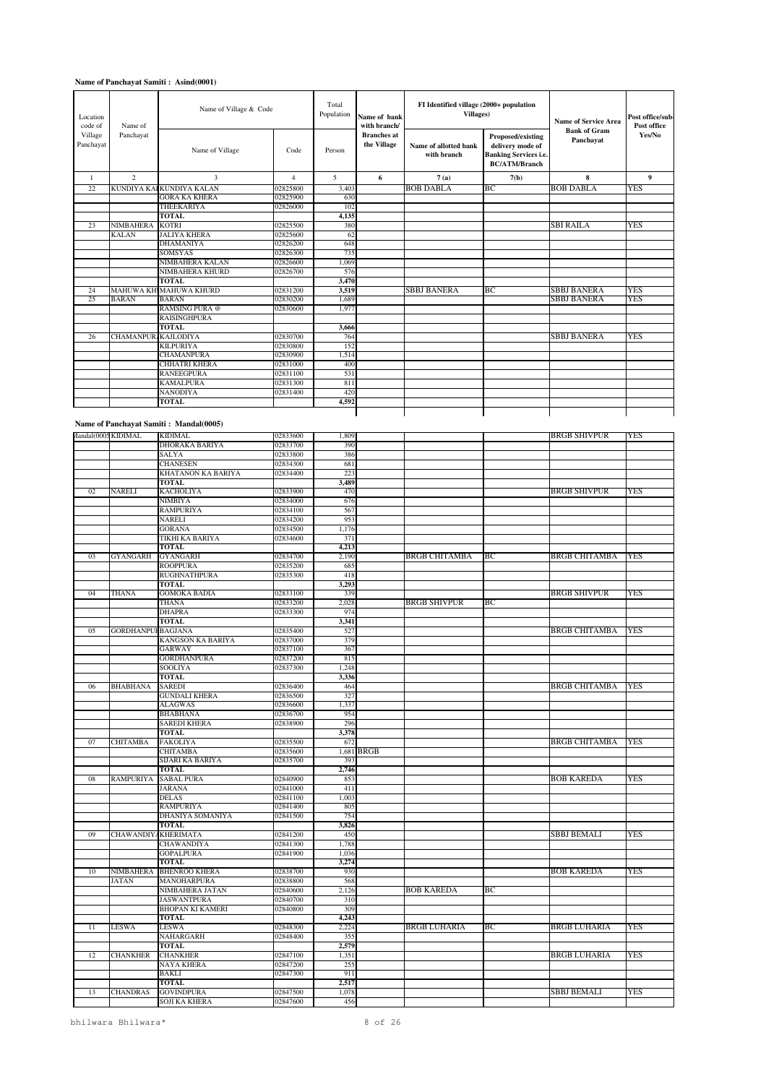| Location<br>code of  | Name of                    | Name of Village & Code   |                | Total<br>Population | Name of bank<br>with branch/      | FI Identified village (2000+ population<br><b>Villages</b> ) |                                                                                               | <b>Name of Service Area</b><br><b>Bank of Gram</b> | Post office/sub-<br>Post office |
|----------------------|----------------------------|--------------------------|----------------|---------------------|-----------------------------------|--------------------------------------------------------------|-----------------------------------------------------------------------------------------------|----------------------------------------------------|---------------------------------|
| Village<br>Panchayat | Panchayat                  | Name of Village          | Code           | Person              | <b>Branches</b> at<br>the Village | Name of allotted bank<br>with branch                         | Proposed/existing<br>delivery mode of<br><b>Banking Services i.e.</b><br><b>BC/ATM/Branch</b> | Panchavat                                          | Yes/No                          |
| 1                    | $\overline{c}$             | 3                        | $\overline{4}$ | 5                   | 6                                 | 7(a)                                                         | 7(b)                                                                                          | 8                                                  | 9                               |
| 22                   |                            | KUNDIYA KALKUNDIYA KALAN | 02825800       | 3,403               |                                   | <b>BOB DABLA</b>                                             | ВC                                                                                            | <b>BOB DABLA</b>                                   | YES                             |
|                      |                            | <b>GORA KA KHERA</b>     | 02825900       | 630                 |                                   |                                                              |                                                                                               |                                                    |                                 |
|                      |                            | <b>THEEKARIYA</b>        | 02826000       | 102                 |                                   |                                                              |                                                                                               |                                                    |                                 |
|                      |                            | <b>TOTAL</b>             |                | 4.135               |                                   |                                                              |                                                                                               |                                                    |                                 |
| 23                   | <b>NIMBAHERA</b>           | KOTRI                    | 02825500       | 380                 |                                   |                                                              |                                                                                               | <b>SBI RAILA</b>                                   | <b>YES</b>                      |
|                      | <b>KALAN</b>               | <b>JALIYA KHERA</b>      | 02825600       | 62                  |                                   |                                                              |                                                                                               |                                                    |                                 |
|                      |                            | <b>DHAMANIYA</b>         | 02826200       | 648                 |                                   |                                                              |                                                                                               |                                                    |                                 |
|                      |                            | <b>SOMSYAS</b>           | 02826300       | 735                 |                                   |                                                              |                                                                                               |                                                    |                                 |
|                      |                            | <b>NIMBAHERA KALAN</b>   | 02826600       | 1,069               |                                   |                                                              |                                                                                               |                                                    |                                 |
|                      |                            | <b>NIMBAHERA KHURD</b>   | 02826700       | 576                 |                                   |                                                              |                                                                                               |                                                    |                                 |
|                      |                            | <b>TOTAL</b>             |                | 3,470               |                                   |                                                              |                                                                                               |                                                    |                                 |
| 24                   |                            | MAHUWA KHUMAHUWA KHURD   | 02831200       | 3.519               |                                   | <b>SBBJ BANERA</b>                                           | ВC                                                                                            | <b>SBBJ BANERA</b>                                 | <b>YES</b>                      |
| 25                   | <b>BARAN</b>               | <b>BARAN</b>             | 02830200       | 1.689               |                                   |                                                              |                                                                                               | <b>SBBJ BANERA</b>                                 | <b>YES</b>                      |
|                      |                            | RAMSING PURA @           | 02830600       | 1.977               |                                   |                                                              |                                                                                               |                                                    |                                 |
|                      |                            | <b>RAISINGHPURA</b>      |                |                     |                                   |                                                              |                                                                                               |                                                    |                                 |
|                      |                            | <b>TOTAL</b>             |                | 3,666               |                                   |                                                              |                                                                                               |                                                    |                                 |
| 26                   | <b>CHAMANPUR KAJLODIYA</b> |                          | 02830700       | 764                 |                                   |                                                              |                                                                                               | <b>SBBJ BANERA</b>                                 | YES                             |
|                      |                            | <b>KILPURIYA</b>         | 02830800       | 152                 |                                   |                                                              |                                                                                               |                                                    |                                 |
|                      |                            | <b>CHAMANPURA</b>        | 02830900       | 1,514               |                                   |                                                              |                                                                                               |                                                    |                                 |
|                      |                            | <b>CHHATRI KHERA</b>     | 02831000       | 400                 |                                   |                                                              |                                                                                               |                                                    |                                 |
|                      |                            | <b>RANEEGPURA</b>        | 02831100       | 531                 |                                   |                                                              |                                                                                               |                                                    |                                 |
|                      |                            | <b>KAMALPURA</b>         | 02831300       | 811                 |                                   |                                                              |                                                                                               |                                                    |                                 |
|                      |                            | <b>NANODIYA</b>          | 02831400       | 420                 |                                   |                                                              |                                                                                               |                                                    |                                 |
|                      |                            | <b>TOTAL</b>             |                | 4,592               |                                   |                                                              |                                                                                               |                                                    |                                 |

#### **Name of Panchayat Samiti : Mandal(0005)**

|                | Aandal(0005KIDIMAL        | <b>KIDIMAL</b>           | 02833600 | 1,809 |            |                      |    | <b>BRGB SHIVPUR</b>  | <b>YES</b> |
|----------------|---------------------------|--------------------------|----------|-------|------------|----------------------|----|----------------------|------------|
|                |                           | DHORAKA BARIYA           | 02833700 | 390   |            |                      |    |                      |            |
|                |                           | SALYA                    | 02833800 | 386   |            |                      |    |                      |            |
|                |                           | <b>CHANESEN</b>          | 02834300 | 681   |            |                      |    |                      |            |
|                |                           | KHATANON KA BARIYA       | 02834400 | 223   |            |                      |    |                      |            |
|                |                           | <b>TOTAL</b>             |          | 3,489 |            |                      |    |                      |            |
| 02             | <b>NARELI</b>             | <b>KACHOLIYA</b>         | 02833900 | 470   |            |                      |    | <b>BRGB SHIVPUR</b>  | <b>YES</b> |
|                |                           | <b>NIMBIYA</b>           | 02834000 | 676   |            |                      |    |                      |            |
|                |                           | <b>RAMPURIYA</b>         | 02834100 | 567   |            |                      |    |                      |            |
|                |                           | <b>NARELI</b>            | 02834200 | 953   |            |                      |    |                      |            |
|                |                           | <b>GORANA</b>            | 02834500 | 1,176 |            |                      |    |                      |            |
|                |                           | TIKHI KA BARIYA          | 02834600 | 371   |            |                      |    |                      |            |
|                |                           | <b>TOTAL</b>             |          | 4,213 |            |                      |    |                      |            |
| 03             | <b>GYANGARH</b>           | <b>GYANGARH</b>          | 02834700 | 2,190 |            | <b>BRGB CHITAMBA</b> | BС | <b>BRGB CHITAMBA</b> | <b>YES</b> |
|                |                           | <b>ROOPPURA</b>          | 02835200 | 685   |            |                      |    |                      |            |
|                |                           | <b>RUGHNATHPURA</b>      | 02835300 | 418   |            |                      |    |                      |            |
|                |                           | <b>TOTAL</b>             |          | 3,293 |            |                      |    |                      |            |
| 04             | <b>THANA</b>              | <b>GOMOKA BADIA</b>      | 02833100 | 339   |            |                      |    | <b>BRGB SHIVPUR</b>  | YES        |
|                |                           | <b>THANA</b>             | 02833200 | 2,028 |            | <b>BRGB SHIVPUR</b>  | BС |                      |            |
|                |                           | <b>DHAPRA</b>            | 02833300 | 974   |            |                      |    |                      |            |
|                |                           | <b>TOTAL</b>             |          | 3,341 |            |                      |    |                      |            |
| 0 <sub>5</sub> | <b>GORDHANPUF BAGJANA</b> |                          | 02835400 | 527   |            |                      |    | <b>BRGB CHITAMBA</b> | <b>YES</b> |
|                |                           | <b>KANGSON KA BARIYA</b> | 02837000 | 379   |            |                      |    |                      |            |
|                |                           | <b>GARWAY</b>            | 02837100 | 367   |            |                      |    |                      |            |
|                |                           |                          |          |       |            |                      |    |                      |            |
|                |                           | <b>GORDHANPURA</b>       | 02837200 | 815   |            |                      |    |                      |            |
|                |                           | <b>SOOLIYA</b>           | 02837300 | 1,248 |            |                      |    |                      |            |
|                |                           | <b>TOTAL</b>             |          | 3,336 |            |                      |    |                      |            |
| 06             | <b>BHABHANA</b>           | SAREDI                   | 02836400 | 464   |            |                      |    | <b>BRGB CHITAMBA</b> | <b>YES</b> |
|                |                           | <b>GUNDALI KHERA</b>     | 02836500 | 327   |            |                      |    |                      |            |
|                |                           | <b>ALAGWAS</b>           | 02836600 | 1,337 |            |                      |    |                      |            |
|                |                           | <b>BHABHANA</b>          | 02836700 | 954   |            |                      |    |                      |            |
|                |                           | <b>SAREDI KHERA</b>      | 02838900 | 296   |            |                      |    |                      |            |
|                |                           | <b>TOTAL</b>             |          | 3,378 |            |                      |    |                      |            |
| 07             | <b>CHITAMBA</b>           | <b>FAKOLIYA</b>          | 02835500 | 672   |            |                      |    | <b>BRGB CHITAMBA</b> | <b>YES</b> |
|                |                           | <b>CHITAMBA</b>          | 02835600 |       | 1,681 BRGB |                      |    |                      |            |
|                |                           | SIJARI KA BARIYA         | 02835700 | 393   |            |                      |    |                      |            |
|                |                           | <b>TOTAL</b>             |          | 2,746 |            |                      |    |                      |            |
| 08             | <b>RAMPURIYA</b>          | <b>SABAL PURA</b>        | 02840900 | 853   |            |                      |    | <b>BOB KAREDA</b>    | <b>YES</b> |
|                |                           | JARANA                   | 02841000 | 411   |            |                      |    |                      |            |
|                |                           | <b>DELAS</b>             | 02841100 | 1,003 |            |                      |    |                      |            |
|                |                           | <b>RAMPURIYA</b>         | 02841400 | 805   |            |                      |    |                      |            |
|                |                           | DHANIYA SOMANIYA         | 02841500 | 754   |            |                      |    |                      |            |
|                |                           | <b>TOTAL</b>             |          | 3,826 |            |                      |    |                      |            |
| 09             |                           | CHAWANDIY/KHERIMATA      | 02841200 | 450   |            |                      |    | SBBJ BEMALI          | YES        |
|                |                           | CHAWANDIYA               | 02841300 | 1,788 |            |                      |    |                      |            |
|                |                           | <b>GOPALPURA</b>         | 02841900 | 1.036 |            |                      |    |                      |            |
|                |                           | <b>TOTAL</b>             |          | 3,274 |            |                      |    |                      |            |
| 10             | <b>NIMBAHERA</b>          | <b>BHENROO KHERA</b>     | 02838700 | 930   |            |                      |    | <b>BOB KAREDA</b>    | YES        |
|                | <b>JATAN</b>              | MANOHARPURA              | 02838800 | 568   |            |                      |    |                      |            |
|                |                           | NIMBAHERA JATAN          | 02840600 | 2,126 |            | <b>BOB KAREDA</b>    | BС |                      |            |
|                |                           | <b>JASWANTPURA</b>       | 02840700 | 310   |            |                      |    |                      |            |
|                |                           | <b>BHOPAN KI KAMERI</b>  | 02840800 | 309   |            |                      |    |                      |            |
|                |                           | <b>TOTAL</b>             |          | 4,243 |            |                      |    |                      |            |
| 11             | <b>LESWA</b>              | <b>LESWA</b>             | 02848300 | 2,224 |            | BRGB LUHARIA         | ВC | BRGB LUHARIA         | YES        |
|                |                           | NAHARGARH                | 02848400 | 355   |            |                      |    |                      |            |
|                |                           |                          |          |       |            |                      |    |                      |            |
|                |                           | <b>TOTAL</b>             |          | 2.579 |            |                      |    |                      |            |
| 12             | <b>CHANKHER</b>           | <b>CHANKHER</b>          | 02847100 | 1,351 |            |                      |    | <b>BRGB LUHARIA</b>  | YES        |
|                |                           | <b>NAYA KHERA</b>        | 02847200 | 255   |            |                      |    |                      |            |
|                |                           | <b>BAKLI</b>             | 02847300 | 911   |            |                      |    |                      |            |
|                |                           | TOTAL                    |          | 2,517 |            |                      |    |                      |            |
| 13             | <b>CHANDRAS</b>           | <b>GOVINDPURA</b>        | 02847500 | 1.078 |            |                      |    | SBBJ BEMALI          | YES        |
|                |                           | <b>SOJI KA KHERA</b>     | 02847600 | 456   |            |                      |    |                      |            |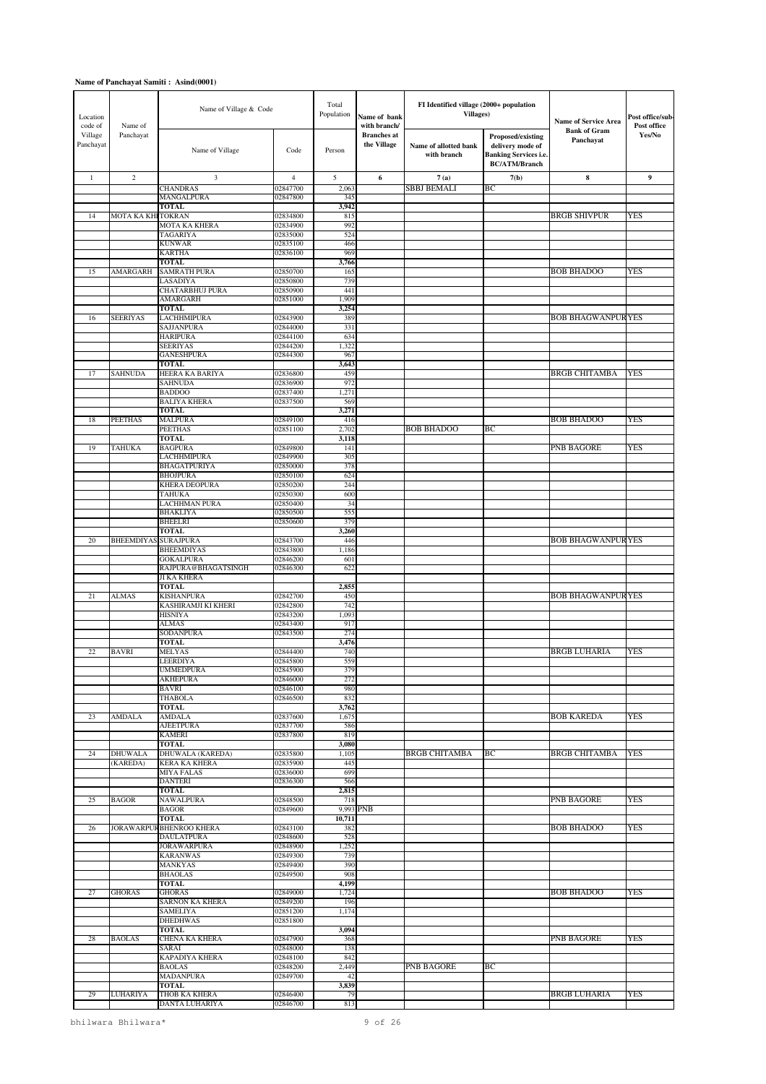| Location<br>code of  | Name of            | Name of Village & Code                    |                      | Total<br>Population | Name of bank<br>with branch/      | FI Identified village (2000+ population<br><b>Villages</b> ) |                                                                                               | <b>Name of Service Area</b>      | Post office/sub-<br>Post office |
|----------------------|--------------------|-------------------------------------------|----------------------|---------------------|-----------------------------------|--------------------------------------------------------------|-----------------------------------------------------------------------------------------------|----------------------------------|---------------------------------|
| Village<br>Panchayat | Panchayat          | Name of Village                           | Code                 | Person              | <b>Branches</b> at<br>the Village | Name of allotted bank<br>with branch                         | Proposed/existing<br>delivery mode of<br><b>Banking Services i.e.</b><br><b>BC/ATM/Branch</b> | <b>Bank of Gram</b><br>Panchayat | Yes/No                          |
| $\mathbf{1}$         | $\sqrt{2}$         | 3                                         | $\overline{4}$       | 5                   | 6                                 | 7(a)                                                         | 7(b)                                                                                          | $\bf{8}$                         | 9                               |
|                      |                    | <b>CHANDRAS</b>                           | 02847700             | 2,063               |                                   | SBBJ BEMALI                                                  | BС                                                                                            |                                  |                                 |
|                      |                    | MANGALPURA<br><b>TOTAL</b>                | 02847800             | 345<br>3,942        |                                   |                                                              |                                                                                               |                                  |                                 |
| 14                   | MOTA KA KHI TOKRAN |                                           | 02834800             | 815                 |                                   |                                                              |                                                                                               | <b>BRGB SHIVPUR</b>              | YES                             |
|                      |                    | MOTA KA KHERA                             | 02834900             | 992                 |                                   |                                                              |                                                                                               |                                  |                                 |
|                      |                    | <b>TAGARIYA</b><br><b>KUNWAR</b>          | 02835000<br>02835100 | 524<br>466          |                                   |                                                              |                                                                                               |                                  |                                 |
|                      |                    | <b>KARTHA</b>                             | 02836100             | 969                 |                                   |                                                              |                                                                                               |                                  |                                 |
|                      |                    | <b>TOTAL</b>                              |                      | 3,766               |                                   |                                                              |                                                                                               |                                  |                                 |
| 15                   | <b>AMARGARH</b>    | <b>SAMRATH PURA</b><br>LASADIYA           | 02850700<br>02850800 | 165<br>739          |                                   |                                                              |                                                                                               | <b>BOB BHADOO</b>                | <b>YES</b>                      |
|                      |                    | <b>CHATARBHUJ PURA</b>                    | 02850900             | 441                 |                                   |                                                              |                                                                                               |                                  |                                 |
|                      |                    | AMARGARH                                  | 02851000             | 1,909               |                                   |                                                              |                                                                                               |                                  |                                 |
| 16                   | <b>SEERIYAS</b>    | <b>TOTAL</b><br><b>LACHHMIPURA</b>        | 02843900             | 3,254<br>389        |                                   |                                                              |                                                                                               | <b>BOB BHAGWANPURYES</b>         |                                 |
|                      |                    | SAJJANPURA                                | 02844000             | 331                 |                                   |                                                              |                                                                                               |                                  |                                 |
|                      |                    | <b>HARIPURA</b>                           | 02844100             | 634                 |                                   |                                                              |                                                                                               |                                  |                                 |
|                      |                    | <b>SEERIYAS</b>                           | 02844200             | 1,322<br>967        |                                   |                                                              |                                                                                               |                                  |                                 |
|                      |                    | <b>GANESHPURA</b><br><b>TOTAL</b>         | 02844300             | 3,643               |                                   |                                                              |                                                                                               |                                  |                                 |
| 17                   | <b>SAHNUDA</b>     | HEERA KA BARIYA                           | 02836800             | 459                 |                                   |                                                              |                                                                                               | <b>BRGB CHITAMBA</b>             | YES                             |
|                      |                    | <b>SAHNUDA</b>                            | 02836900             | 972                 |                                   |                                                              |                                                                                               |                                  |                                 |
|                      |                    | <b>BADDOO</b><br><b>BALIYA KHERA</b>      | 02837400<br>02837500 | 1,271<br>569        |                                   |                                                              |                                                                                               |                                  |                                 |
|                      |                    | <b>TOTAL</b>                              |                      | 3,271               |                                   |                                                              |                                                                                               |                                  |                                 |
| 18                   | <b>PEETHAS</b>     | <b>MALPURA</b>                            | 02849100             | 416                 |                                   |                                                              |                                                                                               | <b>BOB BHADOO</b>                | YES                             |
|                      |                    | <b>PEETHAS</b><br><b>TOTAL</b>            | 02851100             | 2,702<br>3,118      |                                   | <b>BOB BHADOO</b>                                            | BС                                                                                            |                                  |                                 |
| 19                   | <b>TAHUKA</b>      | <b>BAGPURA</b>                            | 02849800             | 141                 |                                   |                                                              |                                                                                               | PNB BAGORE                       | YES                             |
|                      |                    | LACHHMIPURA                               | 02849900             | 305                 |                                   |                                                              |                                                                                               |                                  |                                 |
|                      |                    | <b>BHAGATPURIYA</b><br><b>BHOJPURA</b>    | 02850000<br>02850100 | 378<br>624          |                                   |                                                              |                                                                                               |                                  |                                 |
|                      |                    | <b>KHERA DEOPURA</b>                      | 02850200             | 244                 |                                   |                                                              |                                                                                               |                                  |                                 |
|                      |                    | <b>TAHUKA</b>                             | 02850300             | 600                 |                                   |                                                              |                                                                                               |                                  |                                 |
|                      |                    | <b>LACHHMAN PURA</b><br><b>BHAKLIYA</b>   | 02850400<br>02850500 | 34<br>555           |                                   |                                                              |                                                                                               |                                  |                                 |
|                      |                    | <b>BHEELRI</b>                            | 02850600             | 379                 |                                   |                                                              |                                                                                               |                                  |                                 |
|                      |                    | <b>TOTAL</b>                              |                      | 3,260               |                                   |                                                              |                                                                                               |                                  |                                 |
| 20                   | <b>BHEEMDIYAS</b>  | <b>SURAJPURA</b><br><b>BHEEMDIYAS</b>     | 02843700<br>02843800 | 446<br>1,186        |                                   |                                                              |                                                                                               | <b>BOB BHAGWANPURYES</b>         |                                 |
|                      |                    | <b>GOKALPURA</b>                          | 02846200             | 601                 |                                   |                                                              |                                                                                               |                                  |                                 |
|                      |                    | RAJPURA@BHAGATSINGH                       | 02846300             | 622                 |                                   |                                                              |                                                                                               |                                  |                                 |
|                      |                    | <b>JI KA KHERA</b><br><b>TOTAL</b>        |                      | 2,855               |                                   |                                                              |                                                                                               |                                  |                                 |
| 21                   | <b>ALMAS</b>       | <b>KISHANPURA</b>                         | 02842700             | 450                 |                                   |                                                              |                                                                                               | <b>BOB BHAGWANPURYES</b>         |                                 |
|                      |                    | KASHIRAMJI KI KHERI                       | 02842800             | 742                 |                                   |                                                              |                                                                                               |                                  |                                 |
|                      |                    | <b>HISNIYA</b>                            | 02843200             | 1,093<br>917        |                                   |                                                              |                                                                                               |                                  |                                 |
|                      |                    | <b>ALMAS</b><br>SODANPURA                 | 02843400<br>02843500 | 274                 |                                   |                                                              |                                                                                               |                                  |                                 |
|                      |                    | <b>TOTAL</b>                              |                      | 3,476               |                                   |                                                              |                                                                                               |                                  |                                 |
| 22                   | <b>BAVRI</b>       | <b>MELYAS</b>                             | 02844400             | 740                 |                                   |                                                              |                                                                                               | <b>BRGB LUHARIA</b>              | YES                             |
|                      |                    | LEERDIYA<br><b>UMMEDPURA</b>              | 02845800<br>02845900 | 559<br>379          |                                   |                                                              |                                                                                               |                                  |                                 |
|                      |                    | <b>AKHEPURA</b>                           | 02846000             | 272                 |                                   |                                                              |                                                                                               |                                  |                                 |
|                      |                    | <b>BAVRI</b><br><b>THABOLA</b>            | 02846100<br>02846500 | 980<br>832          |                                   |                                                              |                                                                                               |                                  |                                 |
|                      |                    | <b>TOTAL</b>                              |                      | 3,762               |                                   |                                                              |                                                                                               |                                  |                                 |
| 23                   | <b>AMDALA</b>      | <b>AMDALA</b>                             | 02837600             | 1,675               |                                   |                                                              |                                                                                               | <b>BOB KAREDA</b>                | <b>YES</b>                      |
|                      |                    | <b>AJEETPURA</b><br><b>KAMERI</b>         | 02837700<br>02837800 | 586<br>819          |                                   |                                                              |                                                                                               |                                  |                                 |
|                      |                    | <b>TOTAL</b>                              |                      | 3,080               |                                   |                                                              |                                                                                               |                                  |                                 |
| 24                   | <b>DHUWALA</b>     | DHUWALA (KAREDA)                          | 02835800             | 1,105               |                                   | <b>BRGB CHITAMBA</b>                                         | ВC                                                                                            | <b>BRGB CHITAMBA</b>             | YES                             |
|                      | (KAREDA)           | <b>KERA KA KHERA</b><br><b>MIYA FALAS</b> | 02835900<br>02836000 | 445<br>699          |                                   |                                                              |                                                                                               |                                  |                                 |
|                      |                    | <b>DANTERI</b>                            | 02836300             | 566                 |                                   |                                                              |                                                                                               |                                  |                                 |
|                      |                    | <b>TOTAL</b>                              |                      | 2,815               |                                   |                                                              |                                                                                               |                                  |                                 |
| 25                   | <b>BAGOR</b>       | <b>NAWALPURA</b><br><b>BAGOR</b>          | 02848500<br>02849600 | 718                 | 9,993 PNB                         |                                                              |                                                                                               | <b>PNB BAGORE</b>                | YES                             |
|                      |                    | <b>TOTAL</b>                              |                      | 10,711              |                                   |                                                              |                                                                                               |                                  |                                 |
| 26                   |                    | JORAWARPUR BHENROO KHERA                  | 02843100             | 382                 |                                   |                                                              |                                                                                               | <b>BOB BHADOO</b>                | <b>YES</b>                      |
|                      |                    | <b>DAULATPURA</b><br><b>JORAWARPURA</b>   | 02848600<br>02848900 | 528<br>1,252        |                                   |                                                              |                                                                                               |                                  |                                 |
|                      |                    | <b>KARANWAS</b>                           | 02849300             | 739                 |                                   |                                                              |                                                                                               |                                  |                                 |
|                      |                    | <b>MANKYAS</b>                            | 02849400             | 390                 |                                   |                                                              |                                                                                               |                                  |                                 |
|                      |                    | <b>BHAOLAS</b><br><b>TOTAL</b>            | 02849500             | 908<br>4,199        |                                   |                                                              |                                                                                               |                                  |                                 |
| 27                   | <b>GHORAS</b>      | <b>GHORAS</b>                             | 02849000             | 1,724               |                                   |                                                              |                                                                                               | <b>BOB BHADOO</b>                | YES                             |
|                      |                    | <b>SARNON KA KHERA</b>                    | 02849200             | 196                 |                                   |                                                              |                                                                                               |                                  |                                 |
|                      |                    | <b>SAMELIYA</b><br><b>DHEDHWAS</b>        | 02851200<br>02851800 | 1,174               |                                   |                                                              |                                                                                               |                                  |                                 |
|                      |                    | <b>TOTAL</b>                              |                      | 3,094               |                                   |                                                              |                                                                                               |                                  |                                 |
| 28                   | <b>BAOLAS</b>      | CHENA KA KHERA                            | 02847900             | 368                 |                                   |                                                              |                                                                                               | <b>PNB BAGORE</b>                | YES                             |
|                      |                    | SARAI<br>KAPADIYA KHERA                   | 02848000<br>02848100 | 138<br>842          |                                   |                                                              |                                                                                               |                                  |                                 |
|                      |                    | <b>BAOLAS</b>                             | 02848200             | 2,449               |                                   | PNB BAGORE                                                   | BС                                                                                            |                                  |                                 |
|                      |                    | <b>MADANPURA</b>                          | 02849700             | 42                  |                                   |                                                              |                                                                                               |                                  |                                 |
| 29                   | <b>LUHARIYA</b>    | TOTAL<br>THOB KA KHERA                    | 02846400             | 3,839<br>79         |                                   |                                                              |                                                                                               | <b>BRGB LUHARIA</b>              | YES                             |
|                      |                    | DANTA LUHARIYA                            | 02846700             | 813                 |                                   |                                                              |                                                                                               |                                  |                                 |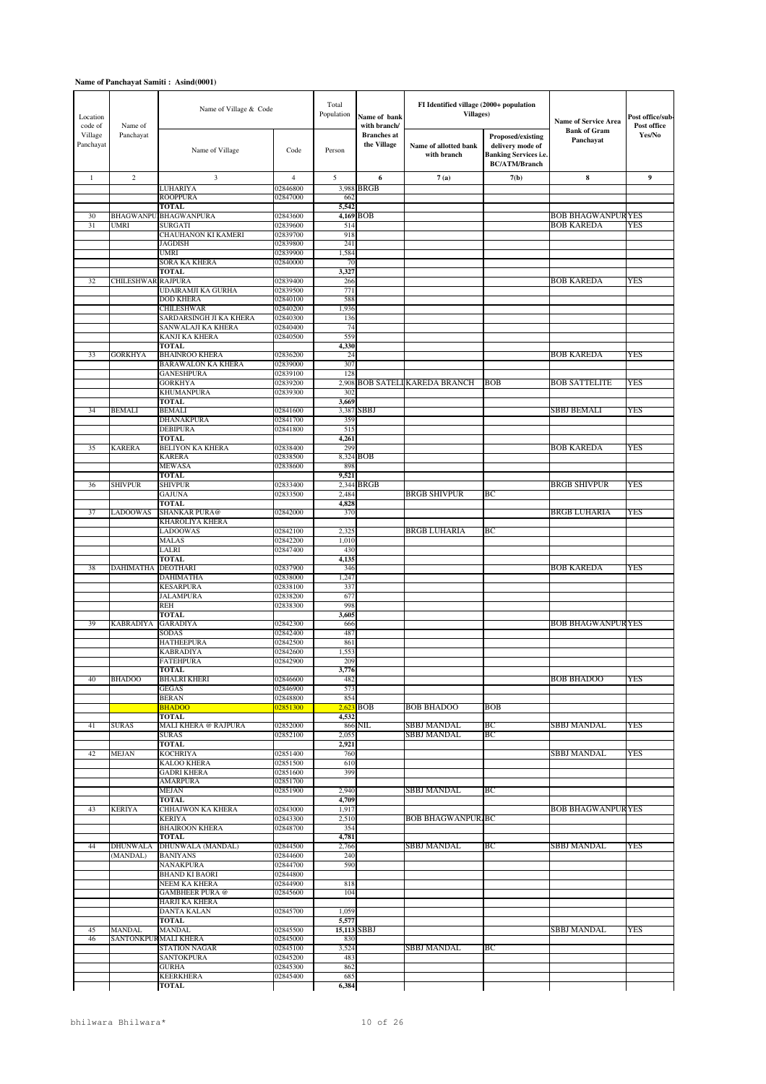| Location<br>code of  | Name of            | Name of Village & Code                       |                      | Total<br>Population | Name of bank<br>with branch/      | FI Identified village (2000+ population<br><b>Villages</b> ) |                                                                                               | <b>Name of Service Area</b>      | Post office/sub-<br>Post office |
|----------------------|--------------------|----------------------------------------------|----------------------|---------------------|-----------------------------------|--------------------------------------------------------------|-----------------------------------------------------------------------------------------------|----------------------------------|---------------------------------|
| Village<br>Panchayat | Panchayat          | Name of Village                              | Code                 | Person              | <b>Branches</b> at<br>the Village | Name of allotted bank<br>with branch                         | Proposed/existing<br>delivery mode of<br><b>Banking Services i.e.</b><br><b>BC/ATM/Branch</b> | <b>Bank of Gram</b><br>Panchayat | Yes/No                          |
| $\mathbf{1}$         | $\sqrt{2}$         | 3                                            | $\overline{4}$       | 5                   | 6                                 | 7(a)                                                         | 7(b)                                                                                          | 8                                | 9                               |
|                      |                    | <b>LUHARIYA</b><br><b>ROOPPURA</b>           | 02846800<br>02847000 | 3,988<br>662        | BRGB                              |                                                              |                                                                                               |                                  |                                 |
|                      |                    | <b>TOTAL</b>                                 |                      | 5,542               |                                   |                                                              |                                                                                               |                                  |                                 |
| 30                   | <b>BHAGWANPU</b>   | <b>BHAGWANPURA</b>                           | 02843600             |                     | 4,169 BOB                         |                                                              |                                                                                               | <b>BOB BHAGWANPURYES</b>         |                                 |
| 31                   | <b>UMRI</b>        | <b>SURGATI</b><br><b>CHAUHANON KI KAMERI</b> | 02839600<br>02839700 | 514<br>918          |                                   |                                                              |                                                                                               | <b>BOB KAREDA</b>                | YES                             |
|                      |                    | <b>JAGDISH</b>                               | 02839800             | 241                 |                                   |                                                              |                                                                                               |                                  |                                 |
|                      |                    | <b>UMRI</b>                                  | 02839900             | 1,584               |                                   |                                                              |                                                                                               |                                  |                                 |
|                      |                    | SORA KA KHERA<br><b>TOTAL</b>                | 02840000             | 70<br>3,327         |                                   |                                                              |                                                                                               |                                  |                                 |
| 32                   | CHILESHWAR RAJPURA |                                              | 02839400             | 266                 |                                   |                                                              |                                                                                               | <b>BOB KAREDA</b>                | YES                             |
|                      |                    | UDAIRAMJI KA GURHA                           | 02839500             | 771                 |                                   |                                                              |                                                                                               |                                  |                                 |
|                      |                    | <b>DOD KHERA</b><br><b>CHILESHWAR</b>        | 02840100<br>02840200 | 588<br>1,936        |                                   |                                                              |                                                                                               |                                  |                                 |
|                      |                    | SARDARSINGH JI KA KHERA                      | 02840300             | 136                 |                                   |                                                              |                                                                                               |                                  |                                 |
|                      |                    | SANWALAJI KA KHERA                           | 02840400             | 74                  |                                   |                                                              |                                                                                               |                                  |                                 |
|                      |                    | <b>KANJI KA KHERA</b><br><b>TOTAL</b>        | 02840500             | 559<br>4,330        |                                   |                                                              |                                                                                               |                                  |                                 |
| 33                   | <b>GORKHYA</b>     | <b>BHAINROO KHERA</b>                        | 02836200             | 24                  |                                   |                                                              |                                                                                               | <b>BOB KAREDA</b>                | YES                             |
|                      |                    | <b>BARAWALON KA KHERA</b>                    | 02839000             | 307                 |                                   |                                                              |                                                                                               |                                  |                                 |
|                      |                    | <b>GANESHPURA</b><br><b>GORKHYA</b>          | 02839100<br>02839200 | 128<br>2,908        |                                   | <b>BOB SATELI KAREDA BRANCH</b>                              | <b>BOB</b>                                                                                    | <b>BOB SATTELITE</b>             | YES                             |
|                      |                    | <b>KHUMANPURA</b>                            | 02839300             | 302                 |                                   |                                                              |                                                                                               |                                  |                                 |
|                      |                    | <b>TOTAL</b>                                 |                      | 3,669               |                                   |                                                              |                                                                                               |                                  |                                 |
| 34                   | <b>BEMALI</b>      | <b>BEMALI</b><br><b>DHANAKPURA</b>           | 02841600<br>02841700 | 3,387<br>359        | SBBJ                              |                                                              |                                                                                               | SBBJ BEMALI                      | YES                             |
|                      |                    | <b>DEBIPURA</b>                              | 02841800             | 515                 |                                   |                                                              |                                                                                               |                                  |                                 |
|                      |                    | TOTAL                                        |                      | 4,261               |                                   |                                                              |                                                                                               |                                  |                                 |
| 35                   | <b>KARERA</b>      | <b>BELIYON KA KHERA</b><br><b>KARERA</b>     | 02838400<br>02838500 | 299                 | 8,324 BOB                         |                                                              |                                                                                               | <b>BOB KAREDA</b>                | YES                             |
|                      |                    | <b>MEWASA</b>                                | 02838600             | 898                 |                                   |                                                              |                                                                                               |                                  |                                 |
|                      |                    | <b>TOTAL</b>                                 |                      | 9,521               |                                   |                                                              |                                                                                               | <b>BRGB SHIVPUR</b>              |                                 |
| 36                   | <b>SHIVPUR</b>     | <b>SHIVPUR</b><br><b>GAJUNA</b>              | 02833400<br>02833500 | 2,484               | 2,344 BRGB                        | <b>BRGB SHIVPUR</b>                                          | BС                                                                                            |                                  | YES                             |
|                      |                    | <b>TOTAL</b>                                 |                      | 4,828               |                                   |                                                              |                                                                                               |                                  |                                 |
| 37                   | LADOOWAS           | SHANKAR PURA@<br>KHAROLIYA KHERA             | 02842000             | 370                 |                                   |                                                              |                                                                                               | <b>BRGB LUHARIA</b>              | <b>YES</b>                      |
|                      |                    | <b>LADOOWAS</b>                              | 02842100             | 2,325               |                                   | <b>BRGB LUHARIA</b>                                          | ВC                                                                                            |                                  |                                 |
|                      |                    | <b>MALAS</b>                                 | 02842200             | 1,010               |                                   |                                                              |                                                                                               |                                  |                                 |
|                      |                    | LALRI<br><b>TOTAL</b>                        | 02847400             | 430<br>4,135        |                                   |                                                              |                                                                                               |                                  |                                 |
| 38                   | <b>DAHIMATHA</b>   | <b>DEOTHARI</b>                              | 02837900             | 346                 |                                   |                                                              |                                                                                               | <b>BOB KAREDA</b>                | YES                             |
|                      |                    | <b>DAHIMATHA</b>                             | 02838000             | 1,247               |                                   |                                                              |                                                                                               |                                  |                                 |
|                      |                    | <b>KESARPURA</b><br><b>JALAMPURA</b>         | 02838100<br>02838200 | 337<br>677          |                                   |                                                              |                                                                                               |                                  |                                 |
|                      |                    | <b>REH</b>                                   | 02838300             | 998                 |                                   |                                                              |                                                                                               |                                  |                                 |
|                      |                    | <b>TOTAL</b>                                 |                      | 3,605               |                                   |                                                              |                                                                                               |                                  |                                 |
| 39                   | <b>KABRADIYA</b>   | <b>GARADIYA</b><br><b>SODAS</b>              | 02842300<br>02842400 | 666<br>487          |                                   |                                                              |                                                                                               | BOB BHAGWANPUR YES               |                                 |
|                      |                    | <b>HATHEEPURA</b>                            | 02842500             | 861                 |                                   |                                                              |                                                                                               |                                  |                                 |
|                      |                    | <b>KABRADIYA</b>                             | 02842600             | 1,553               |                                   |                                                              |                                                                                               |                                  |                                 |
|                      |                    | <b>FATEHPURA</b><br>TOTAL                    | 02842900             | 209<br>3,776        |                                   |                                                              |                                                                                               |                                  |                                 |
| 40                   | <b>BHADOO</b>      | <b>BHALRI KHERI</b>                          | 02846600             | 482                 |                                   |                                                              |                                                                                               | <b>BOB BHADOO</b>                | YES                             |
|                      |                    | <b>GEGAS</b>                                 | 02846900             | 573                 |                                   |                                                              |                                                                                               |                                  |                                 |
|                      |                    | <b>BERAN</b><br><b>BHADOO</b>                | 02848800<br>02851300 | 854                 | $2,623$ BOB                       | <b>BOB BHADOO</b>                                            | <b>BOB</b>                                                                                    |                                  |                                 |
|                      |                    | TOTAL                                        |                      | 4,532               |                                   |                                                              |                                                                                               |                                  |                                 |
| 41                   | <b>SURAS</b>       | <b>MALI KHERA @ RAJPURA</b><br><b>SURAS</b>  | 02852000<br>02852100 | 2,055               | 866 NIL                           | SBBJ MANDAL<br>SBBJ MANDAL                                   | BС<br>BС                                                                                      | SBBJ MANDAL                      | <b>YES</b>                      |
|                      |                    | <b>TOTAL</b>                                 |                      | 2,921               |                                   |                                                              |                                                                                               |                                  |                                 |
| 42                   | <b>MEJAN</b>       | <b>KOCHRIYA</b>                              | 02851400             | 760                 |                                   |                                                              |                                                                                               | SBBJ MANDAL                      | <b>YES</b>                      |
|                      |                    | <b>KALOO KHERA</b><br><b>GADRI KHERA</b>     | 02851500<br>02851600 | 610<br>399          |                                   |                                                              |                                                                                               |                                  |                                 |
|                      |                    | <b>AMARPURA</b>                              | 02851700             |                     |                                   |                                                              |                                                                                               |                                  |                                 |
|                      |                    | <b>MEJAN</b>                                 | 02851900             | 2,940               |                                   | SBBJ MANDAL                                                  | ВC                                                                                            |                                  |                                 |
| 43                   | <b>KERIYA</b>      | <b>TOTAL</b><br>CHHAJWON KA KHERA            | 02843000             | 4,709<br>1,917      |                                   |                                                              |                                                                                               | <b>BOB BHAGWANPURYES</b>         |                                 |
|                      |                    | <b>KERIYA</b>                                | 02843300             | 2,510               |                                   | <b>BOB BHAGWANPUR BC</b>                                     |                                                                                               |                                  |                                 |
|                      |                    | <b>BHAIROON KHERA</b>                        | 02848700             | 354                 |                                   |                                                              |                                                                                               |                                  |                                 |
| 44                   | <b>DHUNWALA</b>    | <b>TOTAL</b><br>DHUNWALA (MANDAL)            | 02844500             | 4,781<br>2,766      |                                   | SBBJ MANDAL                                                  | ВC                                                                                            | SBBJ MANDAL                      | <b>YES</b>                      |
|                      | (MANDAL)           | <b>BANIYANS</b>                              | 02844600             | 240                 |                                   |                                                              |                                                                                               |                                  |                                 |
|                      |                    | NANAKPURA                                    | 02844700             | 590                 |                                   |                                                              |                                                                                               |                                  |                                 |
|                      |                    | <b>BHAND KI BAORI</b><br>NEEM KA KHERA       | 02844800<br>02844900 | 818                 |                                   |                                                              |                                                                                               |                                  |                                 |
|                      |                    | <b>GAMBHEER PURA @</b>                       | 02845600             | 104                 |                                   |                                                              |                                                                                               |                                  |                                 |
|                      |                    | <b>HARJI KA KHERA</b>                        |                      |                     |                                   |                                                              |                                                                                               |                                  |                                 |
|                      |                    | <b>DANTA KALAN</b><br><b>TOTAL</b>           | 02845700             | 1,059<br>5,577      |                                   |                                                              |                                                                                               |                                  |                                 |
| 45                   | <b>MANDAL</b>      | <b>MANDAL</b>                                | 02845500             |                     | 15,113 SBBJ                       |                                                              |                                                                                               | SBBJ MANDAL                      | YES                             |
| 46                   |                    | SANTONKPUR MALI KHERA                        | 02845000             | 830                 |                                   | SBBJ MANDAL                                                  |                                                                                               |                                  |                                 |
|                      |                    | <b>STATION NAGAR</b><br>SANTOKPURA           | 02845100<br>02845200 | 3,524<br>483        |                                   |                                                              | BС                                                                                            |                                  |                                 |
|                      |                    | <b>GURHA</b>                                 | 02845300             | 862                 |                                   |                                                              |                                                                                               |                                  |                                 |
|                      |                    | <b>KEERKHERA</b>                             | 02845400             | 685                 |                                   |                                                              |                                                                                               |                                  |                                 |
|                      |                    | <b>TOTAL</b>                                 |                      | 6,384               |                                   |                                                              |                                                                                               |                                  |                                 |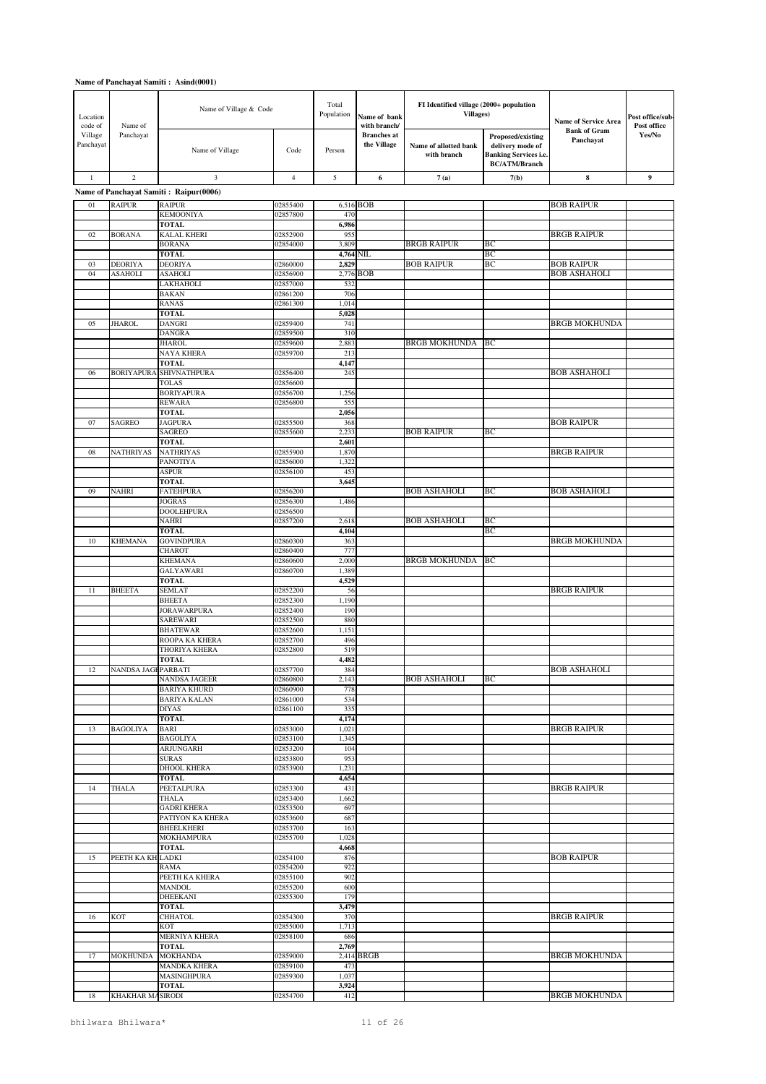| Location<br>code of  | Name of            | Name of Village & Code                 |                      | Total<br>Population | Name of bank<br>with branch/      | FI Identified village (2000+ population<br><b>Villages</b> ) |                                                                                               | Name of Service Area             | Post office/sub-<br>Post office |
|----------------------|--------------------|----------------------------------------|----------------------|---------------------|-----------------------------------|--------------------------------------------------------------|-----------------------------------------------------------------------------------------------|----------------------------------|---------------------------------|
| Village<br>Panchayat | Panchayat          | Name of Village                        | Code                 | Person              | <b>Branches</b> at<br>the Village | Name of allotted bank<br>with branch                         | Proposed/existing<br>delivery mode of<br><b>Banking Services i.e.</b><br><b>BC/ATM/Branch</b> | <b>Bank of Gram</b><br>Panchayat | Yes/No                          |
| $1\,$                | $\overline{2}$     | $\overline{3}$                         | $\overline{4}$       | 5                   | 6                                 | 7(a)                                                         | 7(b)                                                                                          | ${\bf 8}$                        | $\boldsymbol{9}$                |
|                      |                    | Name of Panchayat Samiti: Raipur(0006) |                      |                     |                                   |                                                              |                                                                                               |                                  |                                 |
| 01                   | <b>RAIPUR</b>      | <b>RAIPUR</b>                          | 02855400             |                     | 6,516 BOB                         |                                                              |                                                                                               | <b>BOB RAIPUR</b>                |                                 |
|                      |                    | <b>KEMOONIYA</b><br><b>TOTAL</b>       | 02857800             | 470<br>6,986        |                                   |                                                              |                                                                                               |                                  |                                 |
| 02                   | <b>BORANA</b>      | <b>KALAL KHERI</b>                     | 02852900             | 955                 |                                   |                                                              |                                                                                               | <b>BRGB RAIPUR</b>               |                                 |
|                      |                    | <b>BORANA</b><br><b>TOTAL</b>          | 02854000             | 3,809               |                                   | <b>BRGB RAIPUR</b>                                           | ВC<br>ВC                                                                                      |                                  |                                 |
| 03                   | <b>DEORIYA</b>     | <b>DEORIYA</b>                         | 02860000             | 4,764 NIL<br>2,829  |                                   | <b>BOB RAIPUR</b>                                            | ВC                                                                                            | <b>BOB RAIPUR</b>                |                                 |
| 04                   | <b>ASAHOLI</b>     | <b>ASAHOLI</b>                         | 02856900             |                     | 2,776 BOB                         |                                                              |                                                                                               | <b>BOB ASHAHOLI</b>              |                                 |
|                      |                    | LAKHAHOLI<br><b>BAKAN</b>              | 02857000<br>02861200 | 532<br>706          |                                   |                                                              |                                                                                               |                                  |                                 |
|                      |                    | <b>RANAS</b>                           | 02861300             | 1,014               |                                   |                                                              |                                                                                               |                                  |                                 |
|                      |                    | <b>TOTAL</b>                           |                      | 5,028               |                                   |                                                              |                                                                                               |                                  |                                 |
| 05                   | <b>JHAROL</b>      | <b>DANGRI</b><br><b>DANGRA</b>         | 02859400<br>02859500 | 741<br>310          |                                   |                                                              |                                                                                               | <b>BRGB MOKHUNDA</b>             |                                 |
|                      |                    | <b>JHAROL</b>                          | 02859600             | 2,883               |                                   | <b>BRGB MOKHUNDA</b>                                         | BC                                                                                            |                                  |                                 |
|                      |                    | NAYA KHERA<br><b>TOTAL</b>             | 02859700             | 213<br>4,147        |                                   |                                                              |                                                                                               |                                  |                                 |
| 06                   | <b>BORIYAPURA</b>  | SHIVNATHPURA                           | 02856400             | 245                 |                                   |                                                              |                                                                                               | <b>BOB ASHAHOLI</b>              |                                 |
|                      |                    | <b>TOLAS</b>                           | 02856600             |                     |                                   |                                                              |                                                                                               |                                  |                                 |
|                      |                    | <b>BORIYAPURA</b><br><b>REWARA</b>     | 02856700<br>02856800 | 1,256<br>555        |                                   |                                                              |                                                                                               |                                  |                                 |
|                      |                    | <b>TOTAL</b>                           |                      | 2,056               |                                   |                                                              |                                                                                               |                                  |                                 |
| 07                   | <b>SAGREO</b>      | <b>JAGPURA</b><br>SAGREO               | 02855500<br>02855600 | 368<br>2,233        |                                   | <b>BOB RAIPUR</b>                                            | ВC                                                                                            | <b>BOB RAIPUR</b>                |                                 |
|                      |                    | <b>TOTAL</b>                           |                      | 2,601               |                                   |                                                              |                                                                                               |                                  |                                 |
| 08                   | NATHRIYAS          | <b>NATHRIYAS</b>                       | 02855900             | 1,870               |                                   |                                                              |                                                                                               | <b>BRGB RAIPUR</b>               |                                 |
|                      |                    | PANOTIYA<br><b>ASPUR</b>               | 02856000<br>02856100 | 1,322<br>453        |                                   |                                                              |                                                                                               |                                  |                                 |
|                      |                    | <b>TOTAL</b>                           |                      | 3,645               |                                   |                                                              |                                                                                               |                                  |                                 |
| 09                   | <b>NAHRI</b>       | <b>FATEHPURA</b><br><b>JOGRAS</b>      | 02856200<br>02856300 | 1,486               |                                   | <b>BOB ASHAHOLI</b>                                          | BС                                                                                            | <b>BOB ASHAHOLI</b>              |                                 |
|                      |                    | <b>DOOLEHPURA</b>                      | 02856500             |                     |                                   |                                                              |                                                                                               |                                  |                                 |
|                      |                    | <b>NAHRI</b>                           | 02857200             | 2,618               |                                   | <b>BOB ASHAHOLI</b>                                          | ВC                                                                                            |                                  |                                 |
| 10                   | <b>KHEMANA</b>     | <b>TOTAL</b><br><b>GOVINDPURA</b>      | 02860300             | 4,104<br>363        |                                   |                                                              | BC                                                                                            | BRGB MOKHUNDA                    |                                 |
|                      |                    | <b>CHAROT</b>                          | 02860400             | 777                 |                                   |                                                              |                                                                                               |                                  |                                 |
|                      |                    | <b>KHEMANA</b><br><b>GALYAWARI</b>     | 02860600<br>02860700 | 2,000<br>1,389      |                                   | <b>BRGB MOKHUNDA</b>                                         | BС                                                                                            |                                  |                                 |
|                      |                    | <b>TOTAL</b>                           |                      | 4,529               |                                   |                                                              |                                                                                               |                                  |                                 |
| 11                   | <b>BHEETA</b>      | <b>SEMLAT</b>                          | 02852200<br>02852300 | 56<br>1,190         |                                   |                                                              |                                                                                               | <b>BRGB RAIPUR</b>               |                                 |
|                      |                    | <b>BHEETA</b><br><b>JORAWARPURA</b>    | 02852400             | 190                 |                                   |                                                              |                                                                                               |                                  |                                 |
|                      |                    | SAREWARI                               | 02852500             | 880                 |                                   |                                                              |                                                                                               |                                  |                                 |
|                      |                    | <b>BHATEWAR</b><br>ROOPA KA KHERA      | 02852600<br>02852700 | 1,151<br>496        |                                   |                                                              |                                                                                               |                                  |                                 |
|                      |                    | THORIYA KHERA                          | 02852800             | 519                 |                                   |                                                              |                                                                                               |                                  |                                 |
| 12                   | NANDSA JAGEPARBATI | <b>TOTAL</b>                           | 02857700             | 4,482<br>384        |                                   |                                                              |                                                                                               | <b>BOB ASHAHOLI</b>              |                                 |
|                      |                    | <b>NANDSA JAGEER</b>                   | 02860800             | 2,143               |                                   | <b>BOB ASHAHOLI</b>                                          | ВC                                                                                            |                                  |                                 |
|                      |                    | <b>BARIYA KHURD</b>                    | 02860900             | 778                 |                                   |                                                              |                                                                                               |                                  |                                 |
|                      |                    | <b>BARIYA KALAN</b><br><b>DIYAS</b>    | 02861000<br>02861100 | 534<br>335          |                                   |                                                              |                                                                                               |                                  |                                 |
|                      |                    | <b>TOTAL</b>                           |                      | 4,174               |                                   |                                                              |                                                                                               |                                  |                                 |
| 13                   | <b>BAGOLIYA</b>    | <b>BARI</b><br><b>BAGOLIYA</b>         | 02853000<br>02853100 | 1,021<br>1,345      |                                   |                                                              |                                                                                               | <b>BRGB RAIPUR</b>               |                                 |
|                      |                    | <b>ARJUNGARH</b>                       | 02853200             | 104                 |                                   |                                                              |                                                                                               |                                  |                                 |
|                      |                    | <b>SURAS</b><br><b>DHOOL KHERA</b>     | 02853800<br>02853900 | 953<br>1,231        |                                   |                                                              |                                                                                               |                                  |                                 |
|                      |                    | <b>TOTAL</b>                           |                      | 4,654               |                                   |                                                              |                                                                                               |                                  |                                 |
| 14                   | <b>THALA</b>       | <b>PEETALPURA</b>                      | 02853300             | 431                 |                                   |                                                              |                                                                                               | BRGB RAIPUR                      |                                 |
|                      |                    | <b>THALA</b><br><b>GADRI KHERA</b>     | 02853400<br>02853500 | 1,662<br>697        |                                   |                                                              |                                                                                               |                                  |                                 |
|                      |                    | PATIYON KA KHERA                       | 02853600             | 687                 |                                   |                                                              |                                                                                               |                                  |                                 |
|                      |                    | <b>BHEELKHERI</b><br><b>MOKHAMPURA</b> | 02853700<br>02855700 | 163<br>1,028        |                                   |                                                              |                                                                                               |                                  |                                 |
|                      |                    | <b>TOTAL</b>                           |                      | 4,668               |                                   |                                                              |                                                                                               |                                  |                                 |
| 15                   | PEETH KA KHLADKI   | <b>RAMA</b>                            | 02854100<br>02854200 | 876<br>922          |                                   |                                                              |                                                                                               | <b>BOB RAIPUR</b>                |                                 |
|                      |                    | PEETH KA KHERA                         | 02855100             | 902                 |                                   |                                                              |                                                                                               |                                  |                                 |
|                      |                    | <b>MANDOL</b>                          | 02855200             | 600                 |                                   |                                                              |                                                                                               |                                  |                                 |
|                      |                    | <b>DHEEKANI</b><br><b>TOTAL</b>        | 02855300             | 179<br>3,479        |                                   |                                                              |                                                                                               |                                  |                                 |
| 16                   | KOT                | <b>CHHATOL</b>                         | 02854300             | 370                 |                                   |                                                              |                                                                                               | <b>BRGB RAIPUR</b>               |                                 |
|                      |                    | KOT<br><b>MERNIYA KHERA</b>            | 02855000<br>02858100 | 1,713<br>686        |                                   |                                                              |                                                                                               |                                  |                                 |
|                      |                    | <b>TOTAL</b>                           |                      | 2,769               |                                   |                                                              |                                                                                               |                                  |                                 |
| 17                   | <b>MOKHUNDA</b>    | <b>MOKHANDA</b>                        | 02859000             |                     | 2,414 BRGB                        |                                                              |                                                                                               | <b>BRGB MOKHUNDA</b>             |                                 |
|                      |                    | <b>MANDKA KHERA</b><br>MASINGHPURA     | 02859100<br>02859300 | 473<br>1,037        |                                   |                                                              |                                                                                               |                                  |                                 |
|                      |                    | <b>TOTAL</b>                           |                      | 3,924               |                                   |                                                              |                                                                                               |                                  |                                 |
| 18                   | KHAKHAR MASIRODI   |                                        | 02854700             | 412                 |                                   |                                                              |                                                                                               | <b>BRGB MOKHUNDA</b>             |                                 |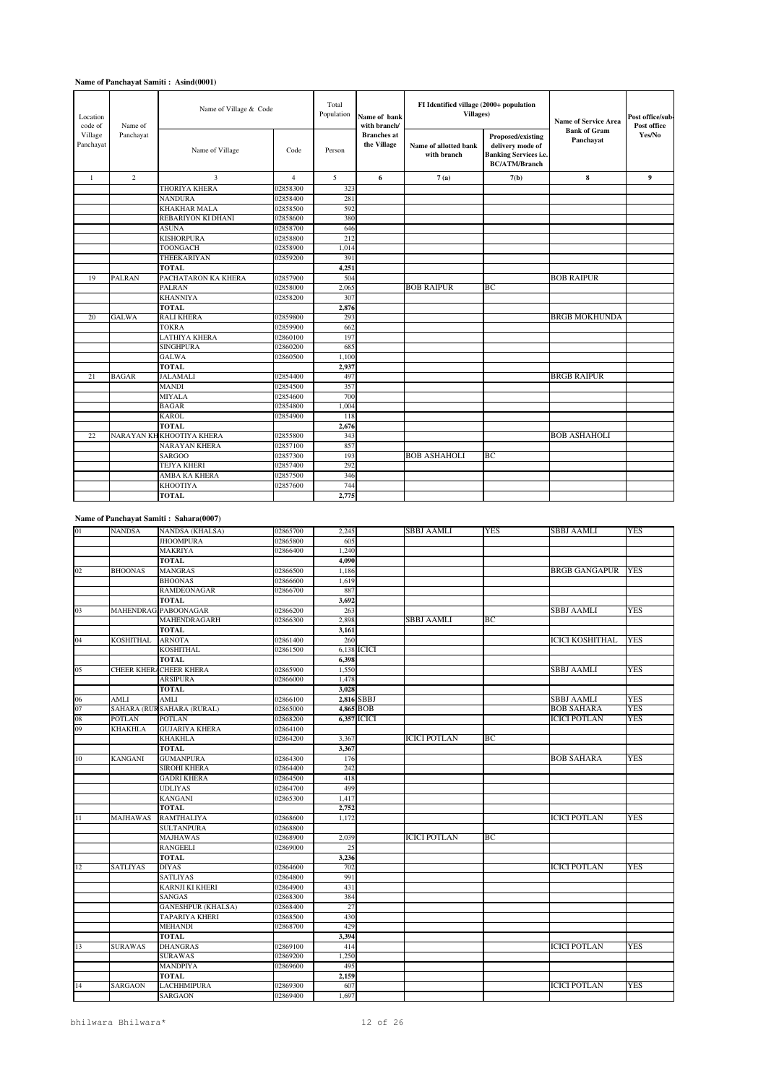| Location<br>code of<br>Name of<br>Village<br>Panchayat | Name of Village & Code |                           | Total<br>Population | Name of bank<br>with branch/ | FI Identified village (2000+ population<br><b>Villages</b> ) |                                      | <b>Name of Service Area</b>                                                                   | Post office/sub-<br>Post office  |        |
|--------------------------------------------------------|------------------------|---------------------------|---------------------|------------------------------|--------------------------------------------------------------|--------------------------------------|-----------------------------------------------------------------------------------------------|----------------------------------|--------|
| Panchayat                                              |                        | Name of Village           | Code                | Person                       | <b>Branches</b> at<br>the Village                            | Name of allotted bank<br>with branch | Proposed/existing<br>delivery mode of<br><b>Banking Services i.e.</b><br><b>BC/ATM/Branch</b> | <b>Bank of Gram</b><br>Panchayat | Yes/No |
| $\mathbf{1}$                                           | $\overline{c}$         | 3                         | $\overline{4}$      | 5                            | 6                                                            | 7(a)                                 | 7(b)                                                                                          | 8                                | 9      |
|                                                        |                        | <b>THORIYA KHERA</b>      | 02858300            | 323                          |                                                              |                                      |                                                                                               |                                  |        |
|                                                        |                        | <b>NANDURA</b>            | 02858400            | 281                          |                                                              |                                      |                                                                                               |                                  |        |
|                                                        |                        | <b>KHAKHAR MALA</b>       | 02858500            | 592                          |                                                              |                                      |                                                                                               |                                  |        |
|                                                        |                        | REBARIYON KI DHANI        | 02858600            | 380                          |                                                              |                                      |                                                                                               |                                  |        |
|                                                        |                        | <b>ASUNA</b>              | 02858700            | 646                          |                                                              |                                      |                                                                                               |                                  |        |
|                                                        |                        | <b>KISHORPURA</b>         | 02858800            | 212                          |                                                              |                                      |                                                                                               |                                  |        |
|                                                        |                        | TOONGACH                  | 02858900            | 1.014                        |                                                              |                                      |                                                                                               |                                  |        |
|                                                        |                        | THEEKARIYAN               | 02859200            | 391                          |                                                              |                                      |                                                                                               |                                  |        |
|                                                        |                        | <b>TOTAL</b>              |                     | 4,251                        |                                                              |                                      |                                                                                               |                                  |        |
| 19                                                     | <b>PALRAN</b>          | PACHATARON KA KHERA       | 02857900            | 504                          |                                                              |                                      |                                                                                               | <b>BOB RAIPUR</b>                |        |
|                                                        |                        | <b>PALRAN</b>             | 02858000            | 2,065                        |                                                              | <b>BOB RAIPUR</b>                    | BC                                                                                            |                                  |        |
|                                                        |                        | <b>KHANNIYA</b>           | 02858200            | 307                          |                                                              |                                      |                                                                                               |                                  |        |
|                                                        |                        | <b>TOTAL</b>              |                     | 2,876                        |                                                              |                                      |                                                                                               |                                  |        |
| 20                                                     | <b>GALWA</b>           | <b>RALI KHERA</b>         | 02859800            | 293                          |                                                              |                                      |                                                                                               | <b>BRGB MOKHUNDA</b>             |        |
|                                                        |                        | <b>TOKRA</b>              | 02859900            | 662                          |                                                              |                                      |                                                                                               |                                  |        |
|                                                        |                        | <b>LATHIYA KHERA</b>      | 02860100            | 197                          |                                                              |                                      |                                                                                               |                                  |        |
|                                                        |                        | <b>SINGHPURA</b>          | 02860200            | 685                          |                                                              |                                      |                                                                                               |                                  |        |
|                                                        |                        | <b>GALWA</b>              | 02860500            | 1,100                        |                                                              |                                      |                                                                                               |                                  |        |
|                                                        |                        | <b>TOTAL</b>              |                     | 2,937                        |                                                              |                                      |                                                                                               |                                  |        |
| 21                                                     | <b>BAGAR</b>           | <b>JALAMALI</b>           | 02854400            | 497                          |                                                              |                                      |                                                                                               | <b>BRGB RAIPUR</b>               |        |
|                                                        |                        | <b>MANDI</b>              | 02854500            | 357                          |                                                              |                                      |                                                                                               |                                  |        |
|                                                        |                        | <b>MIYALA</b>             | 02854600            | 700                          |                                                              |                                      |                                                                                               |                                  |        |
|                                                        |                        | <b>BAGAR</b>              | 02854800            | 1.004                        |                                                              |                                      |                                                                                               |                                  |        |
|                                                        |                        | <b>KAROL</b>              | 02854900            | 118                          |                                                              |                                      |                                                                                               |                                  |        |
|                                                        |                        | <b>TOTAL</b>              |                     | 2.676                        |                                                              |                                      |                                                                                               |                                  |        |
| 22                                                     |                        | NARAYAN KH KHOOTIYA KHERA | 02855800            | 343                          |                                                              |                                      |                                                                                               | <b>BOB ASHAHOLI</b>              |        |
|                                                        |                        | <b>NARAYAN KHERA</b>      | 02857100            | 857                          |                                                              |                                      |                                                                                               |                                  |        |
|                                                        |                        | <b>SARGOO</b>             | 02857300            | 193                          |                                                              | <b>BOB ASHAHOLI</b>                  | BC                                                                                            |                                  |        |
|                                                        |                        | <b>TEJYA KHERI</b>        | 02857400            | 292                          |                                                              |                                      |                                                                                               |                                  |        |
|                                                        |                        | <b>AMBA KA KHERA</b>      | 02857500            | 346                          |                                                              |                                      |                                                                                               |                                  |        |
|                                                        |                        | <b>KHOOTIYA</b>           | 02857600            | 744                          |                                                              |                                      |                                                                                               |                                  |        |
|                                                        |                        | <b>TOTAL</b>              |                     | 2,775                        |                                                              |                                      |                                                                                               |                                  |        |

# **Name of Panchayat Samiti : Sahara(0007)**

| 01     | <b>NANDSA</b>     | <b>NANDSA</b> (KHALSA)     | 02865700 | 2.245 |             | SBBJ AAMLI          | <b>YES</b> | <b>SBBJ AAMLI</b>        | <b>YES</b> |
|--------|-------------------|----------------------------|----------|-------|-------------|---------------------|------------|--------------------------|------------|
|        |                   | <b>JHOOMPURA</b>           | 02865800 | 605   |             |                     |            |                          |            |
|        |                   | MAKRIYA                    | 02866400 | 1,240 |             |                     |            |                          |            |
|        |                   | TOTAL                      |          | 4,090 |             |                     |            |                          |            |
| 02     | <b>BHOONAS</b>    | MANGRAS                    | 02866500 | 1,186 |             |                     |            | <b>BRGB GANGAPUR YES</b> |            |
|        |                   | <b>BHOONAS</b>             | 02866600 | 1,619 |             |                     |            |                          |            |
|        |                   | <b>RAMDEONAGAR</b>         | 02866700 | 887   |             |                     |            |                          |            |
|        |                   | <b>TOTAL</b>               |          | 3,692 |             |                     |            |                          |            |
| 03     |                   | MAHENDRAG. PABOONAGAR      | 02866200 | 263   |             |                     |            | <b>SBBJ AAMLI</b>        | <b>YES</b> |
|        |                   | MAHENDRAGARH               | 02866300 | 2,898 |             | SBBJ AAMLI          | BC         |                          |            |
|        |                   | <b>TOTAL</b>               |          | 3,161 |             |                     |            |                          |            |
| 04     | <b>KOSHITHAL</b>  | <b>ARNOTA</b>              | 02861400 | 260   |             |                     |            | <b>ICICI KOSHITHAL</b>   | <b>YES</b> |
|        |                   | <b>KOSHITHAL</b>           | 02861500 |       | 6,138 ICICI |                     |            |                          |            |
|        |                   | <b>TOTAL</b>               |          | 6,398 |             |                     |            |                          |            |
| 05     | <b>CHEER KHER</b> | <b>CHEER KHERA</b>         | 02865900 | 1,550 |             |                     |            | <b>SBBJ AAMLI</b>        | <b>YES</b> |
|        |                   | ARSIPURA                   | 02866000 | 1,478 |             |                     |            |                          |            |
|        |                   | <b>TOTAL</b>               |          | 3,028 |             |                     |            |                          |            |
| 06     | <b>AMLI</b>       | AMLI                       | 02866100 |       | 2.816 SBBJ  |                     |            | <b>SBBJ AAMLI</b>        | <b>YES</b> |
| 07     |                   | SAHARA (RUR SAHARA (RURAL) | 02865000 |       | 4,865 BOB   |                     |            | <b>BOB SAHARA</b>        | YES        |
| 08     | <b>POTLAN</b>     | <b>POTLAN</b>              | 02868200 |       | 6,357 ICICI |                     |            | <b>ICICI POTLAN</b>      | <b>YES</b> |
| 09     | KHAKHLA           | <b>GUJARIYA KHERA</b>      | 02864100 |       |             |                     |            |                          |            |
|        |                   | <b>KHAKHLA</b>             | 02864200 | 3,367 |             | <b>ICICI POTLAN</b> | BC         |                          |            |
|        |                   | <b>TOTAL</b>               |          | 3,367 |             |                     |            |                          |            |
| 10     | <b>KANGANI</b>    | <b>GUMANPURA</b>           | 02864300 | 176   |             |                     |            | <b>BOB SAHARA</b>        | <b>YES</b> |
|        |                   | SIROHI KHERA               | 02864400 | 242   |             |                     |            |                          |            |
|        |                   | <b>GADRI KHERA</b>         | 02864500 | 418   |             |                     |            |                          |            |
|        |                   | <b>UDLIYAS</b>             | 02864700 | 499   |             |                     |            |                          |            |
|        |                   | <b>KANGANI</b>             | 02865300 | 1,417 |             |                     |            |                          |            |
|        |                   | <b>TOTAL</b>               |          | 2.752 |             |                     |            |                          |            |
| $1\,1$ | <b>MAJHAWAS</b>   | <b>RAMTHALIYA</b>          | 02868600 | 1,172 |             |                     |            | <b>ICICI POTLAN</b>      | YES        |
|        |                   | <b>SULTANPURA</b>          | 02868800 |       |             |                     |            |                          |            |
|        |                   | MAJHAWAS                   | 02868900 | 2,039 |             | <b>ICICI POTLAN</b> | BС         |                          |            |
|        |                   | RANGEELI                   | 02869000 | 25    |             |                     |            |                          |            |
|        |                   | TOTAL                      |          | 3,236 |             |                     |            |                          |            |
| 12     | <b>SATLIYAS</b>   | <b>DIYAS</b>               | 02864600 | 702   |             |                     |            | <b>ICICI POTLAN</b>      | <b>YES</b> |
|        |                   | <b>SATLIYAS</b>            | 02864800 | 991   |             |                     |            |                          |            |
|        |                   | <b>KARNJI KI KHERI</b>     | 02864900 | 431   |             |                     |            |                          |            |
|        |                   | <b>SANGAS</b>              | 02868300 | 384   |             |                     |            |                          |            |
|        |                   | <b>GANESHPUR (KHALSA)</b>  | 02868400 | 27    |             |                     |            |                          |            |
|        |                   | TAPARIYA KHERI             | 02868500 | 430   |             |                     |            |                          |            |
|        |                   | <b>MEHANDI</b>             | 02868700 | 429   |             |                     |            |                          |            |
|        |                   | TOTAL                      |          | 3,394 |             |                     |            |                          |            |
| 13     | <b>SURAWAS</b>    | <b>DHANGRAS</b>            | 02869100 | 414   |             |                     |            | <b>ICICI POTLAN</b>      | YES        |
|        |                   | SURAWAS                    | 02869200 | 1.250 |             |                     |            |                          |            |
|        |                   | MANDPIYA                   | 02869600 | 495   |             |                     |            |                          |            |
|        |                   | <b>TOTAL</b>               |          | 2,159 |             |                     |            |                          |            |
| 14     | <b>SARGAON</b>    | <b>LACHHMIPURA</b>         | 02869300 | 607   |             |                     |            | <b>ICICI POTLAN</b>      | <b>YES</b> |
|        |                   | <b>SARGAON</b>             | 02869400 | 1.697 |             |                     |            |                          |            |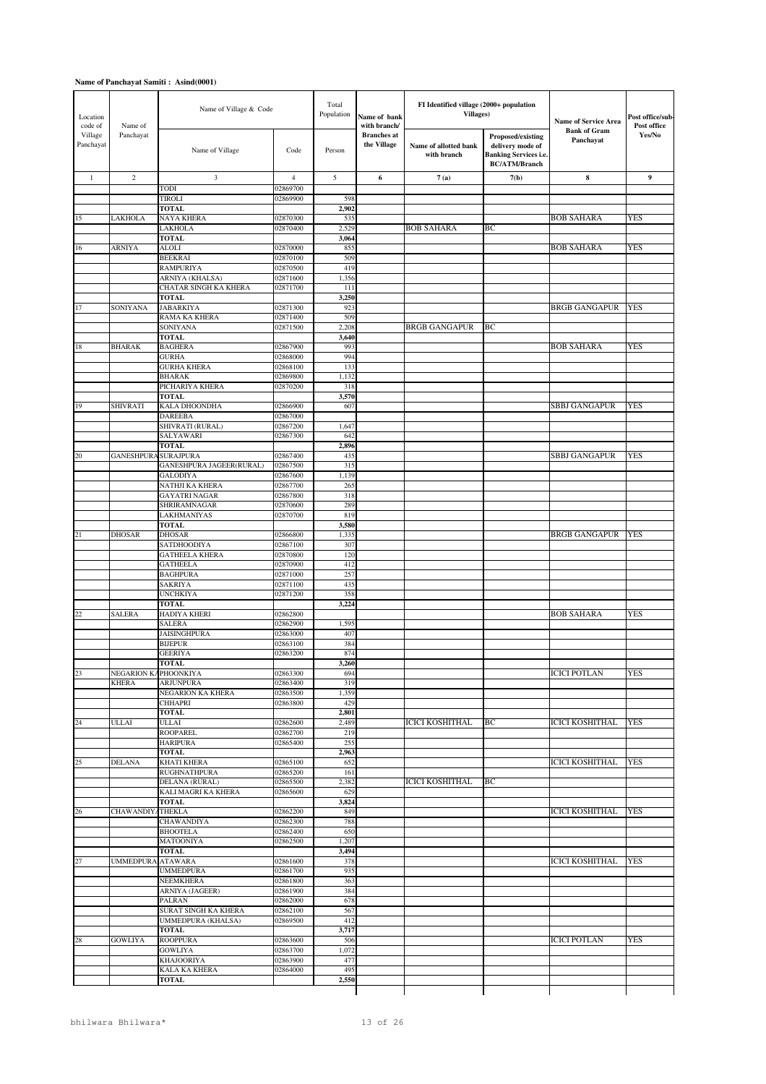| Location<br>code of  | Name of                     | Name of Village & Code                    |                      | Total<br>Population | Name of bank<br>with branch/      | FI Identified village (2000+ population<br><b>Villages</b> ) |                                                                                               | <b>Name of Service Area</b>      | Post office/sub-<br>Post office |
|----------------------|-----------------------------|-------------------------------------------|----------------------|---------------------|-----------------------------------|--------------------------------------------------------------|-----------------------------------------------------------------------------------------------|----------------------------------|---------------------------------|
| Village<br>Panchayat | Panchayat                   | Name of Village                           | Code                 | Person              | <b>Branches</b> at<br>the Village | Name of allotted bank<br>with branch                         | Proposed/existing<br>delivery mode of<br><b>Banking Services i.e.</b><br><b>BC/ATM/Branch</b> | <b>Bank of Gram</b><br>Panchayat | Yes/No                          |
| $\mathbf{1}$         | $\overline{c}$              | 3                                         | 4                    | 5                   | 6                                 | 7(a)                                                         | 7(b)                                                                                          | 8                                | 9                               |
|                      |                             | TODI                                      | 02869700             |                     |                                   |                                                              |                                                                                               |                                  |                                 |
|                      |                             | <b>TIROLI</b>                             | 02869900             | 598                 |                                   |                                                              |                                                                                               |                                  |                                 |
|                      | <b>LAKHOLA</b>              | <b>TOTAL</b><br><b>NAYA KHERA</b>         | 02870300             | 2,902               |                                   |                                                              |                                                                                               | <b>BOB SAHARA</b>                | <b>YES</b>                      |
| 15                   |                             | LAKHOLA                                   | 02870400             | 535<br>2,529        |                                   | <b>BOB SAHARA</b>                                            | ВC                                                                                            |                                  |                                 |
|                      |                             | <b>TOTAL</b>                              |                      | 3,064               |                                   |                                                              |                                                                                               |                                  |                                 |
| 16                   | <b>ARNIYA</b>               | <b>ALOLI</b>                              | 02870000             | 855                 |                                   |                                                              |                                                                                               | <b>BOB SAHARA</b>                | <b>YES</b>                      |
|                      |                             | <b>BEEKRAI</b>                            | 02870100             | 509                 |                                   |                                                              |                                                                                               |                                  |                                 |
|                      |                             | <b>RAMPURIYA</b><br>ARNIYA (KHALSA)       | 02870500<br>02871600 | 419<br>1,356        |                                   |                                                              |                                                                                               |                                  |                                 |
|                      |                             | CHATAR SINGH KA KHERA                     | 02871700             | 111                 |                                   |                                                              |                                                                                               |                                  |                                 |
|                      |                             | <b>TOTAL</b>                              |                      | 3,250               |                                   |                                                              |                                                                                               |                                  |                                 |
| 17                   | <b>SONIYANA</b>             | <b>JABARKIYA</b>                          | 02871300             | 923                 |                                   |                                                              |                                                                                               | <b>BRGB GANGAPUR</b>             | <b>YES</b>                      |
|                      |                             | RAMA KA KHERA                             | 02871400             | 509                 |                                   |                                                              |                                                                                               |                                  |                                 |
|                      |                             | SONIYANA<br><b>TOTAL</b>                  | 02871500             | 2,208<br>3,640      |                                   | <b>BRGB GANGAPUR</b>                                         | ВC                                                                                            |                                  |                                 |
| 18                   | <b>BHARAK</b>               | <b>BAGHERA</b>                            | 02867900             | 993                 |                                   |                                                              |                                                                                               | <b>BOB SAHARA</b>                | <b>YES</b>                      |
|                      |                             | <b>GURHA</b>                              | 02868000             | 994                 |                                   |                                                              |                                                                                               |                                  |                                 |
|                      |                             | <b>GURHA KHERA</b>                        | 02868100             | 133                 |                                   |                                                              |                                                                                               |                                  |                                 |
|                      |                             | <b>BHARAK</b>                             | 02869800             | 1,132               |                                   |                                                              |                                                                                               |                                  |                                 |
|                      |                             | PICHARIYA KHERA<br><b>TOTAL</b>           | 02870200             | 318<br>3,570        |                                   |                                                              |                                                                                               |                                  |                                 |
| 19                   | <b>SHIVRATI</b>             | KALA DHOONDHA                             | 02866900             | 607                 |                                   |                                                              |                                                                                               | SBBJ GANGAPUR                    | YES                             |
|                      |                             | <b>DAREEBA</b>                            | 02867000             |                     |                                   |                                                              |                                                                                               |                                  |                                 |
|                      |                             | SHIVRATI (RURAL)                          | 02867200             | 1,647               |                                   |                                                              |                                                                                               |                                  |                                 |
|                      |                             | SALYAWARI<br><b>TOTAL</b>                 | 02867300             | 642<br>2,896        |                                   |                                                              |                                                                                               |                                  |                                 |
| 20                   | <b>GANESHPURA SURAJPURA</b> |                                           | 02867400             | 435                 |                                   |                                                              |                                                                                               | SBBJ GANGAPUR                    | <b>YES</b>                      |
|                      |                             | <b>GANESHPURA JAGEER(RURAL)</b>           | 02867500             | 315                 |                                   |                                                              |                                                                                               |                                  |                                 |
|                      |                             | <b>GALODIYA</b>                           | 02867600             | 1,139               |                                   |                                                              |                                                                                               |                                  |                                 |
|                      |                             | NATHJI KA KHERA                           | 02867700             | 265                 |                                   |                                                              |                                                                                               |                                  |                                 |
|                      |                             | <b>GAYATRI NAGAR</b><br>SHRIRAMNAGAR      | 02867800<br>02870600 | 318<br>289          |                                   |                                                              |                                                                                               |                                  |                                 |
|                      |                             | <b>LAKHMANIYAS</b>                        | 02870700             | 819                 |                                   |                                                              |                                                                                               |                                  |                                 |
|                      |                             | <b>TOTAL</b>                              |                      | 3,580               |                                   |                                                              |                                                                                               |                                  |                                 |
| 21                   | <b>DHOSAR</b>               | <b>DHOSAR</b>                             | 02866800             | 1,335               |                                   |                                                              |                                                                                               | BRGB GANGAPUR                    | <b>YES</b>                      |
|                      |                             | SATDHOODIYA                               | 02867100             | 307                 |                                   |                                                              |                                                                                               |                                  |                                 |
|                      |                             | <b>GATHEELA KHERA</b><br><b>GATHEELA</b>  | 02870800<br>02870900 | 120<br>412          |                                   |                                                              |                                                                                               |                                  |                                 |
|                      |                             | <b>BAGHPURA</b>                           | 02871000             | 257                 |                                   |                                                              |                                                                                               |                                  |                                 |
|                      |                             | <b>SAKRIYA</b>                            | 02871100             | 435                 |                                   |                                                              |                                                                                               |                                  |                                 |
|                      |                             | <b>UNCHKIYA</b>                           | 02871200             | 358                 |                                   |                                                              |                                                                                               |                                  |                                 |
| 22                   | <b>SALERA</b>               | <b>TOTAL</b><br>HADIYA KHERI              | 02862800             | 3,224               |                                   |                                                              |                                                                                               | <b>BOB SAHARA</b>                | <b>YES</b>                      |
|                      |                             | <b>SALERA</b>                             | 02862900             | 1,595               |                                   |                                                              |                                                                                               |                                  |                                 |
|                      |                             | <b>JAISINGHPURA</b>                       | 02863000             | 407                 |                                   |                                                              |                                                                                               |                                  |                                 |
|                      |                             | <b>BIJEPUR</b>                            | 02863100             | 384                 |                                   |                                                              |                                                                                               |                                  |                                 |
|                      |                             | <b>GEERIYA</b><br><b>TOTAL</b>            | 02863200             | 874<br>3,260        |                                   |                                                              |                                                                                               |                                  |                                 |
| 23                   | NEGARION KAPHOONKIYA        |                                           | 02863300             | 694                 |                                   |                                                              |                                                                                               | <b>ICICI POTLAN</b>              | YES                             |
|                      | <b>KHERA</b>                | <b>ARJUNPURA</b>                          | 02863400             | 319                 |                                   |                                                              |                                                                                               |                                  |                                 |
|                      |                             | NEGARION KA KHERA                         | 02863500             | 1,359               |                                   |                                                              |                                                                                               |                                  |                                 |
|                      |                             | <b>CHHAPRI</b>                            | 02863800             | 429                 |                                   |                                                              |                                                                                               |                                  |                                 |
| 24                   | <b>ULLAI</b>                | <b>TOTAL</b><br><b>ULLAI</b>              | 02862600             | 2,801<br>2,489      |                                   | <b>ICICI KOSHITHAL</b>                                       | BС                                                                                            | <b>ICICI KOSHITHAL</b>           | <b>YES</b>                      |
|                      |                             | <b>ROOPAREL</b>                           | 02862700             | 219                 |                                   |                                                              |                                                                                               |                                  |                                 |
|                      |                             | <b>HARIPURA</b>                           | 02865400             | 255                 |                                   |                                                              |                                                                                               |                                  |                                 |
|                      |                             | <b>TOTAL</b>                              |                      | 2,963               |                                   |                                                              |                                                                                               |                                  |                                 |
| 25                   | <b>DELANA</b>               | <b>KHATI KHERA</b><br><b>RUGHNATHPURA</b> | 02865100<br>02865200 | 652<br>161          |                                   |                                                              |                                                                                               | <b>ICICI KOSHITHAL</b>           | <b>YES</b>                      |
|                      |                             | DELANA (RURAL)                            | 02865500             | 2,382               |                                   | <b>ICICI KOSHITHAL</b>                                       | BС                                                                                            |                                  |                                 |
|                      |                             | KALI MAGRI KA KHERA                       | 02865600             | 629                 |                                   |                                                              |                                                                                               |                                  |                                 |
|                      |                             | <b>TOTAL</b>                              |                      | 3,824               |                                   |                                                              |                                                                                               |                                  |                                 |
| 26                   | CHAWANDIYATHEKLA            |                                           | 02862200             | 849                 |                                   |                                                              |                                                                                               | ICICI KOSHITHAL                  | YES                             |
|                      |                             | CHAWANDIYA<br><b>BHOOTELA</b>             | 02862300<br>02862400 | 788<br>650          |                                   |                                                              |                                                                                               |                                  |                                 |
|                      |                             | <b>MATOONIYA</b>                          | 02862500             | 1,207               |                                   |                                                              |                                                                                               |                                  |                                 |
|                      |                             | <b>TOTAL</b>                              |                      | 3,494               |                                   |                                                              |                                                                                               |                                  |                                 |
| 27                   | <b>UMMEDPURA</b>            | <b>ATAWARA</b>                            | 02861600             | 378                 |                                   |                                                              |                                                                                               | <b>ICICI KOSHITHAL</b>           | <b>YES</b>                      |
|                      |                             | <b>UMMEDPURA</b><br><b>NEEMKHERA</b>      | 02861700<br>02861800 | 935<br>363          |                                   |                                                              |                                                                                               |                                  |                                 |
|                      |                             | ARNIYA (JAGEER)                           | 02861900             | 384                 |                                   |                                                              |                                                                                               |                                  |                                 |
|                      |                             | PALRAN                                    | 02862000             | 678                 |                                   |                                                              |                                                                                               |                                  |                                 |
|                      |                             | SURAT SINGH KA KHERA                      | 02862100             | 567                 |                                   |                                                              |                                                                                               |                                  |                                 |
|                      |                             | UMMEDPURA (KHALSA)<br><b>TOTAL</b>        | 02869500             | 412<br>3,717        |                                   |                                                              |                                                                                               |                                  |                                 |
| 28                   | <b>GOWLIYA</b>              | <b>ROOPPURA</b>                           | 02863600             | 506                 |                                   |                                                              |                                                                                               | ICICI POTLAN                     | YES                             |
|                      |                             | <b>GOWLIYA</b>                            | 02863700             | 1,072               |                                   |                                                              |                                                                                               |                                  |                                 |
|                      |                             | <b>KHAJOORIYA</b>                         | 02863900             | 477                 |                                   |                                                              |                                                                                               |                                  |                                 |
|                      |                             | <b>KALA KA KHERA</b>                      | 02864000             | 495                 |                                   |                                                              |                                                                                               |                                  |                                 |
|                      |                             | <b>TOTAL</b>                              |                      | 2,550               |                                   |                                                              |                                                                                               |                                  |                                 |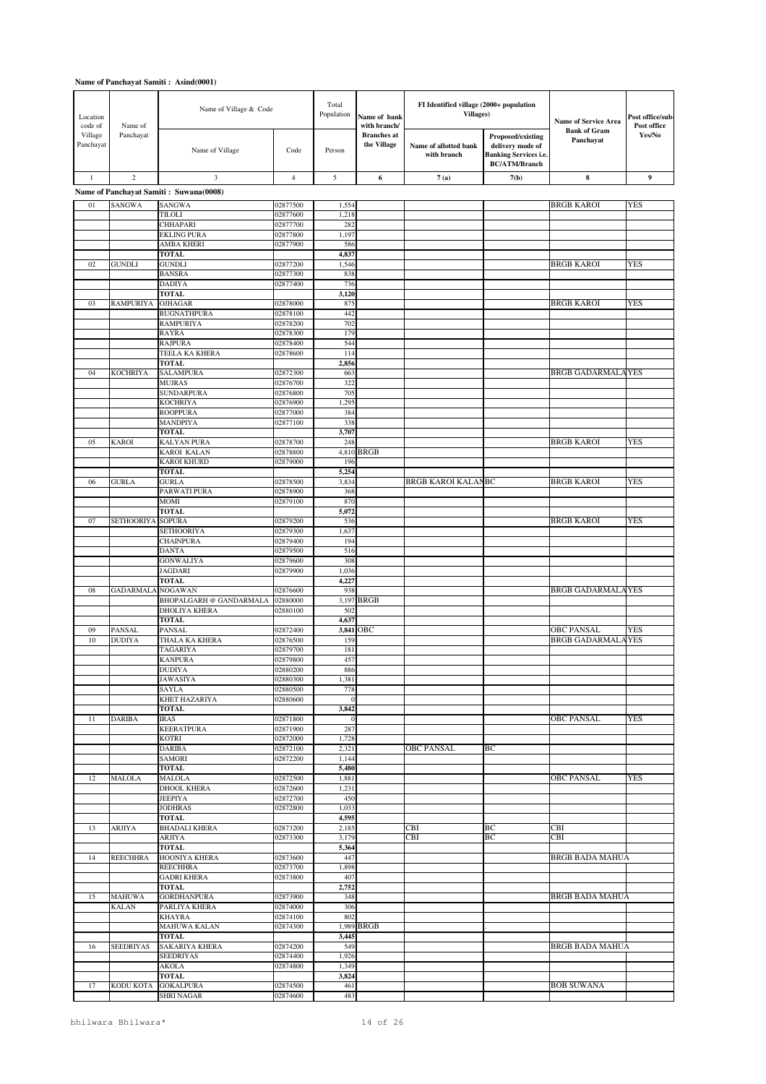| Location<br>code of  | Name of                        | Name of Village & Code                           |                      | Total<br>Population | Name of bank<br>with branch/      | FI Identified village (2000+ population<br><b>Villages</b> ) |                                                                                               | <b>Name of Service Area</b>                   | Post office/sub-<br>Post office |
|----------------------|--------------------------------|--------------------------------------------------|----------------------|---------------------|-----------------------------------|--------------------------------------------------------------|-----------------------------------------------------------------------------------------------|-----------------------------------------------|---------------------------------|
| Village<br>Panchayat | Panchayat                      | Name of Village                                  | Code                 | Person              | <b>Branches</b> at<br>the Village | Name of allotted bank<br>with branch                         | Proposed/existing<br>delivery mode of<br><b>Banking Services i.e.</b><br><b>BC/ATM/Branch</b> | <b>Bank of Gram</b><br>Panchayat              | Yes/No                          |
| $\mathbf{1}$         | 2                              | 3                                                | $\overline{4}$       | 5                   | 6                                 | 7(a)                                                         | 7(b)                                                                                          | 8                                             | 9                               |
|                      |                                | Name of Panchayat Samiti: Suwana(0008)           |                      |                     |                                   |                                                              |                                                                                               |                                               |                                 |
| 01                   | <b>SANGWA</b>                  | <b>SANGWA</b>                                    | 02877500             | 1,554               |                                   |                                                              |                                                                                               | <b>BRGB KAROI</b>                             | <b>YES</b>                      |
|                      |                                | TILOLI                                           | 02877600             | 1,218               |                                   |                                                              |                                                                                               |                                               |                                 |
|                      |                                | CHHAPARI<br><b>EKLING PURA</b>                   | 02877700<br>02877800 | 282<br>1,197        |                                   |                                                              |                                                                                               |                                               |                                 |
|                      |                                | <b>AMBA KHERI</b>                                | 02877900             | 586                 |                                   |                                                              |                                                                                               |                                               |                                 |
|                      |                                | <b>TOTAL</b>                                     |                      | 4,837               |                                   |                                                              |                                                                                               |                                               |                                 |
| 02                   | <b>GUNDLI</b>                  | <b>GUNDLI</b><br><b>BANSRA</b>                   | 02877200<br>02877300 | 1,546<br>838        |                                   |                                                              |                                                                                               | <b>BRGB KAROI</b>                             | <b>YES</b>                      |
|                      |                                | <b>DADIYA</b>                                    | 02877400             | 736                 |                                   |                                                              |                                                                                               |                                               |                                 |
|                      |                                | <b>TOTAL</b>                                     |                      | 3,120               |                                   |                                                              |                                                                                               |                                               |                                 |
| 03                   | <b>RAMPURIYA</b>               | <b>OJHAGAR</b><br><b>RUGNATHPURA</b>             | 02878000<br>02878100 | 875<br>442          |                                   |                                                              |                                                                                               | <b>BRGB KAROI</b>                             | <b>YES</b>                      |
|                      |                                | <b>RAMPURIYA</b>                                 | 02878200             | 702                 |                                   |                                                              |                                                                                               |                                               |                                 |
|                      |                                | <b>RAYRA</b>                                     | 02878300             | 179                 |                                   |                                                              |                                                                                               |                                               |                                 |
|                      |                                | <b>RAJPURA</b>                                   | 02878400             | 544                 |                                   |                                                              |                                                                                               |                                               |                                 |
|                      |                                | TEELA KA KHERA<br><b>TOTAL</b>                   | 02878600             | 114<br>2,856        |                                   |                                                              |                                                                                               |                                               |                                 |
| 04                   | <b>KOCHRIYA</b>                | <b>SALAMPURA</b>                                 | 02872300             | 663                 |                                   |                                                              |                                                                                               | <b>BRGB GADARMALAYES</b>                      |                                 |
|                      |                                | <b>MUJRAS</b>                                    | 02876700             | 322                 |                                   |                                                              |                                                                                               |                                               |                                 |
|                      |                                | <b>SUNDARPURA</b><br><b>KOCHRIYA</b>             | 02876800<br>02876900 | 705<br>1,295        |                                   |                                                              |                                                                                               |                                               |                                 |
|                      |                                | <b>ROOPPURA</b>                                  | 02877000             | 384                 |                                   |                                                              |                                                                                               |                                               |                                 |
|                      |                                | <b>MANDPIYA</b>                                  | 02877100             | 338                 |                                   |                                                              |                                                                                               |                                               |                                 |
| 05                   | <b>KAROI</b>                   | <b>TOTAL</b><br><b>KALYAN PURA</b>               | 02878700             | 3,707<br>248        |                                   |                                                              |                                                                                               | <b>BRGB KAROI</b>                             | <b>YES</b>                      |
|                      |                                | <b>KAROI KALAN</b>                               | 02878800             |                     | 4,810 BRGB                        |                                                              |                                                                                               |                                               |                                 |
|                      |                                | <b>KAROI KHURD</b>                               | 02879000             | 196                 |                                   |                                                              |                                                                                               |                                               |                                 |
| 06                   | <b>GURLA</b>                   | <b>TOTAL</b><br><b>GURLA</b>                     | 02878500             | 5,254<br>3,834      |                                   | <b>BRGB KAROI KALANBC</b>                                    |                                                                                               | <b>BRGB KAROI</b>                             | <b>YES</b>                      |
|                      |                                | PARWATI PURA                                     | 02878900             | 368                 |                                   |                                                              |                                                                                               |                                               |                                 |
|                      |                                | MOMI                                             | 02879100             | 870                 |                                   |                                                              |                                                                                               |                                               |                                 |
|                      | <b>SETHOORIYA</b>              | <b>TOTAL</b><br><b>SOPURA</b>                    | 02879200             | 5,072               |                                   |                                                              |                                                                                               | <b>BRGB KAROI</b>                             | YES                             |
| 07                   |                                | SETHOORIYA                                       | 02879300             | 536<br>1,637        |                                   |                                                              |                                                                                               |                                               |                                 |
|                      |                                | <b>CHAINPURA</b>                                 | 02879400             | 194                 |                                   |                                                              |                                                                                               |                                               |                                 |
|                      |                                | <b>DANTA</b>                                     | 02879500             | 516<br>308          |                                   |                                                              |                                                                                               |                                               |                                 |
|                      |                                | <b>GONWALIYA</b><br><b>JAGDARI</b>               | 02879600<br>02879900 | 1,036               |                                   |                                                              |                                                                                               |                                               |                                 |
|                      |                                | <b>TOTAL</b>                                     |                      | 4,22                |                                   |                                                              |                                                                                               |                                               |                                 |
| 08                   | <b>GADARMALA</b>               | <b>NOGAWAN</b><br><b>BHOPALGARH @ GANDARMALA</b> | 02876600<br>02880000 | 938                 |                                   |                                                              |                                                                                               | BRGB GADARMALAYES                             |                                 |
|                      |                                | DHOLIYA KHERA                                    | 02880100             | 502                 | 3,197 BRGB                        |                                                              |                                                                                               |                                               |                                 |
|                      |                                | <b>TOTAL</b>                                     |                      | 4,637               |                                   |                                                              |                                                                                               |                                               |                                 |
| 09<br>10             | <b>PANSAL</b><br><b>DUDIYA</b> | <b>PANSAL</b><br>THALA KA KHERA                  | 02872400             | 159                 | 3,841 OBC                         |                                                              |                                                                                               | <b>OBC PANSAL</b><br><b>BRGB GADARMALAYES</b> | <b>YES</b>                      |
|                      |                                | TAGARIYA                                         | 02876500<br>02879700 | 181                 |                                   |                                                              |                                                                                               |                                               |                                 |
|                      |                                | <b>KANPURA</b>                                   | 02879800             | 457                 |                                   |                                                              |                                                                                               |                                               |                                 |
|                      |                                | <b>DUDIYA</b>                                    | 02880200             | 886                 |                                   |                                                              |                                                                                               |                                               |                                 |
|                      |                                | JAWASIYA<br>SAYLA                                | 02880300<br>02880500 | 1,381<br>778        |                                   |                                                              |                                                                                               |                                               |                                 |
|                      |                                | KHET HAZARIYA                                    | 02880600             | $\mathbf{0}$        |                                   |                                                              |                                                                                               |                                               |                                 |
|                      |                                | <b>TOTAL</b>                                     |                      | 3,842               |                                   |                                                              |                                                                                               |                                               |                                 |
| 11                   | <b>DARIBA</b>                  | <b>IRAS</b><br><b>KEERATPURA</b>                 | 02871800<br>02871900 | $\bf{0}$<br>287     |                                   |                                                              |                                                                                               | <b>OBC PANSAL</b>                             | YES                             |
|                      |                                | <b>KOTRI</b>                                     | 02872000             | 1,728               |                                   |                                                              |                                                                                               |                                               |                                 |
|                      |                                | <b>DARIBA</b><br><b>SAMORI</b>                   | 02872100<br>02872200 | 2,321<br>1,144      |                                   | <b>OBC PANSAL</b>                                            | BС                                                                                            |                                               |                                 |
|                      |                                | <b>TOTAL</b>                                     |                      | 5,480               |                                   |                                                              |                                                                                               |                                               |                                 |
| 12                   | MALOLA                         | MALOLA                                           | 02872500             | 1,881               |                                   |                                                              |                                                                                               | <b>OBC PANSAL</b>                             | <b>YES</b>                      |
|                      |                                | <b>DHOOL KHERA</b><br><b>JEEPIYA</b>             | 02872600<br>02872700 | 1,231<br>450        |                                   |                                                              |                                                                                               |                                               |                                 |
|                      |                                | <b>JODHRAS</b>                                   | 02872800             | 1,033               |                                   |                                                              |                                                                                               |                                               |                                 |
|                      |                                | <b>TOTAL</b>                                     |                      | 4,595               |                                   |                                                              |                                                                                               |                                               |                                 |
| 13                   | <b>ARJIYA</b>                  | <b>BHADALI KHERA</b><br><b>ARJIYA</b>            | 02873200<br>02873300 | 2,185<br>3,179      |                                   | CBI<br>CBI                                                   | ВC<br>ВC                                                                                      | CBI<br>CBI                                    |                                 |
|                      |                                | <b>TOTAL</b>                                     |                      | 5,364               |                                   |                                                              |                                                                                               |                                               |                                 |
| 14                   | <b>REECHHRA</b>                | HOONIYA KHERA                                    | 02873600             | 447                 |                                   |                                                              |                                                                                               | <b>BRGB BADA MAHUA</b>                        |                                 |
|                      |                                | <b>REECHHRA</b><br><b>GADRI KHERA</b>            | 02873700<br>02873800 | 1,898<br>407        |                                   |                                                              |                                                                                               |                                               |                                 |
|                      |                                | <b>TOTAL</b>                                     |                      | 2,752               |                                   |                                                              |                                                                                               |                                               |                                 |
| 15                   | <b>MAHUWA</b>                  | <b>GORDHANPURA</b>                               | 02873900             | 348                 |                                   |                                                              |                                                                                               | BRGB BADA MAHUA                               |                                 |
|                      | <b>KALAN</b>                   | PARLIYA KHERA<br><b>KHAYRA</b>                   | 02874000<br>02874100 | 306<br>802          |                                   |                                                              |                                                                                               |                                               |                                 |
|                      |                                | <b>MAHUWA KALAN</b>                              | 02874300             |                     | 1,989 BRGB                        |                                                              |                                                                                               |                                               |                                 |
|                      |                                | <b>TOTAL</b>                                     |                      | 3,445               |                                   |                                                              |                                                                                               |                                               |                                 |
| 16                   | <b>SEEDRIYAS</b>               | <b>SAKARIYA KHERA</b><br><b>SEEDRIYAS</b>        | 02874200<br>02874400 | 549<br>1,926        |                                   |                                                              |                                                                                               | <b>BRGB BADA MAHUA</b>                        |                                 |
|                      |                                | <b>AKOLA</b>                                     | 02874800             | 1,349               |                                   |                                                              |                                                                                               |                                               |                                 |
|                      |                                | <b>TOTAL</b>                                     |                      | 3,824               |                                   |                                                              |                                                                                               |                                               |                                 |
| 17                   | KODU KOTA                      | <b>GOKALPURA</b><br>SHRI NAGAR                   | 02874500<br>02874600 | 461<br>483          |                                   |                                                              |                                                                                               | <b>BOB SUWANA</b>                             |                                 |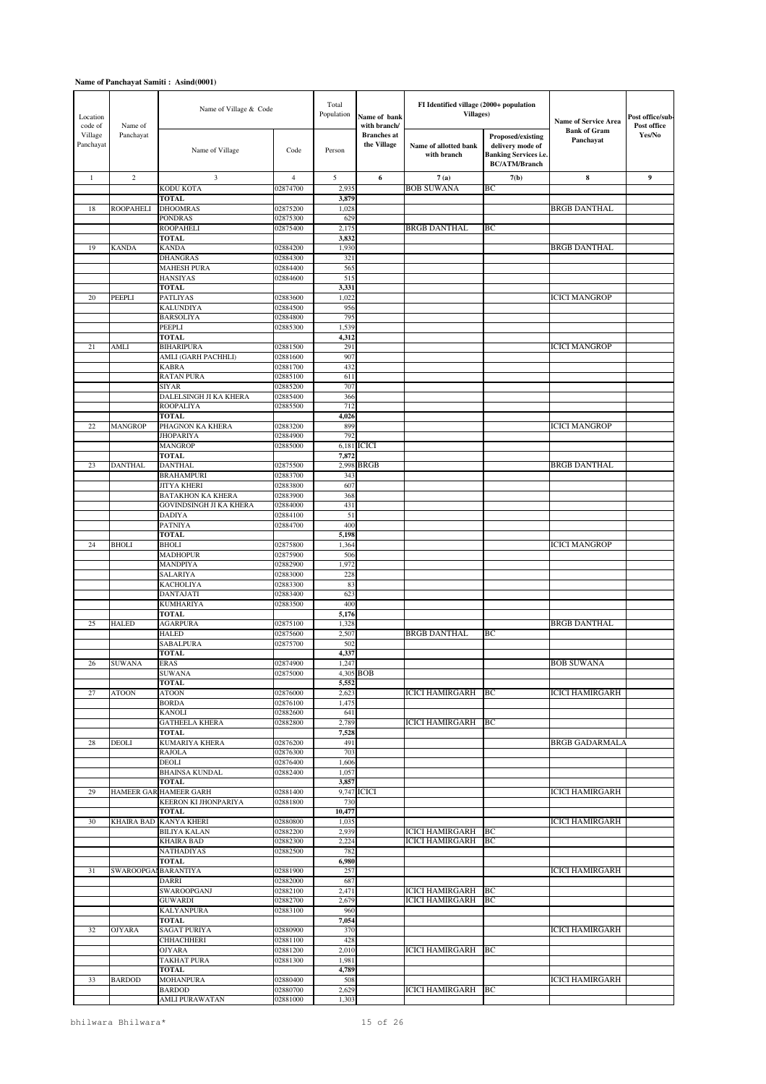| Location<br>code of  | Name of             | Name of Village & Code                         |                      | Total<br>Population | Name of bank<br>with branch/      | FI Identified village (2000+ population<br><b>Villages</b> ) |                                                                                                      | <b>Name of Service Area</b>      | Post office/sub-<br>Post office |
|----------------------|---------------------|------------------------------------------------|----------------------|---------------------|-----------------------------------|--------------------------------------------------------------|------------------------------------------------------------------------------------------------------|----------------------------------|---------------------------------|
| Village<br>Panchayat | Panchayat           | Name of Village                                | Code                 | Person              | <b>Branches</b> at<br>the Village | Name of allotted bank<br>with branch                         | <b>Proposed/existing</b><br>delivery mode of<br><b>Banking Services i.e.</b><br><b>BC/ATM/Branch</b> | <b>Bank of Gram</b><br>Panchayat | Yes/No                          |
| $\mathbf{1}$         | $\sqrt{2}$          | 3                                              | 4                    | 5                   | 6                                 | 7(a)                                                         | 7(b)                                                                                                 | $\bf{8}$                         | 9                               |
|                      |                     | KODU KOTA                                      | 02874700             | 2,935               |                                   | <b>BOB SUWANA</b>                                            | ВC                                                                                                   |                                  |                                 |
| 18                   | <b>ROOPAHELI</b>    | <b>TOTAL</b><br><b>DHOOMRAS</b>                | 02875200             | 3,879<br>1,028      |                                   |                                                              |                                                                                                      | <b>BRGB DANTHAL</b>              |                                 |
|                      |                     | <b>PONDRAS</b>                                 | 02875300             | 629                 |                                   |                                                              |                                                                                                      |                                  |                                 |
|                      |                     | <b>ROOPAHELI</b>                               | 02875400             | 2,175               |                                   | <b>BRGB DANTHAL</b>                                          | BC                                                                                                   |                                  |                                 |
| 19                   | <b>KANDA</b>        | <b>TOTAL</b><br><b>KANDA</b>                   | 02884200             | 3,832<br>1,930      |                                   |                                                              |                                                                                                      | <b>BRGB DANTHAL</b>              |                                 |
|                      |                     | <b>DHANGRAS</b>                                | 02884300             | 321                 |                                   |                                                              |                                                                                                      |                                  |                                 |
|                      |                     | <b>MAHESH PURA</b>                             | 02884400             | 565                 |                                   |                                                              |                                                                                                      |                                  |                                 |
|                      |                     | <b>HANSIYAS</b><br><b>TOTAL</b>                | 02884600             | 515<br>3,331        |                                   |                                                              |                                                                                                      |                                  |                                 |
| $20\,$               | PEEPLI              | PATLIYAS                                       | 02883600             | 1,022               |                                   |                                                              |                                                                                                      | <b>ICICI MANGROP</b>             |                                 |
|                      |                     | <b>KALUNDIYA</b>                               | 02884500             | 956                 |                                   |                                                              |                                                                                                      |                                  |                                 |
|                      |                     | <b>BARSOLIYA</b><br><b>PEEPLI</b>              | 02884800<br>02885300 | 795<br>1,539        |                                   |                                                              |                                                                                                      |                                  |                                 |
|                      |                     | <b>TOTAL</b>                                   |                      | 4,312               |                                   |                                                              |                                                                                                      |                                  |                                 |
| 21                   | <b>AMLI</b>         | <b>BIHARIPURA</b>                              | 02881500             | 291                 |                                   |                                                              |                                                                                                      | ICICI MANGROP                    |                                 |
|                      |                     | AMLI (GARH PACHHLI)<br><b>KABRA</b>            | 02881600             | 907<br>432          |                                   |                                                              |                                                                                                      |                                  |                                 |
|                      |                     | <b>RATAN PURA</b>                              | 02881700<br>02885100 | 611                 |                                   |                                                              |                                                                                                      |                                  |                                 |
|                      |                     | <b>SIYAR</b>                                   | 02885200             | 707                 |                                   |                                                              |                                                                                                      |                                  |                                 |
|                      |                     | DALELSINGH JI KA KHERA                         | 02885400             | 366<br>712          |                                   |                                                              |                                                                                                      |                                  |                                 |
|                      |                     | <b>ROOPALIYA</b><br><b>TOTAL</b>               | 02885500             | 4,026               |                                   |                                                              |                                                                                                      |                                  |                                 |
| $22\,$               | <b>MANGROP</b>      | PHAGNON KA KHERA                               | 02883200             | 899                 |                                   |                                                              |                                                                                                      | <b>ICICI MANGROP</b>             |                                 |
|                      |                     | <b>JHOPARIYA</b>                               | 02884900             | 792                 |                                   |                                                              |                                                                                                      |                                  |                                 |
|                      |                     | <b>MANGROP</b><br><b>TOTAL</b>                 | 02885000             | 7,872               | 6,181 ICICI                       |                                                              |                                                                                                      |                                  |                                 |
| 23                   | <b>DANTHAL</b>      | <b>DANTHAL</b>                                 | 02875500             | 2,998               | <b>BRGB</b>                       |                                                              |                                                                                                      | <b>BRGB DANTHAL</b>              |                                 |
|                      |                     | <b>BRAHAMPURI</b>                              | 02883700             | 343                 |                                   |                                                              |                                                                                                      |                                  |                                 |
|                      |                     | <b>JITYA KHERI</b><br><b>BATAKHON KA KHERA</b> | 02883800<br>02883900 | 607<br>368          |                                   |                                                              |                                                                                                      |                                  |                                 |
|                      |                     | <b>GOVINDSINGH JI KA KHERA</b>                 | 02884000             | 431                 |                                   |                                                              |                                                                                                      |                                  |                                 |
|                      |                     | <b>DADIYA</b>                                  | 02884100             | 51                  |                                   |                                                              |                                                                                                      |                                  |                                 |
|                      |                     | <b>PATNIYA</b><br><b>TOTAL</b>                 | 02884700             | 400<br>5,198        |                                   |                                                              |                                                                                                      |                                  |                                 |
| 24                   | <b>BHOLI</b>        | <b>BHOLI</b>                                   | 02875800             | 1,364               |                                   |                                                              |                                                                                                      | <b>ICICI MANGROP</b>             |                                 |
|                      |                     | <b>MADHOPUR</b>                                | 02875900             | 506                 |                                   |                                                              |                                                                                                      |                                  |                                 |
|                      |                     | <b>MANDPIYA</b><br><b>SALARIYA</b>             | 02882900<br>02883000 | 1,972<br>228        |                                   |                                                              |                                                                                                      |                                  |                                 |
|                      |                     | <b>KACHOLIYA</b>                               | 02883300             | 83                  |                                   |                                                              |                                                                                                      |                                  |                                 |
|                      |                     | <b>DANTAJATI</b>                               | 02883400             | 623                 |                                   |                                                              |                                                                                                      |                                  |                                 |
|                      |                     | <b>KUMHARIYA</b><br><b>TOTAL</b>               | 02883500             | 400                 |                                   |                                                              |                                                                                                      |                                  |                                 |
| 25                   | <b>HALED</b>        | <b>AGARPURA</b>                                | 02875100             | 5,176<br>1,328      |                                   |                                                              |                                                                                                      | <b>BRGB DANTHAL</b>              |                                 |
|                      |                     | <b>HALED</b>                                   | 02875600             | 2,507               |                                   | <b>BRGB DANTHAL</b>                                          | BC                                                                                                   |                                  |                                 |
|                      |                     | <b>SABALPURA</b>                               | 02875700             | 502<br>4,337        |                                   |                                                              |                                                                                                      |                                  |                                 |
| 26                   | <b>SUWANA</b>       | <b>TOTAL</b><br><b>ERAS</b>                    | 02874900             | 1,247               |                                   |                                                              |                                                                                                      | <b>BOB SUWANA</b>                |                                 |
|                      |                     | <b>SUWANA</b>                                  | 02875000             |                     | 4,305 BOB                         |                                                              |                                                                                                      |                                  |                                 |
|                      |                     | <b>TOTAL</b>                                   |                      | 5,552               |                                   | <b>ICICI HAMIRGARH</b>                                       |                                                                                                      | <b>ICICI HAMIRGARH</b>           |                                 |
| 27                   | <b>ATOON</b>        | <b>ATOON</b><br><b>BORDA</b>                   | 02876000<br>02876100 | 2,623<br>1,475      |                                   |                                                              | BC                                                                                                   |                                  |                                 |
|                      |                     | <b>KANOLI</b>                                  | 02882600             | 641                 |                                   |                                                              |                                                                                                      |                                  |                                 |
|                      |                     | <b>GATHEELA KHERA</b>                          | 02882800             | 2,789               |                                   | <b>ICICI HAMIRGARH</b>                                       | <b>BC</b>                                                                                            |                                  |                                 |
| 28                   | DEOLI               | <b>TOTAL</b><br><b>KUMARIYA KHERA</b>          | 02876200             | 7,528<br>491        |                                   |                                                              |                                                                                                      | <b>BRGB GADARMALA</b>            |                                 |
|                      |                     | <b>RAJOLA</b>                                  | 02876300             | 703                 |                                   |                                                              |                                                                                                      |                                  |                                 |
|                      |                     | <b>DEOLI</b><br><b>BHAINSA KUNDAL</b>          | 02876400<br>02882400 | 1,606<br>1,057      |                                   |                                                              |                                                                                                      |                                  |                                 |
|                      |                     | <b>TOTAL</b>                                   |                      | 3,857               |                                   |                                                              |                                                                                                      |                                  |                                 |
| 29                   | <b>HAMEER GAF</b>   | <b>HAMEER GARH</b>                             | 02881400             |                     | 9,747 ICICI                       |                                                              |                                                                                                      | <b>ICICI HAMIRGARH</b>           |                                 |
|                      |                     | <b>KEERON KI JHONPARIYA</b>                    | 02881800             | 730<br>10,477       |                                   |                                                              |                                                                                                      |                                  |                                 |
| 30                   | <b>KHAIRA BAD</b>   | <b>TOTAL</b><br><b>KANYA KHERI</b>             | 02880800             | 1,035               |                                   |                                                              |                                                                                                      | <b>ICICI HAMIRGARH</b>           |                                 |
|                      |                     | <b>BILIYA KALAN</b>                            | 02882200             | 2,939               |                                   | <b>ICICI HAMIRGARH</b>                                       | BC                                                                                                   |                                  |                                 |
|                      |                     | <b>KHAIRA BAD</b><br>NATHADIYAS                | 02882300<br>02882500 | 2,224<br>782        |                                   | <b>ICICI HAMIRGARH</b>                                       | ВC                                                                                                   |                                  |                                 |
|                      |                     | <b>TOTAL</b>                                   |                      | 6,980               |                                   |                                                              |                                                                                                      |                                  |                                 |
| 31                   | SWAROOPGALBARANTIYA |                                                | 02881900             | 257                 |                                   |                                                              |                                                                                                      | <b>ICICI HAMIRGARH</b>           |                                 |
|                      |                     | DARRI<br>SWAROOPGANJ                           | 02882000             | 687<br>2,471        |                                   | <b>ICICI HAMIRGARH</b>                                       | BC                                                                                                   |                                  |                                 |
|                      |                     | <b>GUWARDI</b>                                 | 02882100<br>02882700 | 2,679               |                                   | <b>ICICI HAMIRGARH</b>                                       | BC                                                                                                   |                                  |                                 |
|                      |                     | <b>KALYANPURA</b>                              | 02883100             | 960                 |                                   |                                                              |                                                                                                      |                                  |                                 |
| 32                   |                     | <b>TOTAL</b>                                   |                      | 7,054               |                                   |                                                              |                                                                                                      |                                  |                                 |
|                      | <b>OJYARA</b>       | <b>SAGAT PURIYA</b><br><b>CHHACHHERI</b>       | 02880900<br>02881100 | 370<br>428          |                                   |                                                              |                                                                                                      | ICICI HAMIRGARH                  |                                 |
|                      |                     | <b>OJYARA</b>                                  | 02881200             | 2,010               |                                   | <b>ICICI HAMIRGARH</b>                                       | BC                                                                                                   |                                  |                                 |
|                      |                     | <b>TAKHAT PURA</b>                             | 02881300             | 1,981<br>4,789      |                                   |                                                              |                                                                                                      |                                  |                                 |
| 33                   | <b>BARDOD</b>       | <b>TOTAL</b><br><b>MOHANPURA</b>               | 02880400             | 508                 |                                   |                                                              |                                                                                                      | <b>ICICI HAMIRGARH</b>           |                                 |
|                      |                     | <b>BARDOD</b>                                  | 02880700             | 2,629               |                                   | <b>ICICI HAMIRGARH</b>                                       | BC                                                                                                   |                                  |                                 |
|                      |                     | <b>AMLI PURAWATAN</b>                          | 02881000             | 1,303               |                                   |                                                              |                                                                                                      |                                  |                                 |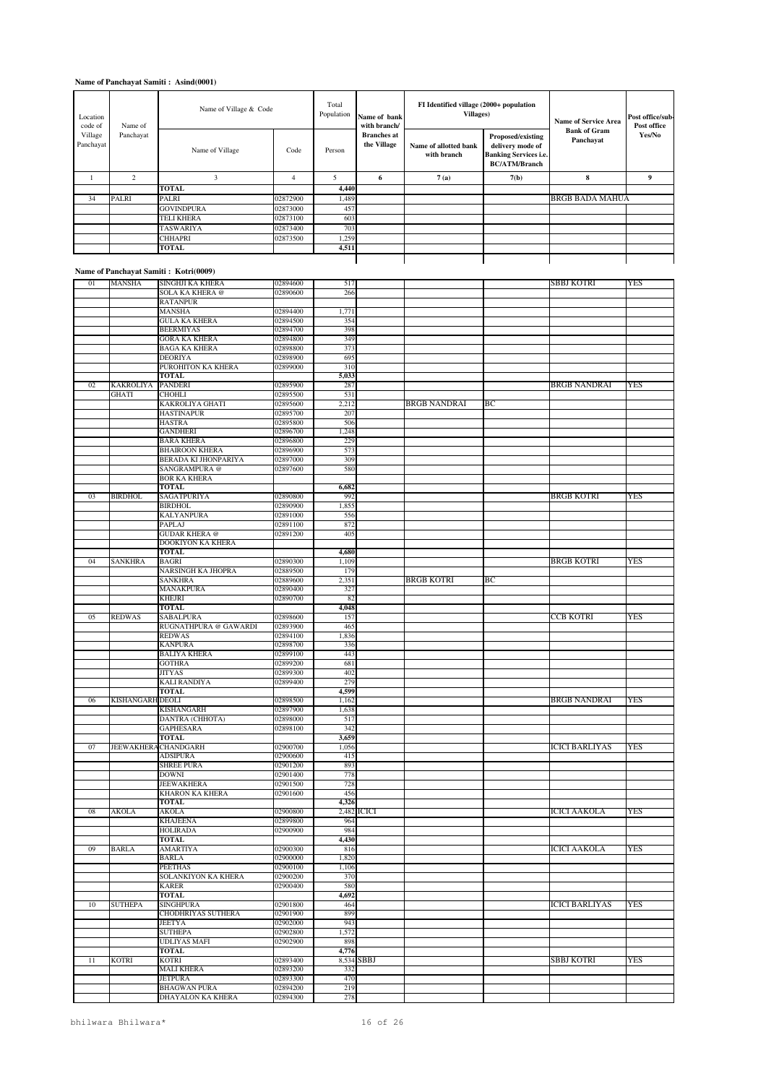| Location<br>code of  | Name of        | Name of Village & Code |          | Total<br>Population | Name of bank<br>with branch/      | FI Identified village (2000+ population<br><b>Villages</b> ) |                                                                                               | <b>Name of Service Area</b><br><b>Bank of Gram</b> | Post office/sub-<br>Post office |
|----------------------|----------------|------------------------|----------|---------------------|-----------------------------------|--------------------------------------------------------------|-----------------------------------------------------------------------------------------------|----------------------------------------------------|---------------------------------|
| Village<br>Panchayat | Panchayat      | Name of Village        | Code     | Person              | <b>Branches</b> at<br>the Village | Name of allotted bank<br>with branch                         | Proposed/existing<br>delivery mode of<br><b>Banking Services i.e.</b><br><b>BC/ATM/Branch</b> | Panchayat                                          | Yes/No                          |
|                      | $\overline{2}$ | 3                      | 4        | 5                   | 6                                 | 7(a)                                                         | 7(b)                                                                                          | 8                                                  | 9                               |
|                      |                | <b>TOTAL</b>           |          | 4,440               |                                   |                                                              |                                                                                               |                                                    |                                 |
| 34                   | <b>PALRI</b>   | PALRI                  | 02872900 | 1,489               |                                   |                                                              |                                                                                               | <b>BRGB BADA MAHUA</b>                             |                                 |
|                      |                | <b>GOVINDPURA</b>      | 02873000 | 457                 |                                   |                                                              |                                                                                               |                                                    |                                 |
|                      |                | TELI KHERA             | 02873100 | 603                 |                                   |                                                              |                                                                                               |                                                    |                                 |
|                      |                | <b>TASWARIYA</b>       | 02873400 | 703                 |                                   |                                                              |                                                                                               |                                                    |                                 |
|                      |                | <b>CHHAPRI</b>         | 02873500 | 1,259               |                                   |                                                              |                                                                                               |                                                    |                                 |
|                      |                | TOTAL                  |          | 4,511               |                                   |                                                              |                                                                                               |                                                    |                                 |

#### **Name of Panchayat Samiti : Kotri(0009)**

| 01 | MANSHA                  | <b>SINGHJI KA KHERA</b>                  | 02894600             | 517        |             |                     |    | SBBJ KOTRI            | YES        |
|----|-------------------------|------------------------------------------|----------------------|------------|-------------|---------------------|----|-----------------------|------------|
|    |                         | <b>SOLA KA KHERA</b> @                   | 02890600             | 266        |             |                     |    |                       |            |
|    |                         | <b>RATANPUR</b>                          |                      |            |             |                     |    |                       |            |
|    |                         | <b>MANSHA</b>                            | 02894400             | 1,771      |             |                     |    |                       |            |
|    |                         | <b>GULA KA KHERA</b>                     |                      | 354        |             |                     |    |                       |            |
|    |                         |                                          | 02894500             |            |             |                     |    |                       |            |
|    |                         | <b>BEERMIYAS</b>                         | 02894700             | 398        |             |                     |    |                       |            |
|    |                         | <b>GORA KA KHERA</b>                     | 02894800             | 349        |             |                     |    |                       |            |
|    |                         | <b>BAGA KA KHERA</b>                     | 02898800             | 373        |             |                     |    |                       |            |
|    |                         | <b>DEORIYA</b>                           | 02898900             | 695        |             |                     |    |                       |            |
|    |                         | PUROHITON KA KHERA                       | 02899000             | 310        |             |                     |    |                       |            |
|    |                         | <b>TOTAL</b>                             |                      | 5,033      |             |                     |    |                       |            |
| 02 | <b>KAKROLIYA</b>        | <b>PANDERI</b>                           | 02895900             | 287        |             |                     |    | <b>BRGB NANDRAI</b>   | <b>YES</b> |
|    | GHATI                   | <b>CHOHLI</b>                            | 02895500             | 531        |             |                     |    |                       |            |
|    |                         | <b>KAKROLIYA GHATI</b>                   | 02895600             | 2,212      |             | <b>BRGB NANDRAI</b> | BС |                       |            |
|    |                         | <b>HASTINAPUR</b>                        | 02895700             | 207        |             |                     |    |                       |            |
|    |                         | <b>HASTRA</b>                            | 02895800             | 506        |             |                     |    |                       |            |
|    |                         | <b>GANDHERI</b>                          | 02896700             | 1,248      |             |                     |    |                       |            |
|    |                         | <b>BARA KHERA</b>                        | 02896800             | 229        |             |                     |    |                       |            |
|    |                         | <b>BHAIROON KHERA</b>                    | 02896900             | 573        |             |                     |    |                       |            |
|    |                         | BERADA KI JHONPARIYA                     | 02897000             | 309        |             |                     |    |                       |            |
|    |                         | SANGRAMPURA @                            | 02897600             | 580        |             |                     |    |                       |            |
|    |                         | <b>BOR KA KHERA</b>                      |                      |            |             |                     |    |                       |            |
|    |                         | <b>TOTAL</b>                             |                      | 6,682      |             |                     |    |                       |            |
| 03 | <b>BIRDHOL</b>          | SAGATPURIYA                              | 02890800             | 992        |             |                     |    | <b>BRGB KOTRI</b>     | <b>YES</b> |
|    |                         | <b>BIRDHOL</b>                           | 02890900             | 1,855      |             |                     |    |                       |            |
|    |                         |                                          |                      |            |             |                     |    |                       |            |
|    |                         | <b>KALYANPURA</b>                        | 02891000             | 556<br>872 |             |                     |    |                       |            |
|    |                         | <b>PAPLAJ</b>                            | 02891100             |            |             |                     |    |                       |            |
|    |                         | <b>GUDAR KHERA</b> @                     | 02891200             | 405        |             |                     |    |                       |            |
|    |                         | DOOKIYON KA KHERA                        |                      |            |             |                     |    |                       |            |
|    |                         | TOTAL                                    |                      | 4,680      |             |                     |    |                       |            |
| 04 | <b>SANKHRA</b>          | <b>BAGRI</b>                             | 02890300             | 1,109      |             |                     |    | <b>BRGB KOTRI</b>     | <b>YES</b> |
|    |                         | <b>NARSINGH KA JHOPRA</b>                | 02889500             | 179        |             |                     |    |                       |            |
|    |                         | <b>SANKHRA</b>                           | 02889600             | 2,351      |             | <b>BRGB KOTRI</b>   | BС |                       |            |
|    |                         | MANAKPURA                                | 02890400             | 327        |             |                     |    |                       |            |
|    |                         | <b>KHEJRI</b>                            | 02890700             | 82         |             |                     |    |                       |            |
|    |                         | <b>TOTAL</b>                             |                      | 4,048      |             |                     |    |                       |            |
| 05 | <b>REDWAS</b>           | SABALPURA                                | 02898600             | 157        |             |                     |    | CCB KOTRI             | <b>YES</b> |
|    |                         | RUGNATHPURA @ GAWARDI                    | 02893900             | 465        |             |                     |    |                       |            |
|    |                         | <b>REDWAS</b>                            | 02894100             | 1,836      |             |                     |    |                       |            |
|    |                         | <b>KANPURA</b>                           | 02898700             | 336        |             |                     |    |                       |            |
|    |                         | <b>BALIYA KHERA</b>                      | 02899100             | 443        |             |                     |    |                       |            |
|    |                         | <b>GOTHRA</b>                            | 02899200             | 681        |             |                     |    |                       |            |
|    |                         | <b>JITYAS</b>                            | 02899300             | 402        |             |                     |    |                       |            |
|    |                         | <b>KALI RANDIYA</b>                      | 02899400             | 279        |             |                     |    |                       |            |
|    |                         | <b>TOTAL</b>                             |                      | 4,599      |             |                     |    |                       |            |
| 06 | <b>KISHANGARH DEOLI</b> |                                          | 02898500             | 1,162      |             |                     |    | <b>BRGB NANDRAI</b>   | <b>YES</b> |
|    |                         | KISHANGARH                               | 02897900             | 1,638      |             |                     |    |                       |            |
|    |                         | DANTRA (CHHOTA)                          | 02898000             | 517        |             |                     |    |                       |            |
|    |                         | <b>GAPHESARA</b>                         | 02898100             | 342        |             |                     |    |                       |            |
|    |                         |                                          |                      |            |             |                     |    |                       |            |
|    |                         | <b>TOTAL</b>                             |                      | 3,659      |             |                     |    |                       |            |
| 07 |                         | <b>JEEWAKHERA CHANDGARH</b>              | 02900700             | 1,056      |             |                     |    | <b>ICICI BARLIYAS</b> | YES        |
|    |                         | <b>ADSIPURA</b>                          | 02900600             | 415        |             |                     |    |                       |            |
|    |                         | <b>SHREE PURA</b>                        | 02901200             | 893        |             |                     |    |                       |            |
|    |                         | <b>DOWNI</b>                             | 02901400             | 778        |             |                     |    |                       |            |
|    |                         | <b>JEEWAKHERA</b>                        | 02901500             | 728        |             |                     |    |                       |            |
|    |                         | KHARON KA KHERA                          | 02901600             | 456        |             |                     |    |                       |            |
|    |                         | <b>TOTAL</b>                             |                      | 4,326      |             |                     |    |                       |            |
| 08 | <b>AKOLA</b>            | <b>AKOLA</b>                             | 02900800             |            | 2,482 ICICI |                     |    | <b>ICICI AAKOLA</b>   | YES        |
|    |                         | <b>KHAJEENA</b>                          | 02899800             | 964        |             |                     |    |                       |            |
|    |                         | <b>HOLIRADA</b>                          | 02900900             | 984        |             |                     |    |                       |            |
|    |                         | TOTAL                                    |                      | 4,430      |             |                     |    |                       |            |
| 09 | <b>BARLA</b>            | <b>AMARTIYA</b>                          | 02900300             | 816        |             |                     |    | <b>ICICI AAKOLA</b>   | <b>YES</b> |
|    |                         | BARLA                                    | 02900000             | 1,820      |             |                     |    |                       |            |
|    |                         | <b>PEETHAS</b>                           | 02900100             | 1,106      |             |                     |    |                       |            |
|    |                         | SOLANKIYON KA KHERA                      | 02900200             | 370        |             |                     |    |                       |            |
|    |                         | <b>KARER</b>                             | 02900400             | 580        |             |                     |    |                       |            |
|    |                         | <b>TOTAL</b>                             |                      | 4,692      |             |                     |    |                       |            |
| 10 | <b>SUTHEPA</b>          | <b>SINGHPURA</b>                         | 02901800             | 464        |             |                     |    | <b>ICICI BARLIYAS</b> | YES        |
|    |                         | CHODHRIYAS SUTHERA                       | 02901900             | 899        |             |                     |    |                       |            |
|    |                         | <b>JEETYA</b>                            | 02902000             | 943        |             |                     |    |                       |            |
|    |                         | <b>SUTHEPA</b>                           | 02902800             | 1,572      |             |                     |    |                       |            |
|    |                         | UDLIYAS MAFI                             | 02902900             | 898        |             |                     |    |                       |            |
|    |                         | <b>TOTAL</b>                             |                      | 4,776      |             |                     |    |                       |            |
|    |                         |                                          |                      |            |             |                     |    |                       | <b>YES</b> |
|    |                         |                                          |                      |            |             |                     |    |                       |            |
| 11 | <b>KOTRI</b>            | <b>KOTRI</b>                             | 02893400             | 8,534 SBBJ |             |                     |    | <b>SBBJ KOTRI</b>     |            |
|    |                         | <b>MALI KHERA</b>                        | 02893200             | 332        |             |                     |    |                       |            |
|    |                         | <b>JETPURA</b>                           | 02893300             | 470        |             |                     |    |                       |            |
|    |                         | <b>BHAGWAN PURA</b><br>DHAYALON KA KHERA | 02894200<br>02894300 | 219<br>278 |             |                     |    |                       |            |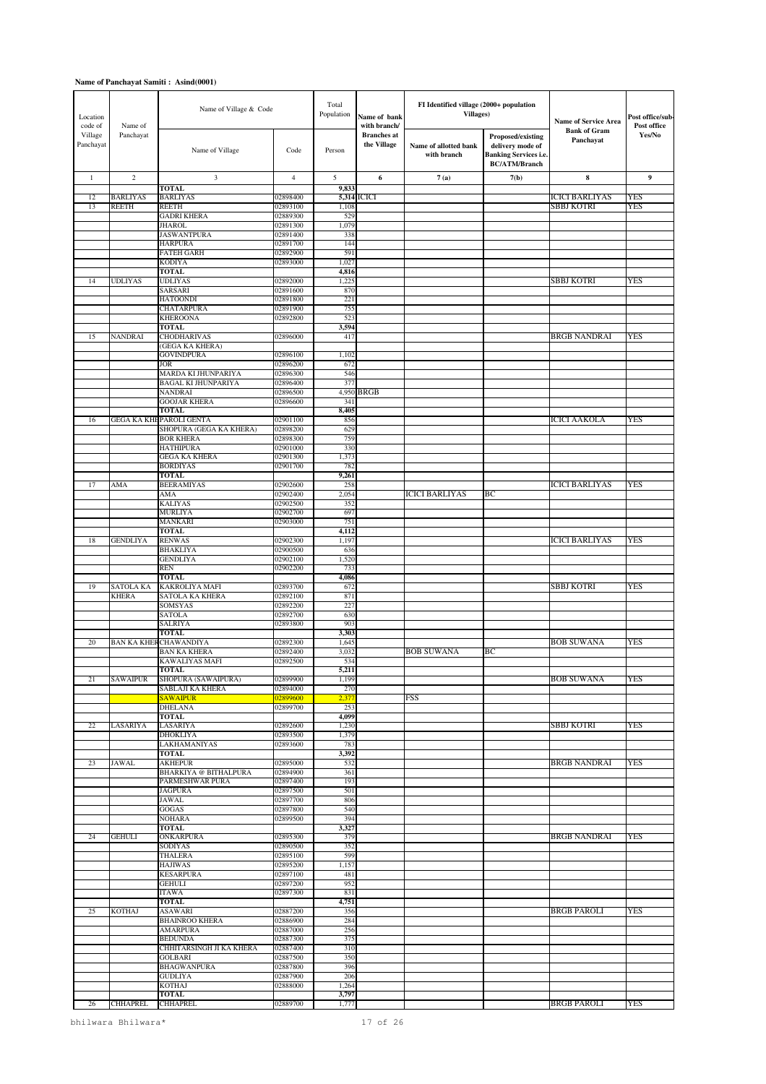| Location<br>code of  | Name of         | Name of Village & Code                                    |                      | Total<br>Population | Name of bank<br>with branch/      | FI Identified village (2000+ population<br><b>Villages</b> ) |                                                                                               | <b>Name of Service Area</b>      | Post office/sub-<br>Post office |
|----------------------|-----------------|-----------------------------------------------------------|----------------------|---------------------|-----------------------------------|--------------------------------------------------------------|-----------------------------------------------------------------------------------------------|----------------------------------|---------------------------------|
| Village<br>Panchayat | Panchayat       | Name of Village                                           | Code                 | Person              | <b>Branches</b> at<br>the Village | Name of allotted bank<br>with branch                         | Proposed/existing<br>delivery mode of<br><b>Banking Services i.e.</b><br><b>BC/ATM/Branch</b> | <b>Bank of Gram</b><br>Panchayat | Yes/No                          |
| $\mathbf{1}$         | $\sqrt{2}$      | 3                                                         | $\overline{4}$       | 5                   | 6                                 | 7(a)                                                         | 7(b)                                                                                          | 8                                | 9                               |
| 12                   | <b>BARLIYAS</b> | <b>TOTAL</b><br><b>BARLIYAS</b>                           | 02898400             | 9,833               | 5,314 ICICI                       |                                                              |                                                                                               | <b>ICICI BARLIYAS</b>            | YES                             |
| 13                   | <b>REETH</b>    | <b>REETH</b>                                              | 02893100             | 1,108               |                                   |                                                              |                                                                                               | SBBJ KOTRI                       | YES                             |
|                      |                 | <b>GADRI KHERA</b>                                        | 02889300             | 529                 |                                   |                                                              |                                                                                               |                                  |                                 |
|                      |                 | <b>JHAROL</b>                                             | 02891300             | 1,079               |                                   |                                                              |                                                                                               |                                  |                                 |
|                      |                 | <b>JASWANTPURA</b><br><b>HARPURA</b>                      | 02891400<br>02891700 | 338<br>144          |                                   |                                                              |                                                                                               |                                  |                                 |
|                      |                 | <b>FATEH GARH</b>                                         | 02892900             | 591                 |                                   |                                                              |                                                                                               |                                  |                                 |
|                      |                 | <b>KODIYA</b>                                             | 02893000             | 1,027               |                                   |                                                              |                                                                                               |                                  |                                 |
| 14                   | <b>UDLIYAS</b>  | <b>TOTAL</b><br><b>UDLIYAS</b>                            | 02892000             | 4,816<br>1,225      |                                   |                                                              |                                                                                               | SBBJ KOTRI                       | YES                             |
|                      |                 | SARSARI                                                   | 02891600             | 870                 |                                   |                                                              |                                                                                               |                                  |                                 |
|                      |                 | <b>HATOONDI</b>                                           | 02891800             | 221                 |                                   |                                                              |                                                                                               |                                  |                                 |
|                      |                 | <b>CHATARPURA</b><br><b>KHEROONA</b>                      | 02891900<br>02892800 | 755<br>523          |                                   |                                                              |                                                                                               |                                  |                                 |
|                      |                 | <b>TOTAL</b>                                              |                      | 3,594               |                                   |                                                              |                                                                                               |                                  |                                 |
| 15                   | <b>NANDRAI</b>  | <b>CHODHARIVAS</b>                                        | 02896000             | 417                 |                                   |                                                              |                                                                                               | BRGB NANDRAI                     | YES                             |
|                      |                 | (GEGA KA KHERA)<br><b>GOVINDPURA</b>                      | 02896100             | 1,102               |                                   |                                                              |                                                                                               |                                  |                                 |
|                      |                 | <b>JOR</b>                                                | 02896200             | 672                 |                                   |                                                              |                                                                                               |                                  |                                 |
|                      |                 | MARDA KI JHUNPARIYA                                       | 02896300             | 546                 |                                   |                                                              |                                                                                               |                                  |                                 |
|                      |                 | <b>BAGAL KI JHUNPARIYA</b><br><b>NANDRAI</b>              | 02896400<br>02896500 | 377                 | 4,950 BRGB                        |                                                              |                                                                                               |                                  |                                 |
|                      |                 | <b>GOOJAR KHERA</b>                                       | 02896600             | 341                 |                                   |                                                              |                                                                                               |                                  |                                 |
|                      |                 | <b>TOTAL</b>                                              |                      | 8,405               |                                   |                                                              |                                                                                               |                                  |                                 |
| 16                   |                 | <b>GEGA KA KHEPAROLI GENTA</b><br>SHOPURA (GEGA KA KHERA) | 02901100<br>02898200 | 856<br>629          |                                   |                                                              |                                                                                               | <b>ICICI AAKOLA</b>              | YES                             |
|                      |                 | <b>BOR KHERA</b>                                          | 02898300             | 759                 |                                   |                                                              |                                                                                               |                                  |                                 |
|                      |                 | <b>HATHIPURA</b>                                          | 02901000             | 330                 |                                   |                                                              |                                                                                               |                                  |                                 |
|                      |                 | <b>GEGA KA KHERA</b><br><b>BORDIYAS</b>                   | 02901300<br>02901700 | 1,373<br>782        |                                   |                                                              |                                                                                               |                                  |                                 |
|                      |                 | <b>TOTAL</b>                                              |                      | 9,261               |                                   |                                                              |                                                                                               |                                  |                                 |
| 17                   | AMA             | <b>BEERAMIYAS</b>                                         | 02902600             | 258                 |                                   |                                                              |                                                                                               | <b>ICICI BARLIYAS</b>            | <b>YES</b>                      |
|                      |                 | <b>AMA</b><br><b>KALIYAS</b>                              | 02902400<br>02902500 | 2,054<br>352        |                                   | <b>ICICI BARLIYAS</b>                                        | ВC                                                                                            |                                  |                                 |
|                      |                 | <b>MURLIYA</b>                                            | 02902700             | 697                 |                                   |                                                              |                                                                                               |                                  |                                 |
|                      |                 | MANKARI                                                   | 02903000             | 751                 |                                   |                                                              |                                                                                               |                                  |                                 |
| 18                   | <b>GENDLIYA</b> | <b>TOTAL</b><br><b>RENWAS</b>                             | 02902300             | 4,112<br>1,197      |                                   |                                                              |                                                                                               | ICICI BARLIYAS                   | YES                             |
|                      |                 | <b>BHAKLIYA</b>                                           | 02900500             | 636                 |                                   |                                                              |                                                                                               |                                  |                                 |
|                      |                 | <b>GENDLIYA</b>                                           | 02902100             | 1,520               |                                   |                                                              |                                                                                               |                                  |                                 |
|                      |                 | <b>REN</b><br><b>TOTAL</b>                                | 02902200             | 733<br>4,086        |                                   |                                                              |                                                                                               |                                  |                                 |
| 19                   | SATOLA KA       | <b>KAKROLIYA MAFI</b>                                     | 02893700             | 672                 |                                   |                                                              |                                                                                               | SBBJ KOTRI                       | YES                             |
|                      | KHERA           | SATOLA KA KHERA                                           | 02892100             | 871                 |                                   |                                                              |                                                                                               |                                  |                                 |
|                      |                 | SOMSYAS                                                   | 02892200             | 227                 |                                   |                                                              |                                                                                               |                                  |                                 |
|                      |                 | <b>SATOLA</b><br><b>SALRIYA</b>                           | 02892700<br>02893800 | 630<br>903          |                                   |                                                              |                                                                                               |                                  |                                 |
|                      |                 | <b>TOTAL</b>                                              |                      | 3,303               |                                   |                                                              |                                                                                               |                                  |                                 |
| 20                   |                 | BAN KA KHERCHAWANDIYA                                     | 02892300             | 1,645               |                                   |                                                              |                                                                                               | <b>BOB SUWANA</b>                | YES                             |
|                      |                 | <b>BAN KA KHERA</b><br>KAWALIYAS MAFI                     | 02892400<br>02892500 | 3,032<br>534        |                                   | <b>BOB SUWANA</b>                                            | ВC                                                                                            |                                  |                                 |
|                      |                 | TOTAL                                                     |                      | 5,211               |                                   |                                                              |                                                                                               |                                  |                                 |
| 21                   | <b>SAWAIPUR</b> | SHOPURA (SAWAIPURA)<br><b>SABLAJI KA KHERA</b>            | 02899900<br>02894000 | 1,199<br>270        |                                   |                                                              |                                                                                               | <b>BOB SUWANA</b>                | <b>YES</b>                      |
|                      |                 | <b>SAWAIPUR</b>                                           | 02899600             | 2,377               |                                   | <b>FSS</b>                                                   |                                                                                               |                                  |                                 |
|                      |                 | <b>DHELANA</b>                                            | 02899700             | 253                 |                                   |                                                              |                                                                                               |                                  |                                 |
| 22                   | LASARIYA        | <b>TOTAL</b><br><b>LASARIYA</b>                           | 02892600             | 4,099<br>1,230      |                                   |                                                              |                                                                                               | SBBJ KOTRI                       | YES                             |
|                      |                 | <b>DHOKLIYA</b>                                           | 02893500             | 1,379               |                                   |                                                              |                                                                                               |                                  |                                 |
|                      |                 | LAKHAMANIYAS                                              | 02893600             | 783                 |                                   |                                                              |                                                                                               |                                  |                                 |
| 23                   | <b>JAWAL</b>    | <b>TOTAL</b><br><b>AKHEPUR</b>                            | 02895000             | 3,392<br>532        |                                   |                                                              |                                                                                               | <b>BRGB NANDRAI</b>              | <b>YES</b>                      |
|                      |                 | <b>BHARKIYA</b> @ BITHALPURA                              | 02894900             | 361                 |                                   |                                                              |                                                                                               |                                  |                                 |
|                      |                 | PARMESHWAR PURA                                           | 02897400             | 193                 |                                   |                                                              |                                                                                               |                                  |                                 |
|                      |                 | <b>JAGPURA</b><br>JAWAL                                   | 02897500<br>02897700 | 501<br>806          |                                   |                                                              |                                                                                               |                                  |                                 |
|                      |                 | GOGAS                                                     | 02897800             | 540                 |                                   |                                                              |                                                                                               |                                  |                                 |
|                      |                 | <b>NOHARA</b>                                             | 02899500             | 394                 |                                   |                                                              |                                                                                               |                                  |                                 |
| 24                   | <b>GEHULI</b>   | <b>TOTAL</b><br><b>ONKARPURA</b>                          | 02895300             | 3,327<br>379        |                                   |                                                              |                                                                                               | <b>BRGB NANDRAI</b>              | <b>YES</b>                      |
|                      |                 | <b>SODIYAS</b>                                            | 02890500             | 352                 |                                   |                                                              |                                                                                               |                                  |                                 |
|                      |                 | <b>THALERA</b>                                            | 02895100             | 599                 |                                   |                                                              |                                                                                               |                                  |                                 |
|                      |                 | <b>HAJIWAS</b><br><b>KESARPURA</b>                        | 02895200<br>02897100 | 1,157<br>481        |                                   |                                                              |                                                                                               |                                  |                                 |
|                      |                 | <b>GEHULI</b>                                             | 02897200             | 952                 |                                   |                                                              |                                                                                               |                                  |                                 |
|                      |                 | <b>ITAWA</b>                                              | 02897300             | 831                 |                                   |                                                              |                                                                                               |                                  |                                 |
| 25                   | <b>KOTHAJ</b>   | <b>TOTAL</b><br><b>ASAWARI</b>                            | 02887200             | 4,751<br>356        |                                   |                                                              |                                                                                               | <b>BRGB PAROLI</b>               | YES                             |
|                      |                 | <b>BHAINROO KHERA</b>                                     | 02886900             | 284                 |                                   |                                                              |                                                                                               |                                  |                                 |
|                      |                 | <b>AMARPURA</b>                                           | 02887000             | 256                 |                                   |                                                              |                                                                                               |                                  |                                 |
|                      |                 | <b>BEDUNDA</b><br>CHHITARSINGH JI KA KHERA                | 02887300<br>02887400 | 375<br>310          |                                   |                                                              |                                                                                               |                                  |                                 |
|                      |                 | <b>GOLBARI</b>                                            | 02887500             | 350                 |                                   |                                                              |                                                                                               |                                  |                                 |
|                      |                 | <b>BHAGWANPURA</b>                                        | 02887800             | 396                 |                                   |                                                              |                                                                                               |                                  |                                 |
|                      |                 | <b>GUDLIYA</b><br>KOTHAJ                                  | 02887900<br>02888000 | 206<br>1,264        |                                   |                                                              |                                                                                               |                                  |                                 |
|                      |                 | TOTAL                                                     |                      | 3,797               |                                   |                                                              |                                                                                               |                                  |                                 |
| 26                   | <b>CHHAPREL</b> | <b>CHHAPREL</b>                                           | 02889700             | 1,777               |                                   |                                                              |                                                                                               | <b>BRGB PAROLI</b>               | YES                             |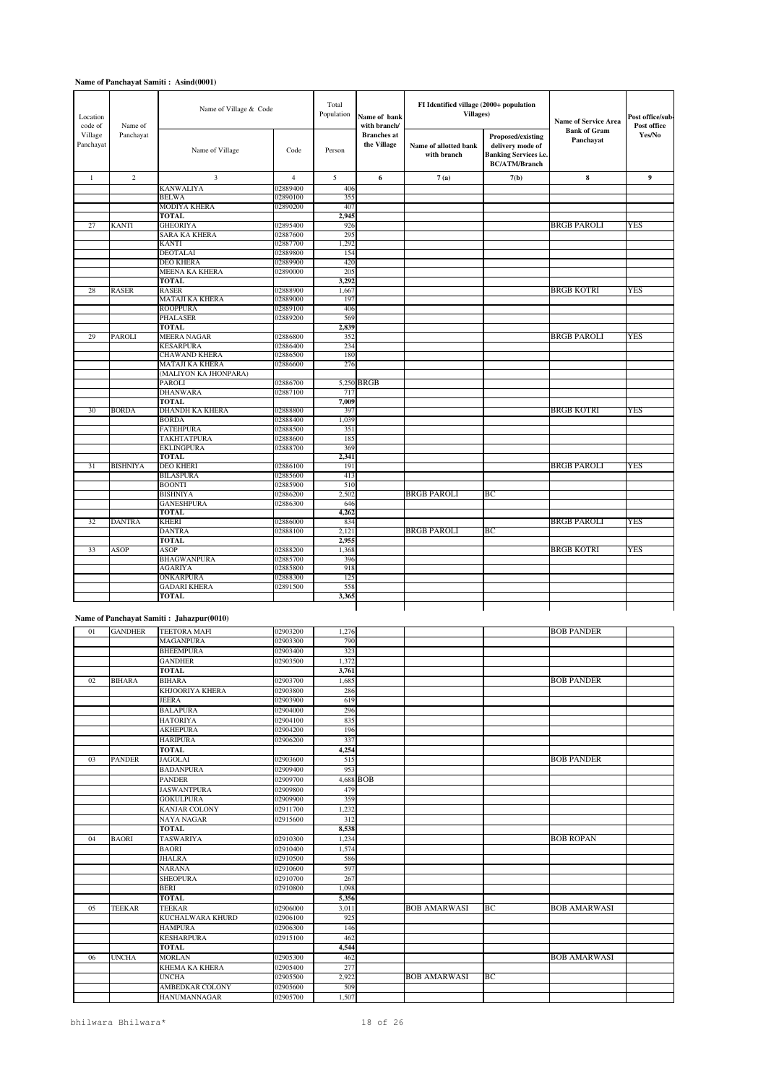| Location<br>code of<br>Name of<br>Village<br>Panchayat |                 | Name of Village & Code                   |                |                 | FI Identified village (2000+ population<br><b>Villages</b> ) |                                      | <b>Name of Service Area</b>                                                                   |                                  |                       |
|--------------------------------------------------------|-----------------|------------------------------------------|----------------|-----------------|--------------------------------------------------------------|--------------------------------------|-----------------------------------------------------------------------------------------------|----------------------------------|-----------------------|
| Panchayat                                              |                 | Name of Village                          | Code           | Person          | with branch/<br><b>Branches</b> at<br>the Village            | Name of allotted bank<br>with branch | Proposed/existing<br>delivery mode of<br><b>Banking Services i.e.</b><br><b>BC/ATM/Branch</b> | <b>Bank of Gram</b><br>Panchayat | Post office<br>Yes/No |
| $\mathbf{1}$                                           | $\overline{c}$  | 3                                        | $\overline{4}$ | 5               | 6                                                            | 7(a)                                 | 7(b)                                                                                          | $\bf 8$                          | $\boldsymbol{9}$      |
|                                                        |                 | <b>KANWALIYA</b>                         | 02889400       | 406             |                                                              |                                      |                                                                                               |                                  |                       |
|                                                        |                 | <b>BELWA</b>                             | 02890100       | 355             |                                                              |                                      |                                                                                               |                                  |                       |
|                                                        |                 | <b>MODIYA KHERA</b>                      | 02890200       | 407             |                                                              |                                      |                                                                                               |                                  |                       |
|                                                        |                 | <b>TOTAL</b>                             |                | 2,945           |                                                              |                                      |                                                                                               |                                  |                       |
| 27                                                     | <b>KANTI</b>    | <b>GHEORIYA</b>                          | 02895400       | 926             |                                                              |                                      |                                                                                               | <b>BRGB PAROLI</b>               | YES                   |
|                                                        |                 | <b>SARA KA KHERA</b>                     | 02887600       | 295             |                                                              |                                      |                                                                                               |                                  |                       |
|                                                        |                 | KANTI                                    | 02887700       | 1,292           |                                                              |                                      |                                                                                               |                                  |                       |
|                                                        |                 | <b>DEOTALAI</b>                          | 02889800       | 154             |                                                              |                                      |                                                                                               |                                  |                       |
|                                                        |                 | <b>DEO KHERA</b>                         | 02889900       | 420             |                                                              |                                      |                                                                                               |                                  |                       |
|                                                        |                 | <b>MEENA KA KHERA</b>                    | 02890000       | 20 <sup>s</sup> |                                                              |                                      |                                                                                               |                                  |                       |
|                                                        |                 | TOTAL                                    |                | 3,292           |                                                              |                                      |                                                                                               |                                  |                       |
| 28                                                     | <b>RASER</b>    | <b>RASER</b>                             | 02888900       | 1,66            |                                                              |                                      |                                                                                               | <b>BRGB KOTRI</b>                | <b>YES</b>            |
|                                                        |                 | MATAJI KA KHERA                          | 02889000       | 197             |                                                              |                                      |                                                                                               |                                  |                       |
|                                                        |                 | <b>ROOPPURA</b>                          | 02889100       | 406             |                                                              |                                      |                                                                                               |                                  |                       |
|                                                        |                 | <b>PHALASER</b>                          | 02889200       | 569             |                                                              |                                      |                                                                                               |                                  |                       |
|                                                        |                 | <b>TOTAL</b>                             |                | 2,839           |                                                              |                                      |                                                                                               |                                  |                       |
| 29                                                     | PAROLI          | <b>MEERA NAGAR</b>                       | 02886800       | 352             |                                                              |                                      |                                                                                               | <b>BRGB PAROLI</b>               | YES                   |
|                                                        |                 | <b>KESARPURA</b>                         | 02886400       | 234             |                                                              |                                      |                                                                                               |                                  |                       |
|                                                        |                 | <b>CHAWAND KHERA</b>                     | 02886500       | 180             |                                                              |                                      |                                                                                               |                                  |                       |
|                                                        |                 | MATAJI KA KHERA                          | 02886600       | 276             |                                                              |                                      |                                                                                               |                                  |                       |
|                                                        |                 | (MALIYON KA JHONPARA)                    |                |                 |                                                              |                                      |                                                                                               |                                  |                       |
|                                                        |                 | <b>PAROLI</b>                            | 02886700       |                 | 5,250 BRGB                                                   |                                      |                                                                                               |                                  |                       |
|                                                        |                 | <b>DHANWARA</b>                          | 02887100       | 717             |                                                              |                                      |                                                                                               |                                  |                       |
| 30                                                     | <b>BORDA</b>    | <b>TOTAL</b><br><b>DHANDH KA KHERA</b>   | 02888800       | 7,009<br>397    |                                                              |                                      |                                                                                               | <b>BRGB KOTRI</b>                | YES                   |
|                                                        |                 | <b>BORDA</b>                             | 02888400       | 1,039           |                                                              |                                      |                                                                                               |                                  |                       |
|                                                        |                 | <b>FATEHPURA</b>                         | 02888500       | 351             |                                                              |                                      |                                                                                               |                                  |                       |
|                                                        |                 | TAKHTATPURA                              | 02888600       | 185             |                                                              |                                      |                                                                                               |                                  |                       |
|                                                        |                 | <b>EKLINGPURA</b>                        | 02888700       | 369             |                                                              |                                      |                                                                                               |                                  |                       |
|                                                        |                 | <b>TOTAL</b>                             |                | 2,341           |                                                              |                                      |                                                                                               |                                  |                       |
| 31                                                     | <b>BISHNIYA</b> | <b>DEO KHERI</b>                         | 02886100       | 191             |                                                              |                                      |                                                                                               | <b>BRGB PAROLI</b>               | YES                   |
|                                                        |                 | <b>BILASPURA</b>                         | 02885600       | 413             |                                                              |                                      |                                                                                               |                                  |                       |
|                                                        |                 | <b>BOONTI</b>                            | 02885900       | 510             |                                                              |                                      |                                                                                               |                                  |                       |
|                                                        |                 | <b>BISHNIYA</b>                          | 02886200       | 2,502           |                                                              | <b>BRGB PAROLI</b>                   | BС                                                                                            |                                  |                       |
|                                                        |                 | <b>GANESHPURA</b>                        | 02886300       | 646             |                                                              |                                      |                                                                                               |                                  |                       |
|                                                        |                 | <b>TOTAL</b>                             |                | 4,26            |                                                              |                                      |                                                                                               |                                  |                       |
| 32                                                     | <b>DANTRA</b>   | <b>KHERI</b>                             | 02886000       | 834             |                                                              |                                      |                                                                                               | <b>BRGB PAROLI</b>               | YES                   |
|                                                        |                 | <b>DANTRA</b>                            | 02888100       | 2,121           |                                                              | BRGB PAROLI                          | BС                                                                                            |                                  |                       |
|                                                        |                 | <b>TOTAL</b>                             |                | 2.955           |                                                              |                                      |                                                                                               |                                  |                       |
| 33                                                     | <b>ASOP</b>     | <b>ASOP</b>                              | 02888200       | 1,368           |                                                              |                                      |                                                                                               | <b>BRGB KOTRI</b>                | YES                   |
|                                                        |                 | <b>BHAGWANPURA</b>                       | 02885700       | 396             |                                                              |                                      |                                                                                               |                                  |                       |
|                                                        |                 | <b>AGARIYA</b>                           | 02885800       | 918             |                                                              |                                      |                                                                                               |                                  |                       |
|                                                        |                 | <b>ONKARPURA</b>                         | 02888300       | 12 <sup>s</sup> |                                                              |                                      |                                                                                               |                                  |                       |
|                                                        |                 | <b>GADARI KHERA</b>                      | 02891500       | 558             |                                                              |                                      |                                                                                               |                                  |                       |
|                                                        |                 | <b>TOTAL</b>                             |                | 3,365           |                                                              |                                      |                                                                                               |                                  |                       |
|                                                        |                 | Name of Panchavat Samiti: Jahazpur(0010) |                |                 |                                                              |                                      |                                                                                               |                                  |                       |

| 01 | <b>GANDHER</b> | <b>TEETORA MAFI</b>    | 02903200 | 1,276 |           |                     |    | <b>BOB PANDER</b>   |  |
|----|----------------|------------------------|----------|-------|-----------|---------------------|----|---------------------|--|
|    |                | <b>MAGANPURA</b>       | 02903300 | 790   |           |                     |    |                     |  |
|    |                | <b>BHEEMPURA</b>       | 02903400 | 323   |           |                     |    |                     |  |
|    |                | <b>GANDHER</b>         | 02903500 | 1,372 |           |                     |    |                     |  |
|    |                | <b>TOTAL</b>           |          | 3,761 |           |                     |    |                     |  |
| 02 | <b>BIHARA</b>  | <b>BIHARA</b>          | 02903700 | 1,685 |           |                     |    | <b>BOB PANDER</b>   |  |
|    |                | KHJOORIYA KHERA        | 02903800 | 286   |           |                     |    |                     |  |
|    |                | <b>JEERA</b>           | 02903900 | 619   |           |                     |    |                     |  |
|    |                | <b>BALAPURA</b>        | 02904000 | 296   |           |                     |    |                     |  |
|    |                | <b>HATORIYA</b>        | 02904100 | 835   |           |                     |    |                     |  |
|    |                | <b>AKHEPURA</b>        | 02904200 | 196   |           |                     |    |                     |  |
|    |                | <b>HARIPURA</b>        | 02906200 | 337   |           |                     |    |                     |  |
|    |                | <b>TOTAL</b>           |          | 4,254 |           |                     |    |                     |  |
| 03 | <b>PANDER</b>  | <b>JAGOLAI</b>         | 02903600 | 515   |           |                     |    | <b>BOB PANDER</b>   |  |
|    |                | <b>BADANPURA</b>       | 02909400 | 953   |           |                     |    |                     |  |
|    |                | <b>PANDER</b>          | 02909700 |       | 4,688 BOB |                     |    |                     |  |
|    |                | <b>JASWANTPURA</b>     | 02909800 | 479   |           |                     |    |                     |  |
|    |                | <b>GOKULPURA</b>       | 02909900 | 359   |           |                     |    |                     |  |
|    |                | <b>KANJAR COLONY</b>   | 02911700 | 1,232 |           |                     |    |                     |  |
|    |                | <b>NAYA NAGAR</b>      | 02915600 | 312   |           |                     |    |                     |  |
|    |                | <b>TOTAL</b>           |          | 8,538 |           |                     |    |                     |  |
| 04 | <b>BAORI</b>   | <b>TASWARIYA</b>       | 02910300 | 1,234 |           |                     |    | <b>BOB ROPAN</b>    |  |
|    |                | <b>BAORI</b>           | 02910400 | 1,574 |           |                     |    |                     |  |
|    |                | <b>JHALRA</b>          | 02910500 | 586   |           |                     |    |                     |  |
|    |                | <b>NARANA</b>          | 02910600 | 597   |           |                     |    |                     |  |
|    |                | <b>SHEOPURA</b>        | 02910700 | 267   |           |                     |    |                     |  |
|    |                | <b>BERI</b>            | 02910800 | 1,098 |           |                     |    |                     |  |
|    |                | <b>TOTAL</b>           |          | 5,356 |           |                     |    |                     |  |
| 05 | <b>TEEKAR</b>  | <b>TEEKAR</b>          | 02906000 | 3,011 |           | <b>BOB AMARWASI</b> | BC | <b>BOB AMARWASI</b> |  |
|    |                | KUCHALWARA KHURD       | 02906100 | 925   |           |                     |    |                     |  |
|    |                | <b>HAMPURA</b>         | 02906300 | 146   |           |                     |    |                     |  |
|    |                | <b>KESHARPURA</b>      | 02915100 | 462   |           |                     |    |                     |  |
|    |                | <b>TOTAL</b>           |          | 4,544 |           |                     |    |                     |  |
| 06 | <b>UNCHA</b>   | <b>MORLAN</b>          | 02905300 | 462   |           |                     |    | <b>BOB AMARWASI</b> |  |
|    |                | <b>KHEMA KA KHERA</b>  | 02905400 | 277   |           |                     |    |                     |  |
|    |                | <b>UNCHA</b>           | 02905500 | 2,922 |           | <b>BOB AMARWASI</b> | BC |                     |  |
|    |                | <b>AMBEDKAR COLONY</b> | 02905600 | 509   |           |                     |    |                     |  |
|    |                | <b>HANUMANNAGAR</b>    | 02905700 | 1.507 |           |                     |    |                     |  |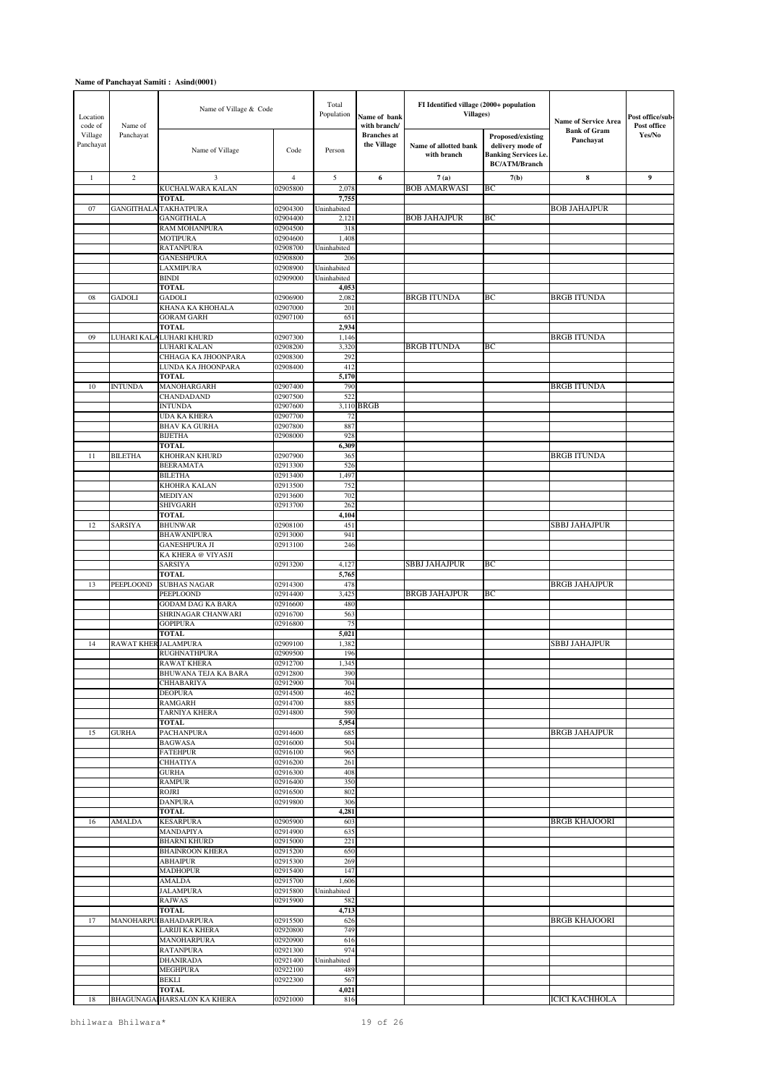| Location<br>code of  | Name of              | Name of Village & Code                       |                      | Total<br>Population  | Name of bank<br>with branch/      | FI Identified village (2000+ population<br><b>Villages)</b> |                                                                                               | Name of Service Area             | Post office/sub-<br>Post office |
|----------------------|----------------------|----------------------------------------------|----------------------|----------------------|-----------------------------------|-------------------------------------------------------------|-----------------------------------------------------------------------------------------------|----------------------------------|---------------------------------|
| Village<br>Panchayat | Panchayat            | Name of Village                              | Code                 | Person               | <b>Branches</b> at<br>the Village | Name of allotted bank<br>with branch                        | Proposed/existing<br>delivery mode of<br><b>Banking Services i.e.</b><br><b>BC/ATM/Branch</b> | <b>Bank of Gram</b><br>Panchayat | Yes/No                          |
| $\mathbf{1}$         | $\overline{c}$       | 3                                            | $\overline{4}$       | 5                    | 6                                 | 7(a)                                                        | 7(b)                                                                                          | $\bf{8}$                         | 9                               |
|                      |                      | KUCHALWARA KALAN                             | 02905800             | 2,078                |                                   | <b>BOB AMARWASI</b>                                         | ВC                                                                                            |                                  |                                 |
| 07                   | <b>GANGITHALA</b>    | <b>TOTAL</b><br><b>TAKHATPURA</b>            | 02904300             | 7,755<br>Uninhabited |                                   |                                                             |                                                                                               | <b>BOB JAHAJPUR</b>              |                                 |
|                      |                      | <b>GANGITHALA</b>                            | 02904400             | 2,121                |                                   | <b>BOB JAHAJPUR</b>                                         | ВC                                                                                            |                                  |                                 |
|                      |                      | RAM MOHANPURA                                | 02904500             | 318                  |                                   |                                                             |                                                                                               |                                  |                                 |
|                      |                      | <b>MOTIPURA</b>                              | 02904600             | 1,408                |                                   |                                                             |                                                                                               |                                  |                                 |
|                      |                      | <b>RATANPURA</b><br><b>GANESHPURA</b>        | 02908700<br>02908800 | Uninhabited<br>206   |                                   |                                                             |                                                                                               |                                  |                                 |
|                      |                      | LAXMIPURA                                    | 02908900             | Uninhabited          |                                   |                                                             |                                                                                               |                                  |                                 |
|                      |                      | <b>BINDI</b>                                 | 02909000             | Uninhabited          |                                   |                                                             |                                                                                               |                                  |                                 |
| 08                   | <b>GADOLI</b>        | <b>TOTAL</b><br><b>GADOLI</b>                | 02906900             | 4,053<br>2,082       |                                   | <b>BRGB ITUNDA</b>                                          | BC                                                                                            | <b>BRGB ITUNDA</b>               |                                 |
|                      |                      | KHANA KA KHOHALA                             | 02907000             | 201                  |                                   |                                                             |                                                                                               |                                  |                                 |
|                      |                      | <b>GORAM GARH</b>                            | 02907100             | 651                  |                                   |                                                             |                                                                                               |                                  |                                 |
|                      |                      | <b>TOTAL</b>                                 |                      | 2,934                |                                   |                                                             |                                                                                               |                                  |                                 |
| 09                   |                      | LUHARI KALA LUHARI KHURD<br>LUHARI KALAN     | 02907300<br>02908200 | 1,146<br>3,320       |                                   | <b>BRGB ITUNDA</b>                                          | ВC                                                                                            | <b>BRGB ITUNDA</b>               |                                 |
|                      |                      | CHHAGA KA JHOONPARA                          | 02908300             | 292                  |                                   |                                                             |                                                                                               |                                  |                                 |
|                      |                      | LUNDA KA JHOONPARA                           | 02908400             | 412                  |                                   |                                                             |                                                                                               |                                  |                                 |
| 10                   | <b>INTUNDA</b>       | <b>TOTAL</b><br>MANOHARGARH                  | 02907400             | 5,170<br>790         |                                   |                                                             |                                                                                               | <b>BRGB ITUNDA</b>               |                                 |
|                      |                      | <b>CHANDADAND</b>                            | 02907500             | 522                  |                                   |                                                             |                                                                                               |                                  |                                 |
|                      |                      | <b>INTUNDA</b>                               | 02907600             |                      | 3,110 BRGB                        |                                                             |                                                                                               |                                  |                                 |
|                      |                      | <b>UDA KA KHERA</b>                          | 02907700             | 72                   |                                   |                                                             |                                                                                               |                                  |                                 |
|                      |                      | <b>BHAV KA GURHA</b><br><b>BIJETHA</b>       | 02907800<br>02908000 | 887<br>928           |                                   |                                                             |                                                                                               |                                  |                                 |
|                      |                      | <b>TOTAL</b>                                 |                      | 6,309                |                                   |                                                             |                                                                                               |                                  |                                 |
| 11                   | <b>BILETHA</b>       | KHOHRAN KHURD                                | 02907900             | 365                  |                                   |                                                             |                                                                                               | <b>BRGB ITUNDA</b>               |                                 |
|                      |                      | <b>BEERAMATA</b>                             | 02913300             | 526                  |                                   |                                                             |                                                                                               |                                  |                                 |
|                      |                      | <b>BILETHA</b><br>KHOHRA KALAN               | 02913400<br>02913500 | 1,497<br>752         |                                   |                                                             |                                                                                               |                                  |                                 |
|                      |                      | <b>MEDIYAN</b>                               | 02913600             | 702                  |                                   |                                                             |                                                                                               |                                  |                                 |
|                      |                      | <b>SHIVGARH</b>                              | 02913700             | 262                  |                                   |                                                             |                                                                                               |                                  |                                 |
| 12                   | SARSIYA              | <b>TOTAL</b><br><b>BHUNWAR</b>               | 02908100             | 4,104<br>451         |                                   |                                                             |                                                                                               | SBBJ JAHAJPUR                    |                                 |
|                      |                      | <b>BHAWANIPURA</b>                           | 02913000             | 941                  |                                   |                                                             |                                                                                               |                                  |                                 |
|                      |                      | <b>GANESHPURA JI</b>                         | 02913100             | 246                  |                                   |                                                             |                                                                                               |                                  |                                 |
|                      |                      | KA KHERA @ VIYASJI                           |                      |                      |                                   | SBBJ JAHAJPUR                                               | BC                                                                                            |                                  |                                 |
|                      |                      | SARSIYA<br><b>TOTAL</b>                      | 02913200             | 4,127<br>5,76:       |                                   |                                                             |                                                                                               |                                  |                                 |
| 13                   | PEEPLOOND            | <b>SUBHAS NAGAR</b>                          | 02914300             | 478                  |                                   |                                                             |                                                                                               | <b>BRGB JAHAJPUR</b>             |                                 |
|                      |                      | PEEPLOOND                                    | 02914400             | 3,42                 |                                   | <b>BRGB JAHAJPUR</b>                                        | BC                                                                                            |                                  |                                 |
|                      |                      | GODAM DAG KA BARA<br>SHRINAGAR CHANWARI      | 02916600<br>02916700 | 480<br>563           |                                   |                                                             |                                                                                               |                                  |                                 |
|                      |                      | <b>GOPIPURA</b>                              | 02916800             | 75                   |                                   |                                                             |                                                                                               |                                  |                                 |
|                      |                      | <b>TOTAL</b>                                 |                      | 5,021                |                                   |                                                             |                                                                                               |                                  |                                 |
| 14                   | RAWAT KHER JALAMPURA | <b>RUGHNATHPURA</b>                          | 02909100<br>02909500 | 1,382<br>196         |                                   |                                                             |                                                                                               | <b>SBBJ JAHAJPUR</b>             |                                 |
|                      |                      | <b>RAWAT KHERA</b>                           | 02912700             | 1,345                |                                   |                                                             |                                                                                               |                                  |                                 |
|                      |                      | BHUWANA TEJA KA BARA                         | 02912800             | 390                  |                                   |                                                             |                                                                                               |                                  |                                 |
|                      |                      | <b>CHHABARIYA</b>                            | 02912900             | 704                  |                                   |                                                             |                                                                                               |                                  |                                 |
|                      |                      | <b>DEOPURA</b><br><b>RAMGARH</b>             | 02914500<br>02914700 | 462<br>885           |                                   |                                                             |                                                                                               |                                  |                                 |
|                      |                      | <b>TARNIYA KHERA</b>                         | 02914800             | 590                  |                                   |                                                             |                                                                                               |                                  |                                 |
|                      |                      | <b>TOTAL</b>                                 |                      | 5,954                |                                   |                                                             |                                                                                               |                                  |                                 |
| 15                   | <b>GURHA</b>         | PACHANPURA<br><b>BAGWASA</b>                 | 02914600<br>02916000 | 685<br>504           |                                   |                                                             |                                                                                               | <b>BRGB JAHAJPUR</b>             |                                 |
|                      |                      | <b>FATEHPUR</b>                              | 02916100             | 965                  |                                   |                                                             |                                                                                               |                                  |                                 |
|                      |                      | <b>CHHATIYA</b>                              | 02916200             | 261                  |                                   |                                                             |                                                                                               |                                  |                                 |
|                      |                      | <b>GURHA</b><br><b>RAMPUR</b>                | 02916300<br>02916400 | 408<br>350           |                                   |                                                             |                                                                                               |                                  |                                 |
|                      |                      | <b>ROJRI</b>                                 | 02916500             | 802                  |                                   |                                                             |                                                                                               |                                  |                                 |
|                      |                      | <b>DANPURA</b>                               | 02919800             | 306                  |                                   |                                                             |                                                                                               |                                  |                                 |
| 16                   | AMALDA               | <b>TOTAL</b><br><b>KESARPURA</b>             | 02905900             | 4,281<br>603         |                                   |                                                             |                                                                                               | <b>BRGB KHAJOORI</b>             |                                 |
|                      |                      | MANDAPIYA                                    | 02914900             | 635                  |                                   |                                                             |                                                                                               |                                  |                                 |
|                      |                      | <b>BHARNI KHURD</b>                          | 02915000             | 221                  |                                   |                                                             |                                                                                               |                                  |                                 |
|                      |                      | <b>BHAINROON KHERA</b>                       | 02915200             | 650                  |                                   |                                                             |                                                                                               |                                  |                                 |
|                      |                      | <b>ABHAIPUR</b><br><b>MADHOPUR</b>           | 02915300<br>02915400 | 269<br>147           |                                   |                                                             |                                                                                               |                                  |                                 |
|                      |                      | AMALDA                                       | 02915700             | 1,606                |                                   |                                                             |                                                                                               |                                  |                                 |
|                      |                      | JALAMPURA                                    | 02915800             | Uninhabited          |                                   |                                                             |                                                                                               |                                  |                                 |
|                      |                      | RAJWAS<br>TOTAL                              | 02915900             | 582<br>4,713         |                                   |                                                             |                                                                                               |                                  |                                 |
| 17                   |                      | MANOHARPUI BAHADARPURA                       | 02915500             | 626                  |                                   |                                                             |                                                                                               | <b>BRGB KHAJOORI</b>             |                                 |
|                      |                      | LARIJI KA KHERA                              | 02920800             | 749                  |                                   |                                                             |                                                                                               |                                  |                                 |
|                      |                      | MANOHARPURA                                  | 02920900             | 616                  |                                   |                                                             |                                                                                               |                                  |                                 |
|                      |                      | <b>RATANPURA</b><br><b>DHANIRADA</b>         | 02921300<br>02921400 | 974<br>Uninhabited   |                                   |                                                             |                                                                                               |                                  |                                 |
|                      |                      | MEGHPURA                                     | 02922100             | 489                  |                                   |                                                             |                                                                                               |                                  |                                 |
|                      |                      | BEKLI                                        | 02922300             | 567                  |                                   |                                                             |                                                                                               |                                  |                                 |
| 18                   |                      | <b>TOTAL</b><br>BHAGUNAGAI HARSALON KA KHERA | 02921000             | 4,021<br>816         |                                   |                                                             |                                                                                               | <b>ICICI KACHHOLA</b>            |                                 |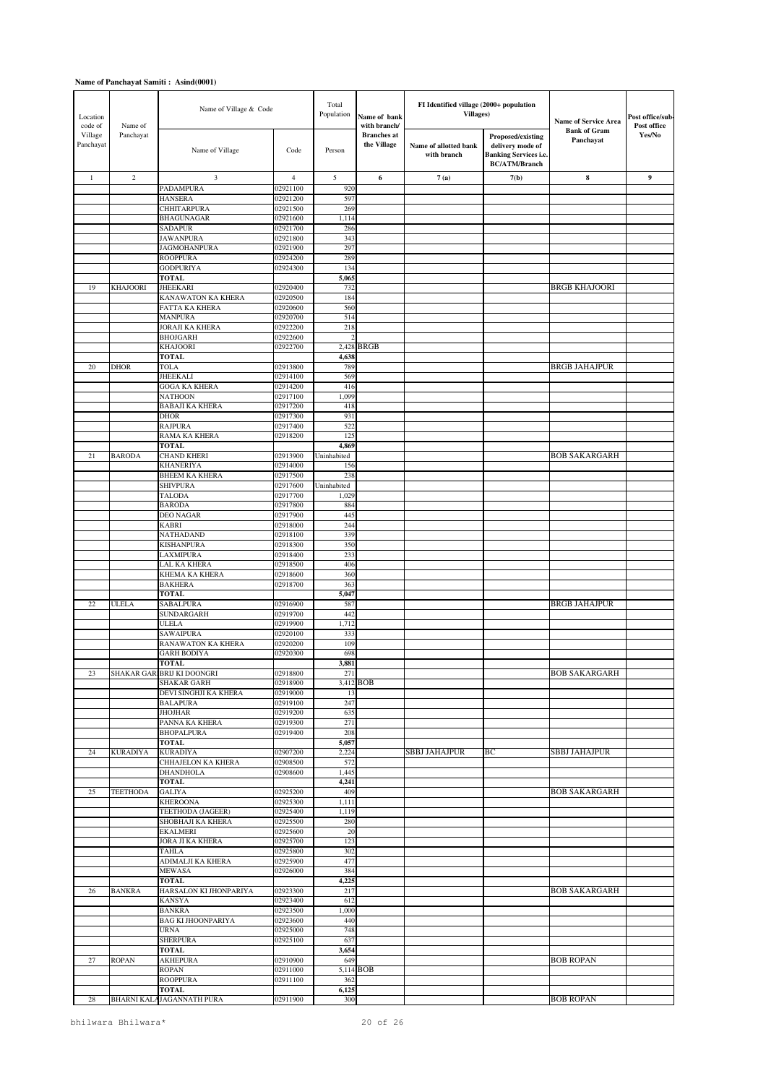| Location<br>code of  | Name of         | Name of Village & Code                   |                      | Total<br>Population  | Name of bank<br>with branch/      | FI Identified village (2000+ population<br><b>Villages)</b> |                                                                                               | Name of Service Area             | Post office/sub-<br>Post office |
|----------------------|-----------------|------------------------------------------|----------------------|----------------------|-----------------------------------|-------------------------------------------------------------|-----------------------------------------------------------------------------------------------|----------------------------------|---------------------------------|
| Village<br>Panchayat | Panchayat       | Name of Village                          | Code                 | Person               | <b>Branches</b> at<br>the Village | Name of allotted bank<br>with branch                        | Proposed/existing<br>delivery mode of<br><b>Banking Services i.e.</b><br><b>BC/ATM/Branch</b> | <b>Bank of Gram</b><br>Panchayat | Yes/No                          |
| $\mathbf{1}$         | $\overline{c}$  | 3                                        | $\overline{4}$       | 5                    | 6                                 | 7(a)                                                        | 7(b)                                                                                          | ${\bf 8}$                        | 9                               |
|                      |                 | PADAMPURA                                | 02921100             | 920                  |                                   |                                                             |                                                                                               |                                  |                                 |
|                      |                 | <b>HANSERA</b><br><b>CHHITARPURA</b>     | 02921200<br>02921500 | 597<br>269           |                                   |                                                             |                                                                                               |                                  |                                 |
|                      |                 | <b>BHAGUNAGAR</b>                        | 02921600             | 1,114                |                                   |                                                             |                                                                                               |                                  |                                 |
|                      |                 | <b>SADAPUR</b>                           | 02921700             | 286                  |                                   |                                                             |                                                                                               |                                  |                                 |
|                      |                 | <b>JAWANPURA</b><br><b>JAGMOHANPURA</b>  | 02921800<br>02921900 | 343<br>297           |                                   |                                                             |                                                                                               |                                  |                                 |
|                      |                 | <b>ROOPPURA</b>                          | 02924200             | 289                  |                                   |                                                             |                                                                                               |                                  |                                 |
|                      |                 | <b>GODPURIYA</b>                         | 02924300             | 134                  |                                   |                                                             |                                                                                               |                                  |                                 |
| 19                   | <b>KHAJOORI</b> | <b>TOTAL</b><br><b>JHEEKARI</b>          | 02920400             | 5,065<br>732         |                                   |                                                             |                                                                                               | <b>BRGB KHAJOORI</b>             |                                 |
|                      |                 | KANAWATON KA KHERA                       | 02920500             | 184                  |                                   |                                                             |                                                                                               |                                  |                                 |
|                      |                 | FATTA KA KHERA                           | 02920600             | 560                  |                                   |                                                             |                                                                                               |                                  |                                 |
|                      |                 | <b>MANPURA</b><br><b>JORAJI KA KHERA</b> | 02920700<br>02922200 | 514<br>218           |                                   |                                                             |                                                                                               |                                  |                                 |
|                      |                 | <b>BHOJGARH</b>                          | 02922600             |                      |                                   |                                                             |                                                                                               |                                  |                                 |
|                      |                 | <b>KHAJOORI</b>                          | 02922700             | 2,428                | <b>BRGB</b>                       |                                                             |                                                                                               |                                  |                                 |
|                      |                 | <b>TOTAL</b>                             |                      | 4,638                |                                   |                                                             |                                                                                               |                                  |                                 |
| 20                   | <b>DHOR</b>     | <b>TOLA</b><br><b>JHEEKALI</b>           | 02913800<br>02914100 | 789<br>569           |                                   |                                                             |                                                                                               | <b>BRGB JAHAJPUR</b>             |                                 |
|                      |                 | <b>GOGA KA KHERA</b>                     | 02914200             | 416                  |                                   |                                                             |                                                                                               |                                  |                                 |
|                      |                 | <b>NATHOON</b>                           | 02917100             | 1,099                |                                   |                                                             |                                                                                               |                                  |                                 |
|                      |                 | <b>BABAJI KA KHERA</b><br><b>DHOR</b>    | 02917200<br>02917300 | 418<br>931           |                                   |                                                             |                                                                                               |                                  |                                 |
|                      |                 | <b>RAJPURA</b>                           | 02917400             | 522                  |                                   |                                                             |                                                                                               |                                  |                                 |
|                      |                 | RAMA KA KHERA                            | 02918200             | 125                  |                                   |                                                             |                                                                                               |                                  |                                 |
| 21                   | <b>BARODA</b>   | <b>TOTAL</b><br><b>CHAND KHERI</b>       | 02913900             | 4,869<br>Uninhabited |                                   |                                                             |                                                                                               | <b>BOB SAKARGARH</b>             |                                 |
|                      |                 | <b>KHANERIYA</b>                         | 02914000             | 156                  |                                   |                                                             |                                                                                               |                                  |                                 |
|                      |                 | <b>BHEEM KA KHERA</b>                    | 02917500             | 238                  |                                   |                                                             |                                                                                               |                                  |                                 |
|                      |                 | <b>SHIVPURA</b><br><b>TALODA</b>         | 02917600<br>02917700 | Uninhabited          |                                   |                                                             |                                                                                               |                                  |                                 |
|                      |                 | <b>BARODA</b>                            | 02917800             | 1,029<br>884         |                                   |                                                             |                                                                                               |                                  |                                 |
|                      |                 | <b>DEO NAGAR</b>                         | 02917900             | 445                  |                                   |                                                             |                                                                                               |                                  |                                 |
|                      |                 | KABRI                                    | 02918000             | 244                  |                                   |                                                             |                                                                                               |                                  |                                 |
|                      |                 | NATHADAND<br><b>KISHANPURA</b>           | 02918100<br>02918300 | 339<br>350           |                                   |                                                             |                                                                                               |                                  |                                 |
|                      |                 | LAXMIPURA                                | 02918400             | 233                  |                                   |                                                             |                                                                                               |                                  |                                 |
|                      |                 | <b>LAL KA KHERA</b>                      | 02918500             | 406                  |                                   |                                                             |                                                                                               |                                  |                                 |
|                      |                 | KHEMA KA KHERA<br><b>BAKHERA</b>         | 02918600<br>02918700 | 360<br>363           |                                   |                                                             |                                                                                               |                                  |                                 |
|                      |                 | <b>TOTAL</b>                             |                      | 5,047                |                                   |                                                             |                                                                                               |                                  |                                 |
| 22                   | <b>ULELA</b>    | SABALPURA                                | 02916900             | 587                  |                                   |                                                             |                                                                                               | <b>BRGB JAHAJPUR</b>             |                                 |
|                      |                 | <b>SUNDARGARH</b><br>ULELA               | 02919700<br>02919900 | 442<br>1,712         |                                   |                                                             |                                                                                               |                                  |                                 |
|                      |                 | <b>SAWAIPURA</b>                         | 02920100             | 333                  |                                   |                                                             |                                                                                               |                                  |                                 |
|                      |                 | <b>RANAWATON KA KHERA</b>                | 02920200             | 109                  |                                   |                                                             |                                                                                               |                                  |                                 |
|                      |                 | <b>GARH BODIYA</b><br><b>TOTAL</b>       | 02920300             | 698<br>3,881         |                                   |                                                             |                                                                                               |                                  |                                 |
| 23                   |                 | SHAKAR GARIBRIJ KI DOONGRI               | 02918800             | 271                  |                                   |                                                             |                                                                                               | <b>BOB SAKARGARH</b>             |                                 |
|                      |                 | <b>SHAKAR GARH</b>                       | 02918900<br>02919000 |                      | 3,412 BOB                         |                                                             |                                                                                               |                                  |                                 |
|                      |                 | DEVI SINGHJI KA KHERA<br><b>BALAPURA</b> | 02919100             | 13<br>247            |                                   |                                                             |                                                                                               |                                  |                                 |
|                      |                 | <b>JHOJHAR</b>                           | 02919200             | 635                  |                                   |                                                             |                                                                                               |                                  |                                 |
|                      |                 | PANNA KA KHERA<br><b>BHOPALPURA</b>      | 02919300<br>02919400 | 271<br>208           |                                   |                                                             |                                                                                               |                                  |                                 |
|                      |                 | <b>TOTAL</b>                             |                      | 5,057                |                                   |                                                             |                                                                                               |                                  |                                 |
| 24                   | <b>KURADIYA</b> | <b>KURADIYA</b>                          | 02907200             | 2,224                |                                   | SBBJ JAHAJPUR                                               | BС                                                                                            | <b>SBBJ JAHAJPUR</b>             |                                 |
|                      |                 | CHHAJELON KA KHERA                       | 02908500<br>02908600 | 572                  |                                   |                                                             |                                                                                               |                                  |                                 |
|                      |                 | <b>DHANDHOLA</b><br><b>TOTAL</b>         |                      | 1,445<br>4,241       |                                   |                                                             |                                                                                               |                                  |                                 |
| 25                   | <b>TEETHODA</b> | <b>GALIYA</b>                            | 02925200             | 409                  |                                   |                                                             |                                                                                               | <b>BOB SAKARGARH</b>             |                                 |
|                      |                 | <b>KHEROONA</b>                          | 02925300<br>02925400 | 1,111                |                                   |                                                             |                                                                                               |                                  |                                 |
|                      |                 | TEETHODA (JAGEER)<br>SHOBHAJI KA KHERA   | 02925500             | 1,119<br>280         |                                   |                                                             |                                                                                               |                                  |                                 |
|                      |                 | <b>EKALMERI</b>                          | 02925600             | 20                   |                                   |                                                             |                                                                                               |                                  |                                 |
|                      |                 | <b>JORA JI KA KHERA</b><br><b>TAHLA</b>  | 02925700<br>02925800 | 123<br>302           |                                   |                                                             |                                                                                               |                                  |                                 |
|                      |                 | ADIMALJI KA KHERA                        | 02925900             | 477                  |                                   |                                                             |                                                                                               |                                  |                                 |
|                      |                 | MEWASA                                   | 02926000             | 384                  |                                   |                                                             |                                                                                               |                                  |                                 |
| 26                   | <b>BANKRA</b>   | <b>TOTAL</b><br>HARSALON KI JHONPARIYA   | 02923300             | 4,225<br>217         |                                   |                                                             |                                                                                               | <b>BOB SAKARGARH</b>             |                                 |
|                      |                 | <b>KANSYA</b>                            | 02923400             | 612                  |                                   |                                                             |                                                                                               |                                  |                                 |
|                      |                 | <b>BANKRA</b>                            | 02923500             | 1,000                |                                   |                                                             |                                                                                               |                                  |                                 |
|                      |                 | <b>BAG KI JHOONPARIYA</b>                | 02923600             | 440                  |                                   |                                                             |                                                                                               |                                  |                                 |
|                      |                 | <b>URNA</b><br><b>SHERPURA</b>           | 02925000<br>02925100 | 748<br>637           |                                   |                                                             |                                                                                               |                                  |                                 |
|                      |                 | <b>TOTAL</b>                             |                      | 3,654                |                                   |                                                             |                                                                                               |                                  |                                 |
| 27                   | <b>ROPAN</b>    | <b>AKHEPURA</b>                          | 02910900             | 649                  |                                   |                                                             |                                                                                               | <b>BOB ROPAN</b>                 |                                 |
|                      |                 | <b>ROPAN</b><br><b>ROOPPURA</b>          | 02911000<br>02911100 | 362                  | 5,114 BOB                         |                                                             |                                                                                               |                                  |                                 |
|                      |                 | <b>TOTAL</b>                             |                      | 6,125                |                                   |                                                             |                                                                                               |                                  |                                 |
| 28                   |                 | BHARNI KALAJAGANNATH PURA                | 02911900             | 300                  |                                   |                                                             |                                                                                               | <b>BOB ROPAN</b>                 |                                 |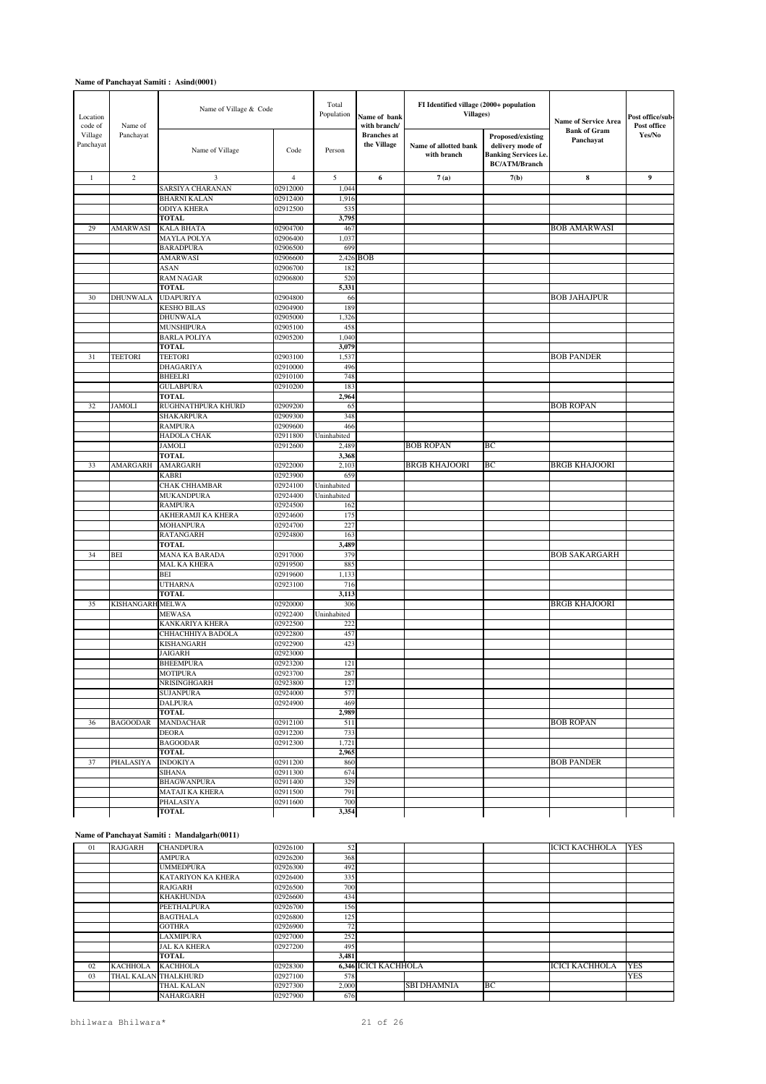| Location<br>code of             | Name of           | Name of Village & Code              |                      | Total<br>Population<br>Name of bank<br>with branch/ |                                   | FI Identified village (2000+ population<br><b>Villages</b> ) |                                                                                               | <b>Name of Service Area</b><br><b>Bank of Gram</b> | Post office/sub-<br>Post office<br>$\mathbf{Yes} / \mathbf{No}$ |
|---------------------------------|-------------------|-------------------------------------|----------------------|-----------------------------------------------------|-----------------------------------|--------------------------------------------------------------|-----------------------------------------------------------------------------------------------|----------------------------------------------------|-----------------------------------------------------------------|
| Village<br>Panchayat<br>$\,1\,$ | Panchayat         | Name of Village                     | Code                 | Person                                              | <b>Branches</b> at<br>the Village | Name of allotted bank<br>with branch                         | Proposed/existing<br>delivery mode of<br><b>Banking Services i.e.</b><br><b>BC/ATM/Branch</b> | Panchayat                                          |                                                                 |
|                                 | $\overline{c}$    | 3                                   | $\sqrt{4}$           | 5                                                   | 6                                 | 7(a)                                                         | 7(b)                                                                                          | $\bf8$                                             | 9                                                               |
|                                 |                   | SARSIYA CHARANAN                    | 02912000             | 1,044                                               |                                   |                                                              |                                                                                               |                                                    |                                                                 |
|                                 |                   | <b>BHARNI KALAN</b>                 | 02912400             | 1,916                                               |                                   |                                                              |                                                                                               |                                                    |                                                                 |
|                                 |                   | <b>ODIYA KHERA</b><br><b>TOTAL</b>  | 02912500             | 535<br>3,795                                        |                                   |                                                              |                                                                                               |                                                    |                                                                 |
| 29                              | <b>AMARWASI</b>   | <b>KALA BHATA</b>                   | 02904700             | 467                                                 |                                   |                                                              |                                                                                               | <b>BOB AMARWASI</b>                                |                                                                 |
|                                 |                   | <b>MAYLA POLYA</b>                  | 02906400             | 1,037                                               |                                   |                                                              |                                                                                               |                                                    |                                                                 |
|                                 |                   | <b>BARADPURA</b>                    | 02906500             | 699                                                 |                                   |                                                              |                                                                                               |                                                    |                                                                 |
|                                 |                   | <b>AMARWASI</b>                     | 02906600             |                                                     | 2,426 BOB                         |                                                              |                                                                                               |                                                    |                                                                 |
|                                 |                   | ASAN                                | 02906700             | 182                                                 |                                   |                                                              |                                                                                               |                                                    |                                                                 |
|                                 |                   | RAM NAGAR<br><b>TOTAL</b>           | 02906800             | 520<br>5,331                                        |                                   |                                                              |                                                                                               |                                                    |                                                                 |
| 30                              | <b>DHUNWALA</b>   | <b>UDAPURIYA</b>                    | 02904800             | 66                                                  |                                   |                                                              |                                                                                               | <b>BOB JAHAJPUR</b>                                |                                                                 |
|                                 |                   | <b>KESHO BILAS</b>                  | 02904900             | 189                                                 |                                   |                                                              |                                                                                               |                                                    |                                                                 |
|                                 |                   | DHUNWALA                            | 02905000             | 1,326                                               |                                   |                                                              |                                                                                               |                                                    |                                                                 |
|                                 |                   | MUNSHIPURA                          | 02905100             | 458                                                 |                                   |                                                              |                                                                                               |                                                    |                                                                 |
|                                 |                   | <b>BARLA POLIYA</b><br><b>TOTAL</b> | 02905200             | 1,040                                               |                                   |                                                              |                                                                                               |                                                    |                                                                 |
| 31                              | <b>TEETORI</b>    | <b>TEETORI</b>                      | 02903100             | 3,079<br>1,537                                      |                                   |                                                              |                                                                                               | <b>BOB PANDER</b>                                  |                                                                 |
|                                 |                   | DHAGARIYA                           | 02910000             | 496                                                 |                                   |                                                              |                                                                                               |                                                    |                                                                 |
|                                 |                   | BHEELRI                             | 02910100             | 748                                                 |                                   |                                                              |                                                                                               |                                                    |                                                                 |
|                                 |                   | <b>GULABPURA</b>                    | 02910200             | 183                                                 |                                   |                                                              |                                                                                               |                                                    |                                                                 |
|                                 |                   | <b>TOTAL</b>                        |                      | 2,964                                               |                                   |                                                              |                                                                                               |                                                    |                                                                 |
| 32                              | <b>JAMOLI</b>     | RUGHNATHPURA KHURD                  | 02909200             | 65                                                  |                                   |                                                              |                                                                                               | <b>BOB ROPAN</b>                                   |                                                                 |
|                                 |                   | SHAKARPURA<br><b>RAMPURA</b>        | 02909300<br>02909600 | 348<br>466                                          |                                   |                                                              |                                                                                               |                                                    |                                                                 |
|                                 |                   | HADOLA CHAK                         | 02911800             | Uninhabited                                         |                                   |                                                              |                                                                                               |                                                    |                                                                 |
|                                 |                   | JAMOLI                              | 02912600             | 2,489                                               |                                   | <b>BOB ROPAN</b>                                             | BС                                                                                            |                                                    |                                                                 |
|                                 |                   | <b>TOTAL</b>                        |                      | 3,368                                               |                                   |                                                              |                                                                                               |                                                    |                                                                 |
| 33                              | AMARGARH          | <b>AMARGARH</b>                     | 02922000             | 2,103                                               |                                   | <b>BRGB KHAJOORI</b>                                         | BC                                                                                            | <b>BRGB KHAJOORI</b>                               |                                                                 |
|                                 |                   | KABRI                               | 02923900             | 659                                                 |                                   |                                                              |                                                                                               |                                                    |                                                                 |
|                                 |                   | CHAK CHHAMBAR<br>MUKANDPURA         | 02924100<br>02924400 | Uninhabited<br>Uninhabited                          |                                   |                                                              |                                                                                               |                                                    |                                                                 |
|                                 |                   | RAMPURA                             | 02924500             | 162                                                 |                                   |                                                              |                                                                                               |                                                    |                                                                 |
|                                 |                   | AKHERAMJI KA KHERA                  | 02924600             | 175                                                 |                                   |                                                              |                                                                                               |                                                    |                                                                 |
|                                 |                   | MOHANPURA                           | 02924700             | 227                                                 |                                   |                                                              |                                                                                               |                                                    |                                                                 |
|                                 |                   | <b>RATANGARH</b>                    | 02924800             | 163                                                 |                                   |                                                              |                                                                                               |                                                    |                                                                 |
| 34                              | <b>BEI</b>        | TOTAL<br>MANA KA BARADA             | 02917000             | 3,489<br>379                                        |                                   |                                                              |                                                                                               | <b>BOB SAKARGARH</b>                               |                                                                 |
|                                 |                   | MAL KA KHERA                        | 02919500             | 885                                                 |                                   |                                                              |                                                                                               |                                                    |                                                                 |
|                                 |                   | BEI                                 | 02919600             | 1,133                                               |                                   |                                                              |                                                                                               |                                                    |                                                                 |
|                                 |                   | <b>UTHARNA</b>                      | 02923100             | 716                                                 |                                   |                                                              |                                                                                               |                                                    |                                                                 |
|                                 |                   | <b>TOTAL</b>                        |                      | 3,113                                               |                                   |                                                              |                                                                                               |                                                    |                                                                 |
| 35                              | <b>KISHANGARI</b> | <b>MELWA</b>                        | 02920000             | 306                                                 |                                   |                                                              |                                                                                               | <b>BRGB KHAJOORI</b>                               |                                                                 |
|                                 |                   | MEWASA<br>KANKARIYA KHERA           | 02922400<br>02922500 | Uninhabited<br>222                                  |                                   |                                                              |                                                                                               |                                                    |                                                                 |
|                                 |                   | CHHACHHIYA BADOLA                   | 02922800             | 457                                                 |                                   |                                                              |                                                                                               |                                                    |                                                                 |
|                                 |                   | KISHANGARH                          | 02922900             | 423                                                 |                                   |                                                              |                                                                                               |                                                    |                                                                 |
|                                 |                   | JAIGARH                             | 02923000             |                                                     |                                   |                                                              |                                                                                               |                                                    |                                                                 |
|                                 |                   | <b>BHEEMPURA</b>                    | 02923200             | 121                                                 |                                   |                                                              |                                                                                               |                                                    |                                                                 |
|                                 |                   | <b>MOTIPURA</b>                     | 02923700             | 287                                                 |                                   |                                                              |                                                                                               |                                                    |                                                                 |
|                                 |                   | NRISINGHGARH<br><b>SUJANPURA</b>    | 02923800<br>02924000 | 127<br>577                                          |                                   |                                                              |                                                                                               |                                                    |                                                                 |
|                                 |                   | <b>DALPURA</b>                      | 02924900             | 469                                                 |                                   |                                                              |                                                                                               |                                                    |                                                                 |
|                                 |                   | TOTAL                               |                      | 2,989                                               |                                   |                                                              |                                                                                               |                                                    |                                                                 |
| 36                              | <b>BAGOODAR</b>   | MANDACHAR                           | 02912100             | 511                                                 |                                   |                                                              |                                                                                               | <b>BOB ROPAN</b>                                   |                                                                 |
|                                 |                   | DEORA                               | 02912200             | 733                                                 |                                   |                                                              |                                                                                               |                                                    |                                                                 |
|                                 |                   | <b>BAGOODAR</b><br><b>TOTAL</b>     | 02912300             | 1,721                                               |                                   |                                                              |                                                                                               |                                                    |                                                                 |
| 37                              | PHALASIYA         | <b>INDOKIYA</b>                     | 02911200             | 2,965<br>860                                        |                                   |                                                              |                                                                                               | <b>BOB PANDER</b>                                  |                                                                 |
|                                 |                   | SIHANA                              | 02911300             | 674                                                 |                                   |                                                              |                                                                                               |                                                    |                                                                 |
|                                 |                   | <b>BHAGWANPURA</b>                  | 02911400             | 329                                                 |                                   |                                                              |                                                                                               |                                                    |                                                                 |
|                                 |                   | MATAJI KA KHERA                     | 02911500             | 791                                                 |                                   |                                                              |                                                                                               |                                                    |                                                                 |
|                                 |                   | PHALASIYA                           | 02911600             | 700                                                 |                                   |                                                              |                                                                                               |                                                    |                                                                 |
|                                 |                   | <b>TOTAL</b>                        |                      | 3,354                                               |                                   |                                                              |                                                                                               |                                                    |                                                                 |

#### **Name of Panchayat Samiti : Mandalgarh(0011)**

| 01 | <b>RAJGARH</b>  | <b>CHANDPURA</b>          | 02926100 | 52    |                             |                    |    | <b>ICICI KACHHOLA</b> | <b>YES</b> |
|----|-----------------|---------------------------|----------|-------|-----------------------------|--------------------|----|-----------------------|------------|
|    |                 | <b>AMPURA</b>             | 02926200 | 368   |                             |                    |    |                       |            |
|    |                 | <b>UMMEDPURA</b>          | 02926300 | 492   |                             |                    |    |                       |            |
|    |                 | <b>KATARIYON KA KHERA</b> | 02926400 | 335   |                             |                    |    |                       |            |
|    |                 | <b>RAJGARH</b>            | 02926500 | 700   |                             |                    |    |                       |            |
|    |                 | <b>KHAKHUNDA</b>          | 02926600 | 434   |                             |                    |    |                       |            |
|    |                 | <b>PEETHALPURA</b>        | 02926700 | 156   |                             |                    |    |                       |            |
|    |                 | <b>BAGTHALA</b>           | 02926800 | 125   |                             |                    |    |                       |            |
|    |                 | <b>GOTHRA</b>             | 02926900 | 72    |                             |                    |    |                       |            |
|    |                 | LAXMIPURA                 | 02927000 | 252   |                             |                    |    |                       |            |
|    |                 | <b>JAL KA KHERA</b>       | 02927200 | 495   |                             |                    |    |                       |            |
|    |                 | <b>TOTAL</b>              |          | 3,481 |                             |                    |    |                       |            |
| 02 | <b>KACHHOLA</b> | <b>KACHHOLA</b>           | 02928300 |       | <b>6.346 ICICI KACHHOLA</b> |                    |    | <b>ICICI KACHHOLA</b> | <b>YES</b> |
| 03 |                 | THAL KALAN THALKHURD      | 02927100 | 578   |                             |                    |    |                       | <b>YES</b> |
|    |                 | THAL KALAN                | 02927300 | 2,000 |                             | <b>SBI DHAMNIA</b> | BC |                       |            |
|    |                 | <b>NAHARGARH</b>          | 02927900 | 676   |                             |                    |    |                       |            |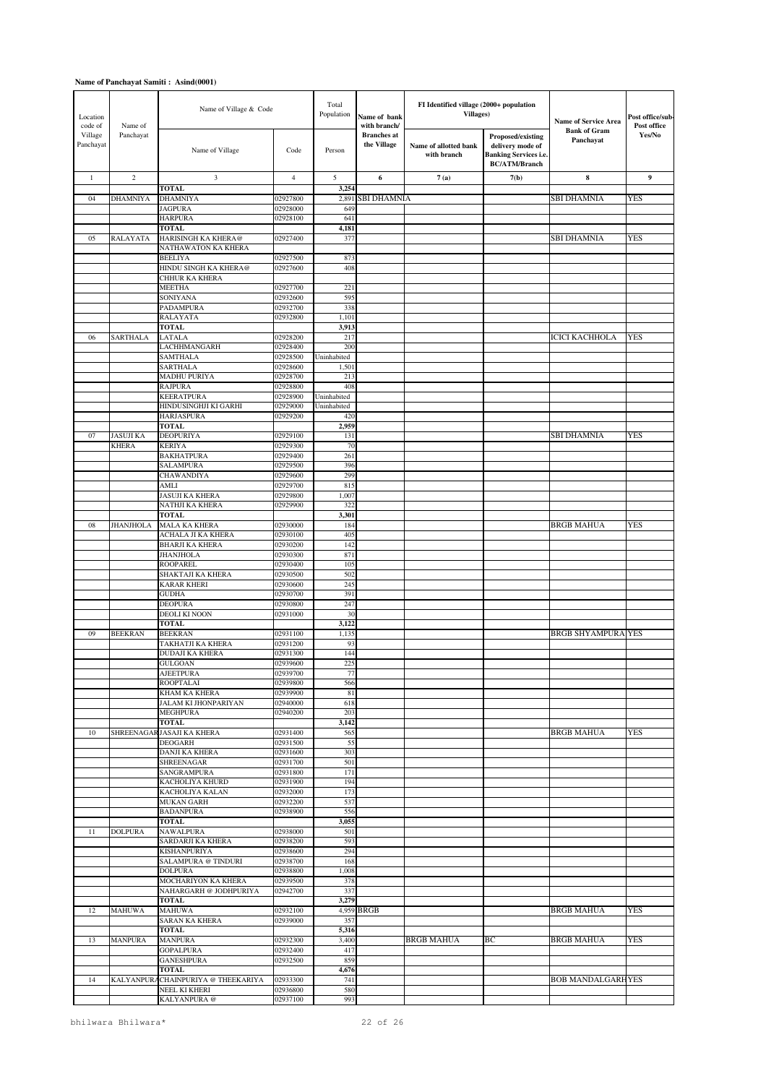| Location<br>code of  | Name of          | Name of Village & Code                       |                      | Total<br>Population        | Name of bank<br>with branch/      | FI Identified village (2000+ population<br><b>Villages</b> ) |                                                                                                      | <b>Name of Service Area</b>      | Post office/sub-<br>Post office |
|----------------------|------------------|----------------------------------------------|----------------------|----------------------------|-----------------------------------|--------------------------------------------------------------|------------------------------------------------------------------------------------------------------|----------------------------------|---------------------------------|
| Village<br>Panchayat | Panchayat        | Name of Village                              | Code                 | Person                     | <b>Branches</b> at<br>the Village | Name of allotted bank<br>with branch                         | <b>Proposed/existing</b><br>delivery mode of<br><b>Banking Services i.e.</b><br><b>BC/ATM/Branch</b> | <b>Bank of Gram</b><br>Panchayat | Yes/No                          |
| $\mathbf{1}$         | $\sqrt{2}$       | 3                                            | $\overline{4}$       | 5                          | 6                                 | 7(a)                                                         | 7(b)                                                                                                 | 8                                | 9                               |
| 04                   | <b>DHAMNIYA</b>  | <b>TOTAL</b><br><b>DHAMNIYA</b>              | 02927800             | 3,254<br>2,891             | <b>SBI DHAMNIA</b>                |                                                              |                                                                                                      | SBI DHAMNIA                      | YES                             |
|                      |                  | <b>JAGPURA</b>                               | 02928000             | 649                        |                                   |                                                              |                                                                                                      |                                  |                                 |
|                      |                  | <b>HARPURA</b>                               | 02928100             | 641                        |                                   |                                                              |                                                                                                      |                                  |                                 |
|                      |                  | <b>TOTAL</b>                                 |                      | 4,181                      |                                   |                                                              |                                                                                                      |                                  |                                 |
| 05                   | <b>RALAYATA</b>  | HARISINGH KA KHERA@<br>NATHAWATON KA KHERA   | 02927400             | 377                        |                                   |                                                              |                                                                                                      | SBI DHAMNIA                      | <b>YES</b>                      |
|                      |                  | <b>BEELIYA</b>                               | 02927500             | 873                        |                                   |                                                              |                                                                                                      |                                  |                                 |
|                      |                  | HINDU SINGH KA KHERA@                        | 02927600             | 408                        |                                   |                                                              |                                                                                                      |                                  |                                 |
|                      |                  | CHHUR KA KHERA<br>MEETHA                     | 02927700             | 221                        |                                   |                                                              |                                                                                                      |                                  |                                 |
|                      |                  | SONIYANA                                     | 02932600             | 595                        |                                   |                                                              |                                                                                                      |                                  |                                 |
|                      |                  | <b>PADAMPURA</b>                             | 02932700             | 338                        |                                   |                                                              |                                                                                                      |                                  |                                 |
|                      |                  | <b>RALAYATA</b><br><b>TOTAL</b>              | 02932800             | 1,101<br>3,913             |                                   |                                                              |                                                                                                      |                                  |                                 |
| 06                   | <b>SARTHALA</b>  | <b>LATALA</b>                                | 02928200             | 217                        |                                   |                                                              |                                                                                                      | ICICI KACHHOLA                   | YES                             |
|                      |                  | LACHHMANGARH                                 | 02928400             | 200                        |                                   |                                                              |                                                                                                      |                                  |                                 |
|                      |                  | <b>SAMTHALA</b><br><b>SARTHALA</b>           | 02928500<br>02928600 | Uninhabited<br>1,501       |                                   |                                                              |                                                                                                      |                                  |                                 |
|                      |                  | <b>MADHU PURIYA</b>                          | 02928700             | 213                        |                                   |                                                              |                                                                                                      |                                  |                                 |
|                      |                  | <b>RAJPURA</b>                               | 02928800             | 408                        |                                   |                                                              |                                                                                                      |                                  |                                 |
|                      |                  | <b>KEERATPURA</b><br>HINDUSINGHJI KI GARHI   | 02928900<br>02929000 | Uninhabited<br>Uninhabited |                                   |                                                              |                                                                                                      |                                  |                                 |
|                      |                  | <b>HARJASPURA</b>                            | 02929200             | 420                        |                                   |                                                              |                                                                                                      |                                  |                                 |
|                      |                  | <b>TOTAL</b>                                 |                      | 2,959                      |                                   |                                                              |                                                                                                      |                                  |                                 |
| 07                   | <b>JASUJI KA</b> | <b>DEOPURIYA</b>                             | 02929100             | 131                        |                                   |                                                              |                                                                                                      | SBI DHAMNIA                      | <b>YES</b>                      |
|                      | <b>KHERA</b>     | <b>KERIYA</b><br><b>BAKHATPURA</b>           | 02929300<br>02929400 | 70<br>261                  |                                   |                                                              |                                                                                                      |                                  |                                 |
|                      |                  | <b>SALAMPURA</b>                             | 02929500             | 396                        |                                   |                                                              |                                                                                                      |                                  |                                 |
|                      |                  | CHAWANDIYA                                   | 02929600             | 299                        |                                   |                                                              |                                                                                                      |                                  |                                 |
|                      |                  | AMLI<br><b>JASUJI KA KHERA</b>               | 02929700<br>02929800 | 815<br>1,007               |                                   |                                                              |                                                                                                      |                                  |                                 |
|                      |                  | NATHJI KA KHERA                              | 02929900             | 322                        |                                   |                                                              |                                                                                                      |                                  |                                 |
|                      |                  | <b>TOTAL</b>                                 |                      | 3,301                      |                                   |                                                              |                                                                                                      |                                  |                                 |
| 08                   | <b>JHANJHOLA</b> | <b>MALA KA KHERA</b><br>ACHALA JI KA KHERA   | 02930000<br>02930100 | 184<br>405                 |                                   |                                                              |                                                                                                      | <b>BRGB MAHUA</b>                | <b>YES</b>                      |
|                      |                  | <b>BHARJI KA KHERA</b>                       | 02930200             | 142                        |                                   |                                                              |                                                                                                      |                                  |                                 |
|                      |                  | <b>JHANJHOLA</b>                             | 02930300             | 871                        |                                   |                                                              |                                                                                                      |                                  |                                 |
|                      |                  | <b>ROOPAREL</b><br>SHAKTAJI KA KHERA         | 02930400<br>02930500 | 105<br>502                 |                                   |                                                              |                                                                                                      |                                  |                                 |
|                      |                  | <b>KARAR KHERI</b>                           | 02930600             | 245                        |                                   |                                                              |                                                                                                      |                                  |                                 |
|                      |                  | <b>GUDHA</b>                                 | 02930700             | 391                        |                                   |                                                              |                                                                                                      |                                  |                                 |
|                      |                  | <b>DEOPURA</b>                               | 02930800             | 247                        |                                   |                                                              |                                                                                                      |                                  |                                 |
|                      |                  | <b>DEOLI KI NOON</b><br><b>TOTAL</b>         | 02931000             | 30<br>3,122                |                                   |                                                              |                                                                                                      |                                  |                                 |
| 09                   | <b>BEEKRAN</b>   | <b>BEEKRAN</b>                               | 02931100             | 1,135                      |                                   |                                                              |                                                                                                      | <b>BRGB SHYAMPURA YES</b>        |                                 |
|                      |                  | TAKHATJI KA KHERA<br><b>DUDAJI KA KHERA</b>  | 02931200<br>02931300 | 93<br>144                  |                                   |                                                              |                                                                                                      |                                  |                                 |
|                      |                  | <b>GULGOAN</b>                               | 02939600             | 225                        |                                   |                                                              |                                                                                                      |                                  |                                 |
|                      |                  | <b>AJEETPURA</b>                             | 02939700             | 77                         |                                   |                                                              |                                                                                                      |                                  |                                 |
|                      |                  | <b>ROOPTALAI</b>                             | 02939800             | 566                        |                                   |                                                              |                                                                                                      |                                  |                                 |
|                      |                  | KHAM KA KHERA<br><b>JALAM KI JHONPARIYAN</b> | 02939900<br>02940000 | 81<br>618                  |                                   |                                                              |                                                                                                      |                                  |                                 |
|                      |                  | <b>MEGHPURA</b>                              | 02940200             | 203                        |                                   |                                                              |                                                                                                      |                                  |                                 |
|                      |                  | <b>TOTAL</b><br>SHREENAGAR JASAJI KA KHERA   |                      | 3,142                      |                                   |                                                              |                                                                                                      |                                  |                                 |
| 10                   |                  | <b>DEOGARH</b>                               | 02931400<br>02931500 | 565<br>55                  |                                   |                                                              |                                                                                                      | <b>BRGB MAHUA</b>                | YES                             |
|                      |                  | DANJI KA KHERA                               | 02931600             | 303                        |                                   |                                                              |                                                                                                      |                                  |                                 |
|                      |                  | <b>SHREENAGAR</b><br><b>SANGRAMPURA</b>      | 02931700<br>02931800 | 501                        |                                   |                                                              |                                                                                                      |                                  |                                 |
|                      |                  | KACHOLIYA KHURD                              | 02931900             | 171<br>194                 |                                   |                                                              |                                                                                                      |                                  |                                 |
|                      |                  | KACHOLIYA KALAN                              | 02932000             | 173                        |                                   |                                                              |                                                                                                      |                                  |                                 |
|                      |                  | <b>MUKAN GARH</b>                            | 02932200             | 537                        |                                   |                                                              |                                                                                                      |                                  |                                 |
|                      |                  | <b>BADANPURA</b><br><b>TOTAL</b>             | 02938900             | 556<br>3,055               |                                   |                                                              |                                                                                                      |                                  |                                 |
| 11                   | <b>DOLPURA</b>   | <b>NAWALPURA</b>                             | 02938000             | 501                        |                                   |                                                              |                                                                                                      |                                  |                                 |
|                      |                  | SARDARJI KA KHERA                            | 02938200             | 593                        |                                   |                                                              |                                                                                                      |                                  |                                 |
|                      |                  | KISHANPURIYA<br>SALAMPURA @ TINDURI          | 02938600<br>02938700 | 294<br>168                 |                                   |                                                              |                                                                                                      |                                  |                                 |
|                      |                  | <b>DOLPURA</b>                               | 02938800             | 1,008                      |                                   |                                                              |                                                                                                      |                                  |                                 |
|                      |                  | MOCHARIYON KA KHERA                          | 02939500             | 378                        |                                   |                                                              |                                                                                                      |                                  |                                 |
|                      |                  | NAHARGARH @ JODHPURIYA<br><b>TOTAL</b>       | 02942700             | 337<br>3,279               |                                   |                                                              |                                                                                                      |                                  |                                 |
| 12                   | <b>MAHUWA</b>    | <b>MAHUWA</b>                                | 02932100             |                            | 4,959 BRGB                        |                                                              |                                                                                                      | <b>BRGB MAHUA</b>                | <b>YES</b>                      |
|                      |                  | <b>SARAN KA KHERA</b>                        | 02939000             | 357                        |                                   |                                                              |                                                                                                      |                                  |                                 |
| 13                   | <b>MANPURA</b>   | <b>TOTAL</b><br><b>MANPURA</b>               | 02932300             | 5,316<br>3,400             |                                   | <b>BRGB MAHUA</b>                                            | ВC                                                                                                   | <b>BRGB MAHUA</b>                | <b>YES</b>                      |
|                      |                  | <b>GOPALPURA</b>                             | 02932400             | 417                        |                                   |                                                              |                                                                                                      |                                  |                                 |
|                      |                  | <b>GANESHPURA</b>                            | 02932500             | 859                        |                                   |                                                              |                                                                                                      |                                  |                                 |
| 14                   | <b>KALYANPUR</b> | <b>TOTAL</b><br>CHAINPURIYA @ THEEKARIYA     | 02933300             | 4,676<br>741               |                                   |                                                              |                                                                                                      | <b>BOB MANDALGARHYES</b>         |                                 |
|                      |                  | NEEL KI KHERI                                | 02936800             | 580                        |                                   |                                                              |                                                                                                      |                                  |                                 |
|                      |                  | KALYANPURA @                                 | 02937100             | 993                        |                                   |                                                              |                                                                                                      |                                  |                                 |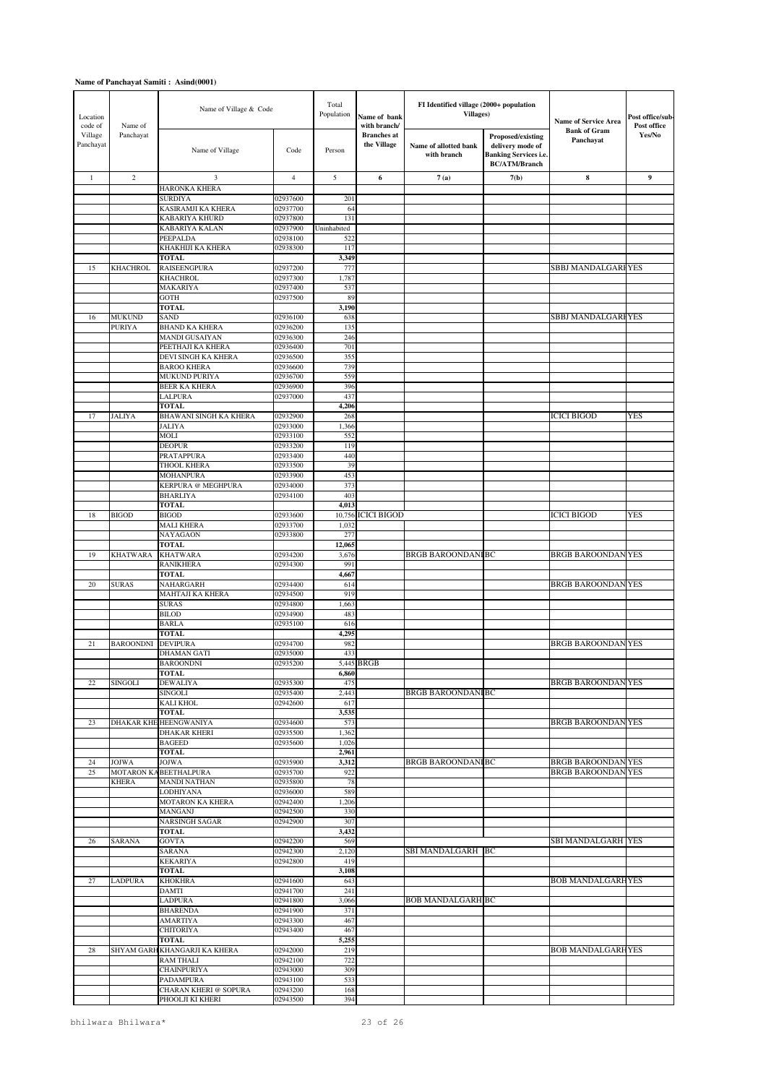| Location<br>code of  | Name of           | Name of Village & Code                    |                      | Total<br>Population | Name of bank<br>with branch/      | FI Identified village (2000+ population<br><b>Villages</b> ) |                                                                                                      | <b>Name of Service Area</b>      | Post office/sub-<br>Post office |
|----------------------|-------------------|-------------------------------------------|----------------------|---------------------|-----------------------------------|--------------------------------------------------------------|------------------------------------------------------------------------------------------------------|----------------------------------|---------------------------------|
| Village<br>Panchayat | Panchayat         | Name of Village                           | Code                 | Person              | <b>Branches</b> at<br>the Village | Name of allotted bank<br>with branch                         | <b>Proposed/existing</b><br>delivery mode of<br><b>Banking Services i.e.</b><br><b>BC/ATM/Branch</b> | <b>Bank of Gram</b><br>Panchayat | Yes/No                          |
| $\mathbf{1}$         | $\overline{c}$    | 3                                         | $\overline{4}$       | 5                   | 6                                 | 7(a)                                                         | 7(b)                                                                                                 | 8                                | 9                               |
|                      |                   | <b>HARONKA KHERA</b><br><b>SURDIYA</b>    | 02937600             | 201                 |                                   |                                                              |                                                                                                      |                                  |                                 |
|                      |                   | KASIRAMJI KA KHERA                        | 02937700             | 64                  |                                   |                                                              |                                                                                                      |                                  |                                 |
|                      |                   | KABARIYA KHURD                            | 02937800             | 131                 |                                   |                                                              |                                                                                                      |                                  |                                 |
|                      |                   | <b>KABARIYA KALAN</b>                     | 02937900             | Uninhabited         |                                   |                                                              |                                                                                                      |                                  |                                 |
|                      |                   | PEEPALDA<br>KHAKHIJI KA KHERA             | 02938100<br>02938300 | 522<br>117          |                                   |                                                              |                                                                                                      |                                  |                                 |
|                      |                   | <b>TOTAL</b>                              |                      | 3,349               |                                   |                                                              |                                                                                                      |                                  |                                 |
| 15                   | KHACHROL          | <b>RAISEENGPURA</b>                       | 02937200             | 777                 |                                   |                                                              |                                                                                                      | SBBJ MANDALGARI YES              |                                 |
|                      |                   | <b>KHACHROL</b>                           | 02937300             | 1,787               |                                   |                                                              |                                                                                                      |                                  |                                 |
|                      |                   | MAKARIYA<br><b>GOTH</b>                   | 02937400<br>02937500 | 537<br>89           |                                   |                                                              |                                                                                                      |                                  |                                 |
|                      |                   | <b>TOTAL</b>                              |                      | 3,190               |                                   |                                                              |                                                                                                      |                                  |                                 |
| 16                   | <b>MUKUND</b>     | SAND                                      | 02936100             | 638                 |                                   |                                                              |                                                                                                      | SBBJ MANDALGARI YES              |                                 |
|                      | <b>PURIYA</b>     | <b>BHAND KA KHERA</b>                     | 02936200             | 135                 |                                   |                                                              |                                                                                                      |                                  |                                 |
|                      |                   | MANDI GUSAIYAN<br>PEETHAJI KA KHERA       | 02936300<br>02936400 | 246<br>701          |                                   |                                                              |                                                                                                      |                                  |                                 |
|                      |                   | DEVI SINGH KA KHERA                       | 02936500             | 355                 |                                   |                                                              |                                                                                                      |                                  |                                 |
|                      |                   | <b>BAROO KHERA</b>                        | 02936600             | 739                 |                                   |                                                              |                                                                                                      |                                  |                                 |
|                      |                   | MUKUND PURIYA<br><b>BEER KA KHERA</b>     | 02936700             | 559                 |                                   |                                                              |                                                                                                      |                                  |                                 |
|                      |                   | LALPURA                                   | 02936900<br>02937000 | 396<br>437          |                                   |                                                              |                                                                                                      |                                  |                                 |
|                      |                   | <b>TOTAL</b>                              |                      | 4,206               |                                   |                                                              |                                                                                                      |                                  |                                 |
| 17                   | <b>JALIYA</b>     | BHAWANI SINGH KA KHERA                    | 02932900             | 268                 |                                   |                                                              |                                                                                                      | <b>ICICI BIGOD</b>               | YES                             |
|                      |                   | <b>JALIYA</b><br>MOLI                     | 02933000<br>02933100 | 1,366<br>552        |                                   |                                                              |                                                                                                      |                                  |                                 |
|                      |                   | <b>DEOPUR</b>                             | 02933200             | 119                 |                                   |                                                              |                                                                                                      |                                  |                                 |
|                      |                   | PRATAPPURA                                | 02933400             | 440                 |                                   |                                                              |                                                                                                      |                                  |                                 |
|                      |                   | THOOL KHERA                               | 02933500             | 39                  |                                   |                                                              |                                                                                                      |                                  |                                 |
|                      |                   | <b>MOHANPURA</b><br>KERPURA @ MEGHPURA    | 02933900<br>02934000 | 453<br>373          |                                   |                                                              |                                                                                                      |                                  |                                 |
|                      |                   | <b>BHARLIYA</b>                           | 02934100             | 403                 |                                   |                                                              |                                                                                                      |                                  |                                 |
|                      |                   | <b>TOTAL</b>                              |                      | 4,013               |                                   |                                                              |                                                                                                      |                                  |                                 |
| 18                   | <b>BIGOD</b>      | <b>BIGOD</b>                              | 02933600             |                     | 10,756 ICICI BIGOD                |                                                              |                                                                                                      | <b>ICICI BIGOD</b>               | <b>YES</b>                      |
|                      |                   | MALI KHERA<br>NAYAGAON                    | 02933700<br>02933800 | 1,032<br>277        |                                   |                                                              |                                                                                                      |                                  |                                 |
|                      |                   | <b>TOTAL</b>                              |                      | 12,065              |                                   |                                                              |                                                                                                      |                                  |                                 |
| 19                   | <b>KHATWARA</b>   | <b>KHATWARA</b>                           | 02934200             | 3,676               |                                   | <b>BRGB BAROONDANIBC</b>                                     |                                                                                                      | <b>BRGB BAROONDAN YES</b>        |                                 |
|                      |                   | <b>RANIKHERA</b><br><b>TOTAL</b>          | 02934300             | 991<br>4,667        |                                   |                                                              |                                                                                                      |                                  |                                 |
| 20                   | <b>SURAS</b>      | NAHARGARH                                 | 02934400             | 614                 |                                   |                                                              |                                                                                                      | <b>BRGB BAROONDAN YES</b>        |                                 |
|                      |                   | MAHTAJI KA KHERA                          | 02934500             | 919                 |                                   |                                                              |                                                                                                      |                                  |                                 |
|                      |                   | <b>SURAS</b>                              | 02934800             | 1,663               |                                   |                                                              |                                                                                                      |                                  |                                 |
|                      |                   | <b>BILOD</b><br><b>BARLA</b>              | 02934900<br>02935100 | 483<br>616          |                                   |                                                              |                                                                                                      |                                  |                                 |
|                      |                   | <b>TOTAL</b>                              |                      | 4,295               |                                   |                                                              |                                                                                                      |                                  |                                 |
| 21                   | <b>BAROONDNI</b>  | <b>DEVIPURA</b>                           | 02934700             | 982                 |                                   |                                                              |                                                                                                      | <b>BRGB BAROONDAN YES</b>        |                                 |
|                      |                   | DHAMAN GATI                               | 02935000             | 433                 |                                   |                                                              |                                                                                                      |                                  |                                 |
|                      |                   | <b>BAROONDNI</b><br><b>TOTAL</b>          | 02935200             | 6,860               | 5,445 BRGB                        |                                                              |                                                                                                      |                                  |                                 |
| $22\,$               | <b>SINGOLI</b>    | <b>DEWALIYA</b>                           | 02935300             | 475                 |                                   |                                                              |                                                                                                      | <b>BRGB BAROONDAN YES</b>        |                                 |
|                      |                   | SINGOLI                                   | 02935400             | 2,443               |                                   | <b>BRGB BAROONDANIBC</b>                                     |                                                                                                      |                                  |                                 |
|                      |                   | <b>KALI KHOL</b><br><b>TOTAL</b>          | 02942600             | 617<br>3,535        |                                   |                                                              |                                                                                                      |                                  |                                 |
| 23                   |                   | DHAKAR KHE HEENGWANIYA                    | 02934600             | 573                 |                                   |                                                              |                                                                                                      | <b>BRGB BAROONDAN YES</b>        |                                 |
|                      |                   | <b>DHAKAR KHERI</b>                       | 02935500             | 1,362               |                                   |                                                              |                                                                                                      |                                  |                                 |
|                      |                   | <b>BAGEED</b><br><b>TOTAL</b>             | 02935600             | 1,026<br>2,961      |                                   |                                                              |                                                                                                      |                                  |                                 |
| 24                   | <b>JOJWA</b>      | <b>JOJWA</b>                              | 02935900             | 3,312               |                                   | <b>BRGB BAROONDANIBC</b>                                     |                                                                                                      | <b>BRGB BAROONDAN YES</b>        |                                 |
| 25                   | <b>MOTARON KA</b> | <b>BEETHALPURA</b>                        | 02935700             | 922                 |                                   |                                                              |                                                                                                      | <b>BRGB BAROONDAN YES</b>        |                                 |
|                      | <b>KHERA</b>      | <b>MANDI NATHAN</b>                       | 02935800             | 78                  |                                   |                                                              |                                                                                                      |                                  |                                 |
|                      |                   | LODHIYANA<br>MOTARON KA KHERA             | 02936000<br>02942400 | 589<br>1,206        |                                   |                                                              |                                                                                                      |                                  |                                 |
|                      |                   | MANGANJ                                   | 02942500             | 330                 |                                   |                                                              |                                                                                                      |                                  |                                 |
|                      |                   | <b>NARSINGH SAGAR</b>                     | 02942900             | 307                 |                                   |                                                              |                                                                                                      |                                  |                                 |
|                      |                   | <b>TOTAL</b>                              |                      | 3,432               |                                   |                                                              |                                                                                                      |                                  |                                 |
| 26                   | <b>SARANA</b>     | <b>GOVTA</b><br>SARANA                    | 02942200<br>02942300 | 569<br>2,120        |                                   | SBI MANDALGARH BC                                            |                                                                                                      | <b>SBI MANDALGARH YES</b>        |                                 |
|                      |                   | <b>KEKARIYA</b>                           | 02942800             | 419                 |                                   |                                                              |                                                                                                      |                                  |                                 |
|                      |                   | <b>TOTAL</b>                              |                      | 3,108               |                                   |                                                              |                                                                                                      |                                  |                                 |
| 27                   | <b>LADPURA</b>    | <b>KHOKHRA</b><br><b>DAMTI</b>            | 02941600             | 643<br>241          |                                   |                                                              |                                                                                                      | <b>BOB MANDALGARHYES</b>         |                                 |
|                      |                   | <b>LADPURA</b>                            | 02941700<br>02941800 | 3,066               |                                   | <b>BOB MANDALGARH BC</b>                                     |                                                                                                      |                                  |                                 |
|                      |                   | <b>BHARENDA</b>                           | 02941900             | 371                 |                                   |                                                              |                                                                                                      |                                  |                                 |
|                      |                   | <b>AMARTIYA</b>                           | 02943300             | 467                 |                                   |                                                              |                                                                                                      |                                  |                                 |
|                      |                   | <b>CHITORIYA</b><br><b>TOTAL</b>          | 02943400             | 467<br>5,255        |                                   |                                                              |                                                                                                      |                                  |                                 |
| 28                   |                   | SHYAM GARH KHANGARJI KA KHERA             | 02942000             | 219                 |                                   |                                                              |                                                                                                      | <b>BOB MANDALGARHYES</b>         |                                 |
|                      |                   | <b>RAM THALI</b>                          | 02942100             | 722                 |                                   |                                                              |                                                                                                      |                                  |                                 |
|                      |                   | CHAINPURIYA                               | 02943000             | 309                 |                                   |                                                              |                                                                                                      |                                  |                                 |
|                      |                   | PADAMPURA<br><b>CHARAN KHERI @ SOPURA</b> | 02943100<br>02943200 | 533<br>168          |                                   |                                                              |                                                                                                      |                                  |                                 |
|                      |                   | PHOOLJI KI KHERI                          | 02943500             | 394                 |                                   |                                                              |                                                                                                      |                                  |                                 |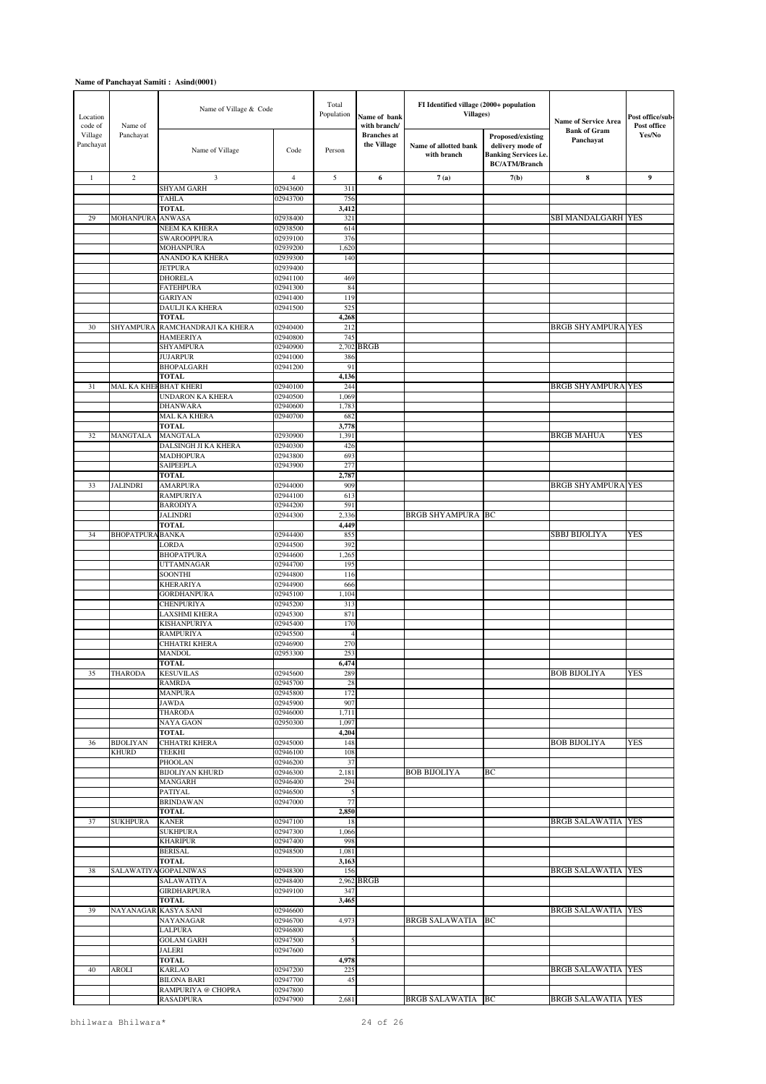| Location<br>code of  | Name of                          | Name of Village & Code                   |                      | Total<br>Population | Name of bank<br>with branch/      | FI Identified village (2000+ population<br><b>Villages)</b> |                                                                                               | <b>Name of Service Area</b>      | Post office/sub-<br>Post office |
|----------------------|----------------------------------|------------------------------------------|----------------------|---------------------|-----------------------------------|-------------------------------------------------------------|-----------------------------------------------------------------------------------------------|----------------------------------|---------------------------------|
| Village<br>Panchayat | Panchayat                        | Name of Village                          | Code                 | Person              | <b>Branches</b> at<br>the Village | Name of allotted bank<br>with branch                        | Proposed/existing<br>delivery mode of<br><b>Banking Services i.e.</b><br><b>BC/ATM/Branch</b> | <b>Bank of Gram</b><br>Panchayat | Yes/No                          |
| $\mathbf{1}$         | $\overline{c}$                   | 3                                        | $\overline{4}$       | 5                   | 6                                 | 7(a)                                                        | 7(b)                                                                                          | $\bf 8$                          | 9                               |
|                      |                                  | <b>SHYAM GARH</b>                        | 02943600             | 311                 |                                   |                                                             |                                                                                               |                                  |                                 |
|                      |                                  | <b>TAHLA</b><br><b>TOTAL</b>             | 02943700             | 756<br>3,412        |                                   |                                                             |                                                                                               |                                  |                                 |
| 29                   | <b>MOHANPURA</b>                 | ANWASA                                   | 02938400             | 321                 |                                   |                                                             |                                                                                               | <b>SBI MANDALGARH YES</b>        |                                 |
|                      |                                  | NEEM KA KHERA                            | 02938500             | 614                 |                                   |                                                             |                                                                                               |                                  |                                 |
|                      |                                  | <b>SWAROOPPURA</b><br><b>MOHANPURA</b>   | 02939100<br>02939200 | 376<br>1,620        |                                   |                                                             |                                                                                               |                                  |                                 |
|                      |                                  | ANANDO KA KHERA                          | 02939300             | 140                 |                                   |                                                             |                                                                                               |                                  |                                 |
|                      |                                  | <b>JETPURA</b>                           | 02939400             |                     |                                   |                                                             |                                                                                               |                                  |                                 |
|                      |                                  | <b>DHORELA</b>                           | 02941100             | 469                 |                                   |                                                             |                                                                                               |                                  |                                 |
|                      |                                  | <b>FATEHPURA</b><br><b>GARIYAN</b>       | 02941300<br>02941400 | 84<br>119           |                                   |                                                             |                                                                                               |                                  |                                 |
|                      |                                  | DAULJI KA KHERA                          | 02941500             | 525                 |                                   |                                                             |                                                                                               |                                  |                                 |
|                      |                                  | <b>TOTAL</b>                             |                      | 4,268               |                                   |                                                             |                                                                                               |                                  |                                 |
| 30                   | <b>SHYAMPURA</b>                 | RAMCHANDRAJI KA KHERA                    | 02940400<br>02940800 | 212                 |                                   |                                                             |                                                                                               | <b>BRGB SHYAMPURA YES</b>        |                                 |
|                      |                                  | <b>HAMEERIYA</b><br><b>SHYAMPURA</b>     | 02940900             | 745<br>2,702        | <b>BRGB</b>                       |                                                             |                                                                                               |                                  |                                 |
|                      |                                  | <b>JUJARPUR</b>                          | 02941000             | 386                 |                                   |                                                             |                                                                                               |                                  |                                 |
|                      |                                  | <b>BHOPALGARH</b>                        | 02941200             | 91                  |                                   |                                                             |                                                                                               |                                  |                                 |
| 31                   | MAL KA KHEFBHAT KHERI            | <b>TOTAL</b>                             | 02940100             | 4,136<br>244        |                                   |                                                             |                                                                                               | <b>BRGB SHYAMPURA YES</b>        |                                 |
|                      |                                  | <b>UNDARON KA KHERA</b>                  | 02940500             | 1,069               |                                   |                                                             |                                                                                               |                                  |                                 |
|                      |                                  | <b>DHANWARA</b>                          | 02940600             | 1,783               |                                   |                                                             |                                                                                               |                                  |                                 |
|                      |                                  | <b>MAL KA KHERA</b>                      | 02940700             | 682                 |                                   |                                                             |                                                                                               |                                  |                                 |
| 32                   | MANGTALA                         | <b>TOTAL</b><br>MANGTALA                 | 02930900             | 3,778<br>1,391      |                                   |                                                             |                                                                                               | <b>BRGB MAHUA</b>                | <b>YES</b>                      |
|                      |                                  | DALSINGH JI KA KHERA                     | 02940300             | 426                 |                                   |                                                             |                                                                                               |                                  |                                 |
|                      |                                  | <b>MADHOPURA</b>                         | 02943800             | 693                 |                                   |                                                             |                                                                                               |                                  |                                 |
|                      |                                  | SAIPEEPLA                                | 02943900             | 277                 |                                   |                                                             |                                                                                               |                                  |                                 |
| 33                   | <b>JALINDRI</b>                  | <b>TOTAL</b><br><b>AMARPURA</b>          | 02944000             | 2,787<br>909        |                                   |                                                             |                                                                                               | <b>BRGB SHYAMPURA YES</b>        |                                 |
|                      |                                  | <b>RAMPURIYA</b>                         | 02944100             | 613                 |                                   |                                                             |                                                                                               |                                  |                                 |
|                      |                                  | <b>BARODIYA</b>                          | 02944200             | 591                 |                                   |                                                             |                                                                                               |                                  |                                 |
|                      |                                  | <b>JALINDRI</b>                          | 02944300             | 2,336               |                                   | <b>BRGB SHYAMPURA BC</b>                                    |                                                                                               |                                  |                                 |
| 34                   | <b>BHOPATPURA BANKA</b>          | <b>TOTAL</b>                             | 02944400             | 4,449<br>855        |                                   |                                                             |                                                                                               | SBBJ BIJOLIYA                    | YES                             |
|                      |                                  | LORDA                                    | 02944500             | 392                 |                                   |                                                             |                                                                                               |                                  |                                 |
|                      |                                  | <b>BHOPATPURA</b>                        | 02944600             | 1,265               |                                   |                                                             |                                                                                               |                                  |                                 |
|                      |                                  | <b>UTTAMNAGAR</b><br><b>SOONTHI</b>      | 02944700<br>02944800 | 195<br>116          |                                   |                                                             |                                                                                               |                                  |                                 |
|                      |                                  | <b>KHERARIYA</b>                         | 02944900             | 666                 |                                   |                                                             |                                                                                               |                                  |                                 |
|                      |                                  | <b>GORDHANPURA</b>                       | 02945100             | 1,104               |                                   |                                                             |                                                                                               |                                  |                                 |
|                      |                                  | <b>CHENPURIYA</b>                        | 02945200             | 313                 |                                   |                                                             |                                                                                               |                                  |                                 |
|                      |                                  | LAXSHMI KHERA<br>KISHANPURIYA            | 02945300<br>02945400 | 871<br>170          |                                   |                                                             |                                                                                               |                                  |                                 |
|                      |                                  | <b>RAMPURIYA</b>                         | 02945500             | $\overline{4}$      |                                   |                                                             |                                                                                               |                                  |                                 |
|                      |                                  | CHHATRI KHERA                            | 02946900             | 270                 |                                   |                                                             |                                                                                               |                                  |                                 |
|                      |                                  | MANDOL                                   | 02953300             | 253                 |                                   |                                                             |                                                                                               |                                  |                                 |
| 35                   | THARODA                          | <b>TOTAL</b><br><b>KESUVILAS</b>         | 02945600             | 6,474<br>289        |                                   |                                                             |                                                                                               | <b>BOB BIJOLIYA</b>              | YES                             |
|                      |                                  | <b>RAMRDA</b>                            | 02945700             | 28                  |                                   |                                                             |                                                                                               |                                  |                                 |
|                      |                                  | <b>MANPURA</b>                           | 02945800             | 172                 |                                   |                                                             |                                                                                               |                                  |                                 |
|                      |                                  | <b>JAWDA</b><br>THARODA                  | 02945900<br>02946000 | 907<br>1,711        |                                   |                                                             |                                                                                               |                                  |                                 |
|                      |                                  | <b>NAYA GAON</b>                         | 02950300             | 1,097               |                                   |                                                             |                                                                                               |                                  |                                 |
|                      |                                  | <b>TOTAL</b>                             |                      | 4,204               |                                   |                                                             |                                                                                               |                                  |                                 |
| 36                   | <b>BIJOLIYAN</b><br><b>KHURD</b> | CHHATRI KHERA<br><b>TEEKHI</b>           | 02945000<br>02946100 | 148<br>108          |                                   |                                                             |                                                                                               | <b>BOB BIJOLIYA</b>              | YES                             |
|                      |                                  | PHOOLAN                                  | 02946200             | 37                  |                                   |                                                             |                                                                                               |                                  |                                 |
|                      |                                  | <b>BIJOLIYAN KHURD</b>                   | 02946300             | 2,181               |                                   | <b>BOB BIJOLIYA</b>                                         | BC                                                                                            |                                  |                                 |
|                      |                                  | MANGARH                                  | 02946400             | 294                 |                                   |                                                             |                                                                                               |                                  |                                 |
|                      |                                  | PATIYAL<br><b>BRINDAWAN</b>              | 02946500<br>02947000 | 5<br>77             |                                   |                                                             |                                                                                               |                                  |                                 |
|                      |                                  | <b>TOTAL</b>                             |                      | 2,850               |                                   |                                                             |                                                                                               |                                  |                                 |
| 37                   | <b>SUKHPURA</b>                  | <b>KANER</b>                             | 02947100             | 18                  |                                   |                                                             |                                                                                               | <b>BRGB SALAWATIA YES</b>        |                                 |
|                      |                                  | <b>SUKHPURA</b>                          | 02947300             | 1,066               |                                   |                                                             |                                                                                               |                                  |                                 |
|                      |                                  | <b>KHARIPUR</b><br><b>BERISAL</b>        | 02947400<br>02948500 | 998<br>1,081        |                                   |                                                             |                                                                                               |                                  |                                 |
|                      |                                  | <b>TOTAL</b>                             |                      | 3,163               |                                   |                                                             |                                                                                               |                                  |                                 |
| 38                   |                                  | SALAWATIYA GOPALNIWAS                    | 02948300             | 156                 |                                   |                                                             |                                                                                               | <b>BRGB SALAWATIA YES</b>        |                                 |
|                      |                                  | SALAWATIYA<br><b>GIRDHARPURA</b>         | 02948400<br>02949100 | 347                 | 2,962 BRGB                        |                                                             |                                                                                               |                                  |                                 |
|                      |                                  | <b>TOTAL</b>                             |                      | 3,465               |                                   |                                                             |                                                                                               |                                  |                                 |
| 39                   | NAYANAGAR KASYA SANI             |                                          | 02946600             |                     |                                   |                                                             |                                                                                               | <b>BRGB SALAWATIA YES</b>        |                                 |
|                      |                                  | NAYANAGAR                                | 02946700             | 4,973               |                                   | BRGB SALAWATIA                                              | BC                                                                                            |                                  |                                 |
|                      |                                  | LALPURA<br><b>GOLAM GARH</b>             | 02946800<br>02947500 |                     |                                   |                                                             |                                                                                               |                                  |                                 |
|                      |                                  | <b>JALERI</b>                            | 02947600             |                     |                                   |                                                             |                                                                                               |                                  |                                 |
|                      |                                  | <b>TOTAL</b>                             |                      | 4,978               |                                   |                                                             |                                                                                               |                                  |                                 |
| 40                   | AROLI                            | <b>KARLAO</b>                            | 02947200             | 225                 |                                   |                                                             |                                                                                               | <b>BRGB SALAWATIA YES</b>        |                                 |
|                      |                                  | <b>BILONA BARI</b><br>RAMPURIYA @ CHOPRA | 02947700<br>02947800 | 45                  |                                   |                                                             |                                                                                               |                                  |                                 |
|                      |                                  | <b>RASADPURA</b>                         | 02947900             | 2,681               |                                   | <b>BRGB SALAWATIA BC</b>                                    |                                                                                               | <b>BRGB SALAWATIA YES</b>        |                                 |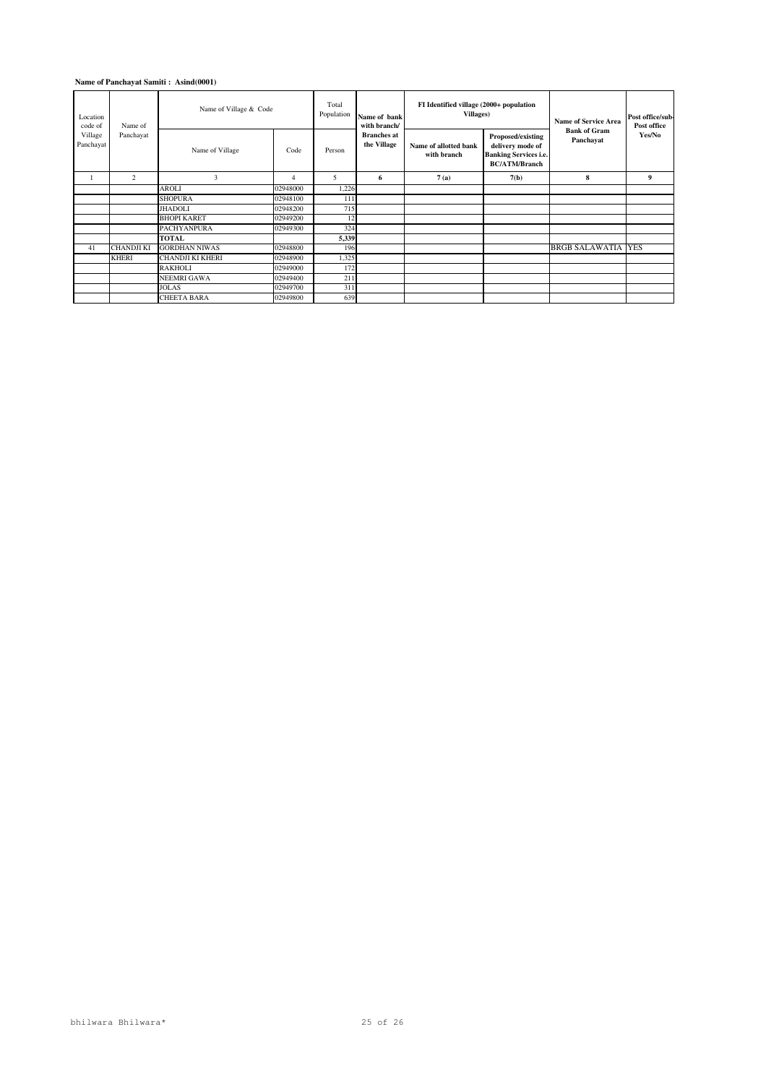| Location<br>code of  | Name of           | Name of Village & Code  |          | Total<br>Population | Name of bank<br>with branch/      | FI Identified village (2000+ population<br><b>Villages</b> ) |                                                                                               | <b>Name of Service Area</b>      | Post office/sub-<br>Post office |
|----------------------|-------------------|-------------------------|----------|---------------------|-----------------------------------|--------------------------------------------------------------|-----------------------------------------------------------------------------------------------|----------------------------------|---------------------------------|
| Village<br>Panchayat | Panchayat         | Name of Village         | Code     | Person              | <b>Branches</b> at<br>the Village | Name of allotted bank<br>with branch                         | Proposed/existing<br>delivery mode of<br><b>Banking Services i.e.</b><br><b>BC/ATM/Branch</b> | <b>Bank of Gram</b><br>Panchayat | Yes/No                          |
|                      | 2                 | 3                       | 4        | 5                   | 6                                 | 7(a)                                                         | 7(b)                                                                                          | 8                                | 9                               |
|                      |                   | AROLI                   | 02948000 | 1,226               |                                   |                                                              |                                                                                               |                                  |                                 |
|                      |                   | <b>SHOPURA</b>          | 02948100 | 111                 |                                   |                                                              |                                                                                               |                                  |                                 |
|                      |                   | <b>JHADOLI</b>          | 02948200 | 715                 |                                   |                                                              |                                                                                               |                                  |                                 |
|                      |                   | <b>BHOPI KARET</b>      | 02949200 | 12                  |                                   |                                                              |                                                                                               |                                  |                                 |
|                      |                   | <b>PACHYANPURA</b>      | 02949300 | 324                 |                                   |                                                              |                                                                                               |                                  |                                 |
|                      |                   | <b>TOTAL</b>            |          | 5,339               |                                   |                                                              |                                                                                               |                                  |                                 |
| 41                   | <b>CHANDJI KI</b> | <b>GORDHAN NIWAS</b>    | 02948800 | 196                 |                                   |                                                              |                                                                                               | <b>BRGB SALAWATIA</b>            | <b>YES</b>                      |
|                      | <b>KHERI</b>      | <b>CHANDJI KI KHERI</b> | 02948900 | 1,325               |                                   |                                                              |                                                                                               |                                  |                                 |
|                      |                   | <b>RAKHOLI</b>          | 02949000 | 172                 |                                   |                                                              |                                                                                               |                                  |                                 |
|                      |                   | <b>NEEMRI GAWA</b>      | 02949400 | 211                 |                                   |                                                              |                                                                                               |                                  |                                 |
|                      |                   | <b>JOLAS</b>            | 02949700 | 311                 |                                   |                                                              |                                                                                               |                                  |                                 |
|                      |                   | <b>CHEETA BARA</b>      | 02949800 | 639                 |                                   |                                                              |                                                                                               |                                  |                                 |